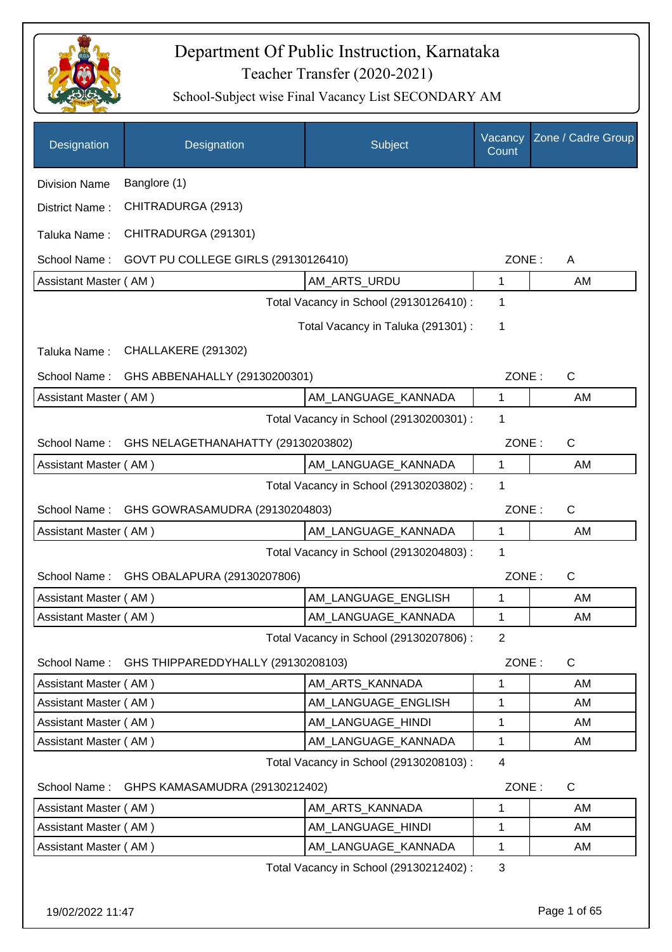

| Designation                                    | Designation                         | Subject                                 | Vacancy<br>Count | Zone / Cadre Group |
|------------------------------------------------|-------------------------------------|-----------------------------------------|------------------|--------------------|
| <b>Division Name</b>                           | Banglore (1)                        |                                         |                  |                    |
| District Name:                                 | CHITRADURGA (2913)                  |                                         |                  |                    |
| Taluka Name:                                   | CHITRADURGA (291301)                |                                         |                  |                    |
| School Name:                                   | GOVT PU COLLEGE GIRLS (29130126410) |                                         | ZONE:            | A                  |
| Assistant Master (AM)                          |                                     | AM_ARTS_URDU                            | 1                | AM                 |
|                                                |                                     | Total Vacancy in School (29130126410) : | 1                |                    |
|                                                |                                     | Total Vacancy in Taluka (291301) :      | 1                |                    |
| Taluka Name:                                   | CHALLAKERE (291302)                 |                                         |                  |                    |
| School Name:                                   | GHS ABBENAHALLY (29130200301)       |                                         | ZONE:            | $\mathsf{C}$       |
| Assistant Master (AM)                          |                                     | AM LANGUAGE KANNADA                     | 1                | AM                 |
|                                                |                                     | Total Vacancy in School (29130200301) : | 1                |                    |
| School Name:                                   | GHS NELAGETHANAHATTY (29130203802)  |                                         | ZONE:            | C                  |
| Assistant Master (AM)                          |                                     | AM_LANGUAGE_KANNADA                     | 1                | AM                 |
| Total Vacancy in School (29130203802) :        |                                     |                                         |                  |                    |
| GHS GOWRASAMUDRA (29130204803)<br>School Name: |                                     |                                         | ZONE:            | $\mathsf{C}$       |
| Assistant Master (AM)                          |                                     | AM_LANGUAGE_KANNADA                     | 1                | AM                 |
|                                                |                                     | Total Vacancy in School (29130204803) : | 1                |                    |
| School Name:                                   | GHS OBALAPURA (29130207806)         |                                         | ZONE:            | C                  |
| Assistant Master (AM)                          |                                     | AM_LANGUAGE_ENGLISH                     | 1                | AM                 |
| Assistant Master (AM)                          |                                     | AM_LANGUAGE_KANNADA                     | 1                | AM                 |
|                                                |                                     | Total Vacancy in School (29130207806) : | $\overline{2}$   |                    |
| School Name:                                   | GHS THIPPAREDDYHALLY (29130208103)  |                                         | ZONE:            | C                  |
| Assistant Master (AM)                          |                                     | AM ARTS KANNADA                         | 1                | AM                 |
| Assistant Master (AM)                          |                                     | AM_LANGUAGE_ENGLISH                     | 1                | AM                 |
| Assistant Master (AM)                          |                                     | AM_LANGUAGE_HINDI                       | 1                | AM                 |
| Assistant Master (AM)                          |                                     | AM_LANGUAGE_KANNADA                     | 1                | AM                 |
|                                                |                                     | Total Vacancy in School (29130208103) : | 4                |                    |
| School Name:                                   | GHPS KAMASAMUDRA (29130212402)      |                                         | ZONE:            | C                  |
| Assistant Master (AM)                          |                                     | AM_ARTS_KANNADA                         | 1                | AM                 |
| Assistant Master (AM)                          |                                     | AM_LANGUAGE_HINDI                       | 1                | AM                 |
| Assistant Master (AM)                          |                                     | AM_LANGUAGE_KANNADA                     | 1                | AM                 |
|                                                |                                     | Total Vacancy in School (29130212402) : | 3                |                    |
| 19/02/2022 11:47                               |                                     |                                         |                  | Page 1 of 65       |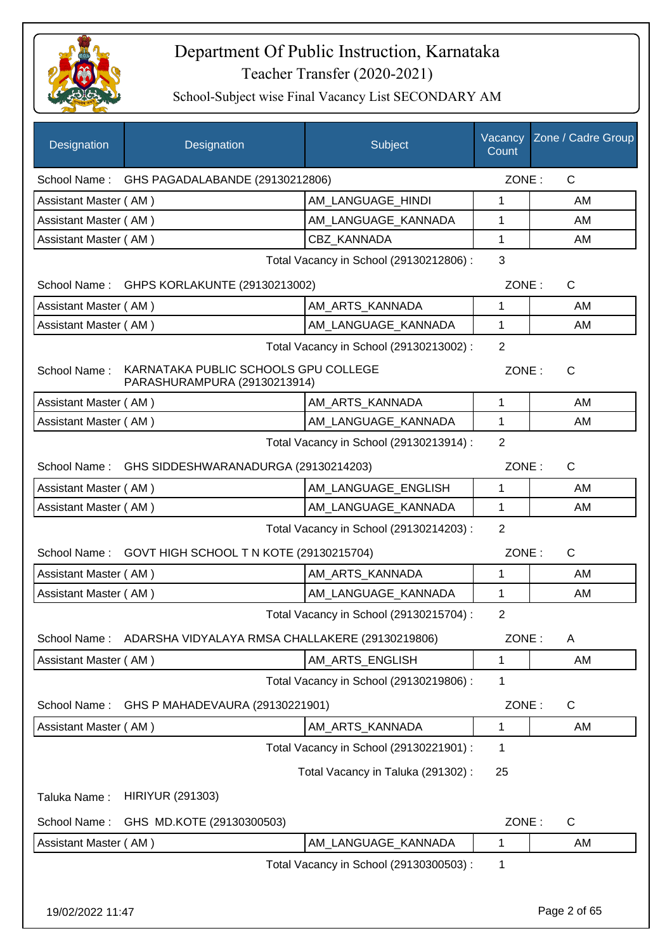

| Designation           | Designation                                                          | Subject                                 | Vacancy<br>Count | Zone / Cadre Group |  |  |
|-----------------------|----------------------------------------------------------------------|-----------------------------------------|------------------|--------------------|--|--|
|                       | School Name: GHS PAGADALABANDE (29130212806)                         |                                         | ZONE:            | $\mathsf{C}$       |  |  |
| Assistant Master (AM) |                                                                      | AM_LANGUAGE_HINDI                       | 1                | AM                 |  |  |
| Assistant Master (AM) |                                                                      | AM_LANGUAGE_KANNADA                     | 1                | AM                 |  |  |
| Assistant Master (AM) |                                                                      | <b>CBZ KANNADA</b>                      | 1                | AM                 |  |  |
|                       |                                                                      | Total Vacancy in School (29130212806) : | 3                |                    |  |  |
|                       | School Name: GHPS KORLAKUNTE (29130213002)                           |                                         | ZONE:            | $\mathsf{C}$       |  |  |
| Assistant Master (AM) |                                                                      | AM_ARTS_KANNADA                         | 1                | AM                 |  |  |
| Assistant Master (AM) |                                                                      | AM LANGUAGE KANNADA                     | 1                | AM                 |  |  |
|                       | $\overline{2}$<br>Total Vacancy in School (29130213002) :            |                                         |                  |                    |  |  |
| School Name:          | KARNATAKA PUBLIC SCHOOLS GPU COLLEGE<br>PARASHURAMPURA (29130213914) |                                         | ZONE:            | $\mathsf{C}$       |  |  |
| Assistant Master (AM) |                                                                      | AM_ARTS_KANNADA                         | 1                | AM                 |  |  |
| Assistant Master (AM) |                                                                      | AM_LANGUAGE_KANNADA                     | $\mathbf{1}$     | AM                 |  |  |
|                       |                                                                      | Total Vacancy in School (29130213914) : | $\overline{2}$   |                    |  |  |
| School Name:          | GHS SIDDESHWARANADURGA (29130214203)                                 |                                         | ZONE:            | C                  |  |  |
| Assistant Master (AM) |                                                                      | AM LANGUAGE ENGLISH                     | 1                | AM                 |  |  |
| Assistant Master (AM) |                                                                      | AM_LANGUAGE_KANNADA                     | 1                | AM                 |  |  |
|                       |                                                                      | Total Vacancy in School (29130214203) : | 2                |                    |  |  |
| School Name:          | GOVT HIGH SCHOOL T N KOTE (29130215704)                              |                                         | ZONE:            | $\mathsf{C}$       |  |  |
| Assistant Master (AM) |                                                                      | AM_ARTS_KANNADA                         | 1                | AM                 |  |  |
| Assistant Master (AM) |                                                                      | AM LANGUAGE KANNADA                     | 1                | AM                 |  |  |
|                       |                                                                      | Total Vacancy in School (29130215704) : | $\overline{2}$   |                    |  |  |
|                       | School Name: ADARSHA VIDYALAYA RMSA CHALLAKERE (29130219806)         |                                         | ZONE:            | A                  |  |  |
| Assistant Master (AM) |                                                                      | AM ARTS ENGLISH                         | 1                | AM                 |  |  |
|                       |                                                                      | Total Vacancy in School (29130219806) : | 1                |                    |  |  |
| School Name:          | GHS P MAHADEVAURA (29130221901)                                      |                                         | ZONE:            | $\mathsf{C}$       |  |  |
| Assistant Master (AM) |                                                                      | AM_ARTS_KANNADA                         | 1                | AM                 |  |  |
|                       |                                                                      | Total Vacancy in School (29130221901) : | 1                |                    |  |  |
|                       |                                                                      | Total Vacancy in Taluka (291302):       | 25               |                    |  |  |
| Taluka Name:          | <b>HIRIYUR (291303)</b>                                              |                                         |                  |                    |  |  |
| School Name:          | GHS MD.KOTE (29130300503)                                            |                                         | ZONE:            | $\mathsf{C}$       |  |  |
| Assistant Master (AM) |                                                                      | AM LANGUAGE KANNADA                     | 1                | AM                 |  |  |
|                       |                                                                      | Total Vacancy in School (29130300503) : | 1                |                    |  |  |
|                       |                                                                      |                                         |                  |                    |  |  |
| 19/02/2022 11:47      |                                                                      |                                         |                  | Page 2 of 65       |  |  |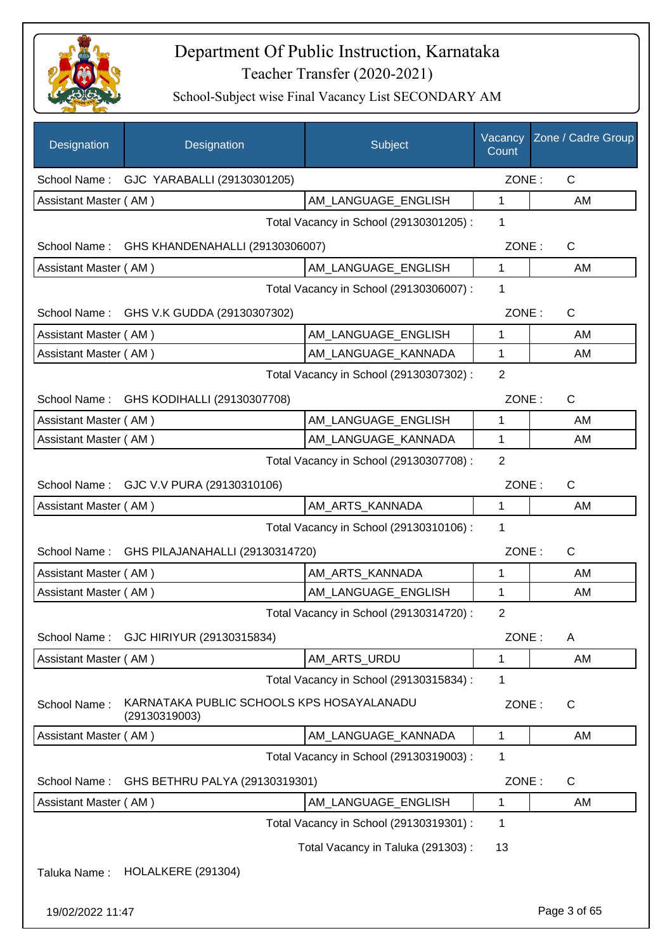

| Designation           | Designation                                                | Subject                                 | Vacancy<br>Count | Zone / Cadre Group |
|-----------------------|------------------------------------------------------------|-----------------------------------------|------------------|--------------------|
|                       | School Name: GJC YARABALLI (29130301205)                   |                                         | ZONE:            | C                  |
| Assistant Master (AM) |                                                            | AM_LANGUAGE_ENGLISH                     | 1                | AM                 |
|                       |                                                            | Total Vacancy in School (29130301205) : | 1                |                    |
|                       | School Name: GHS KHANDENAHALLI (29130306007)               |                                         | ZONE:            | C                  |
| Assistant Master (AM) |                                                            | AM LANGUAGE ENGLISH                     | 1                | AM                 |
|                       |                                                            | Total Vacancy in School (29130306007) : | 1                |                    |
|                       | School Name: GHS V.K GUDDA (29130307302)                   |                                         | ZONE:            | $\mathsf{C}$       |
| Assistant Master (AM) |                                                            | AM_LANGUAGE_ENGLISH                     | 1                | AM                 |
| Assistant Master (AM) |                                                            | AM LANGUAGE KANNADA                     | 1                | AM                 |
|                       |                                                            | Total Vacancy in School (29130307302) : | $\overline{2}$   |                    |
|                       | School Name: GHS KODIHALLI (29130307708)                   |                                         | ZONE:            | C                  |
| Assistant Master (AM) |                                                            | AM_LANGUAGE_ENGLISH                     | 1                | AM                 |
| Assistant Master (AM) |                                                            | AM_LANGUAGE_KANNADA                     | 1                | AM                 |
|                       |                                                            | Total Vacancy in School (29130307708) : | 2                |                    |
|                       | School Name: GJC V.V PURA (29130310106)                    |                                         | ZONE:            | C                  |
| Assistant Master (AM) |                                                            | AM_ARTS_KANNADA                         | 1                | AM                 |
|                       |                                                            | Total Vacancy in School (29130310106) : | 1                |                    |
| School Name:          | GHS PILAJANAHALLI (29130314720)                            |                                         | ZONE:            | C                  |
| Assistant Master (AM) |                                                            | AM_ARTS_KANNADA                         | 1                | AM                 |
| Assistant Master (AM) |                                                            | AM LANGUAGE ENGLISH                     | 1                | AM                 |
|                       |                                                            | Total Vacancy in School (29130314720) : | $\overline{2}$   |                    |
| School Name:          | GJC HIRIYUR (29130315834)                                  |                                         | ZONE:            | A                  |
| Assistant Master (AM) |                                                            | AM_ARTS_URDU                            | 1                | AM                 |
|                       |                                                            | Total Vacancy in School (29130315834) : | 1                |                    |
| School Name:          | KARNATAKA PUBLIC SCHOOLS KPS HOSAYALANADU<br>(29130319003) |                                         | ZONE:            | $\mathsf C$        |
| Assistant Master (AM) |                                                            | AM_LANGUAGE_KANNADA                     | 1                | AM                 |
|                       |                                                            | Total Vacancy in School (29130319003) : | 1                |                    |
| School Name:          | GHS BETHRU PALYA (29130319301)                             |                                         | ZONE:            | C                  |
| Assistant Master (AM) |                                                            | AM LANGUAGE ENGLISH                     | 1                | AM                 |
|                       |                                                            | Total Vacancy in School (29130319301) : | 1                |                    |
|                       |                                                            | Total Vacancy in Taluka (291303):       | 13               |                    |
| Taluka Name:          | <b>HOLALKERE (291304)</b>                                  |                                         |                  |                    |
| 19/02/2022 11:47      |                                                            |                                         |                  | Page 3 of 65       |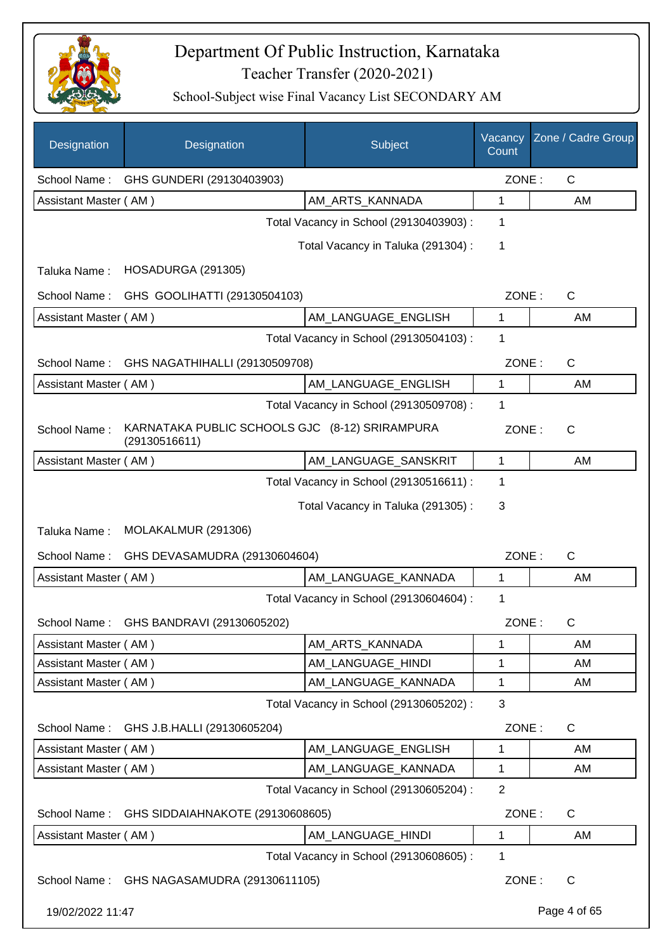

| Designation           | Designation                                                     | Subject                                 | Vacancy<br>Count | Zone / Cadre Group |
|-----------------------|-----------------------------------------------------------------|-----------------------------------------|------------------|--------------------|
| School Name:          | GHS GUNDERI (29130403903)                                       |                                         | ZONE:            | $\mathsf{C}$       |
| Assistant Master (AM) |                                                                 | AM_ARTS_KANNADA                         | 1                | AM                 |
|                       |                                                                 | Total Vacancy in School (29130403903) : | 1                |                    |
|                       |                                                                 | Total Vacancy in Taluka (291304) :      | 1                |                    |
| Taluka Name:          | HOSADURGA (291305)                                              |                                         |                  |                    |
| School Name:          | GHS GOOLIHATTI (29130504103)                                    |                                         | ZONE:            | C                  |
| Assistant Master (AM) |                                                                 | AM_LANGUAGE_ENGLISH                     | 1                | AM                 |
|                       |                                                                 | Total Vacancy in School (29130504103) : | 1                |                    |
| School Name:          | GHS NAGATHIHALLI (29130509708)                                  |                                         | ZONE:            | C                  |
| Assistant Master (AM) |                                                                 | AM_LANGUAGE_ENGLISH                     | 1                | AM                 |
|                       |                                                                 | Total Vacancy in School (29130509708) : | 1                |                    |
| School Name:          | KARNATAKA PUBLIC SCHOOLS GJC (8-12) SRIRAMPURA<br>(29130516611) |                                         | ZONE:            | C                  |
| Assistant Master (AM) |                                                                 | AM_LANGUAGE_SANSKRIT                    | 1                | AM                 |
|                       |                                                                 | Total Vacancy in School (29130516611) : | 1                |                    |
|                       |                                                                 | Total Vacancy in Taluka (291305):       | 3                |                    |
| Taluka Name:          | MOLAKALMUR (291306)                                             |                                         |                  |                    |
| School Name:          | GHS DEVASAMUDRA (29130604604)                                   |                                         | ZONE:            | $\mathsf{C}$       |
| Assistant Master (AM) |                                                                 | AM LANGUAGE KANNADA                     | $\mathbf{1}$     | AM                 |
|                       |                                                                 | Total Vacancy in School (29130604604) : | 1                |                    |
|                       | School Name: GHS BANDRAVI (29130605202)                         |                                         | ZONE:            | C                  |
| Assistant Master (AM) |                                                                 | AM_ARTS_KANNADA                         | 1                | AM                 |
| Assistant Master (AM) |                                                                 | AM_LANGUAGE_HINDI                       | 1                | AM                 |
| Assistant Master (AM) |                                                                 | AM LANGUAGE KANNADA                     | 1                | AM                 |
|                       |                                                                 | Total Vacancy in School (29130605202) : | 3                |                    |
|                       | School Name: GHS J.B.HALLI (29130605204)                        |                                         | ZONE:            | $\mathsf{C}$       |
| Assistant Master (AM) |                                                                 | AM_LANGUAGE_ENGLISH                     | 1                | AM                 |
| Assistant Master (AM) |                                                                 | AM_LANGUAGE_KANNADA                     | 1                | AM                 |
|                       |                                                                 | Total Vacancy in School (29130605204) : | $\overline{2}$   |                    |
| School Name:          | GHS SIDDAIAHNAKOTE (29130608605)                                |                                         | ZONE:            | C                  |
| Assistant Master (AM) |                                                                 | AM_LANGUAGE_HINDI                       | 1                | AM                 |
|                       |                                                                 | Total Vacancy in School (29130608605) : | 1                |                    |
|                       | School Name: GHS NAGASAMUDRA (29130611105)                      |                                         | ZONE:            | $\mathsf{C}$       |
| 19/02/2022 11:47      |                                                                 |                                         |                  | Page 4 of 65       |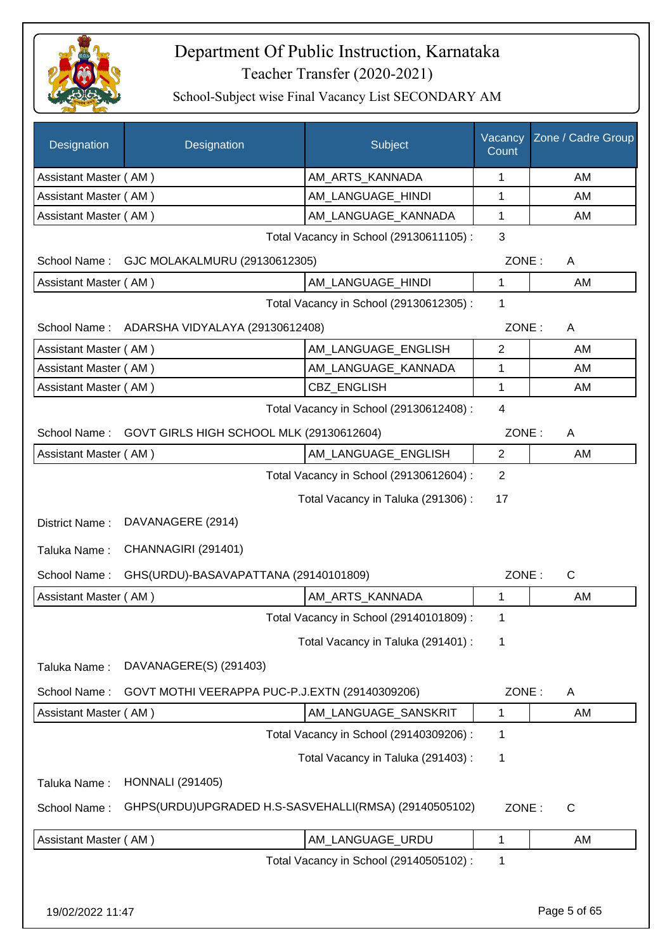

| Designation           | Designation                                           | Subject                                 | Vacancy<br>Count | Zone / Cadre Group |
|-----------------------|-------------------------------------------------------|-----------------------------------------|------------------|--------------------|
| Assistant Master (AM) |                                                       | AM_ARTS_KANNADA                         | 1                | AM                 |
| Assistant Master (AM) |                                                       | AM_LANGUAGE_HINDI                       | 1                | AM                 |
| Assistant Master (AM) |                                                       | AM_LANGUAGE_KANNADA                     | 1                | AM                 |
|                       |                                                       | Total Vacancy in School (29130611105) : | 3                |                    |
| School Name:          | GJC MOLAKALMURU (29130612305)                         |                                         | ZONE:            | A                  |
| Assistant Master (AM) |                                                       | AM_LANGUAGE_HINDI                       | 1                | AM                 |
|                       |                                                       | Total Vacancy in School (29130612305) : | 1                |                    |
|                       | School Name: ADARSHA VIDYALAYA (29130612408)          |                                         | ZONE:            | A                  |
| Assistant Master (AM) |                                                       | AM_LANGUAGE_ENGLISH                     | $\overline{2}$   | AM                 |
| Assistant Master (AM) |                                                       | AM LANGUAGE KANNADA                     | 1                | AM                 |
| Assistant Master (AM) |                                                       | CBZ_ENGLISH                             | 1                | AM                 |
|                       |                                                       | Total Vacancy in School (29130612408) : | $\overline{4}$   |                    |
| School Name:          | GOVT GIRLS HIGH SCHOOL MLK (29130612604)              |                                         | ZONE:            | A                  |
| Assistant Master (AM) |                                                       | AM_LANGUAGE_ENGLISH                     | $\mathbf{2}$     | AM                 |
|                       |                                                       | Total Vacancy in School (29130612604) : | $\overline{2}$   |                    |
|                       |                                                       | Total Vacancy in Taluka (291306):       | 17               |                    |
| District Name:        | DAVANAGERE (2914)                                     |                                         |                  |                    |
| Taluka Name:          | CHANNAGIRI (291401)                                   |                                         |                  |                    |
| School Name:          | GHS(URDU)-BASAVAPATTANA (29140101809)                 |                                         | ZONE:            | $\mathsf{C}$       |
| Assistant Master (AM) |                                                       | AM_ARTS_KANNADA                         | 1                | AM                 |
|                       |                                                       | Total Vacancy in School (29140101809) : | 1                |                    |
|                       |                                                       | Total Vacancy in Taluka (291401) :      | 1                |                    |
| Taluka Name:          | DAVANAGERE(S) (291403)                                |                                         |                  |                    |
| School Name:          | GOVT MOTHI VEERAPPA PUC-P.J.EXTN (29140309206)        |                                         | ZONE:            | A                  |
| Assistant Master (AM) |                                                       | AM_LANGUAGE_SANSKRIT                    | 1                | AM                 |
|                       |                                                       | Total Vacancy in School (29140309206) : | 1                |                    |
|                       |                                                       | Total Vacancy in Taluka (291403):       | 1                |                    |
| Taluka Name:          | <b>HONNALI</b> (291405)                               |                                         |                  |                    |
| School Name:          | GHPS(URDU)UPGRADED H.S-SASVEHALLI(RMSA) (29140505102) |                                         | ZONE:            | $\mathsf{C}$       |
| Assistant Master (AM) |                                                       | AM_LANGUAGE_URDU                        | 1                | AM                 |
|                       |                                                       | Total Vacancy in School (29140505102) : | 1                |                    |
|                       |                                                       |                                         |                  |                    |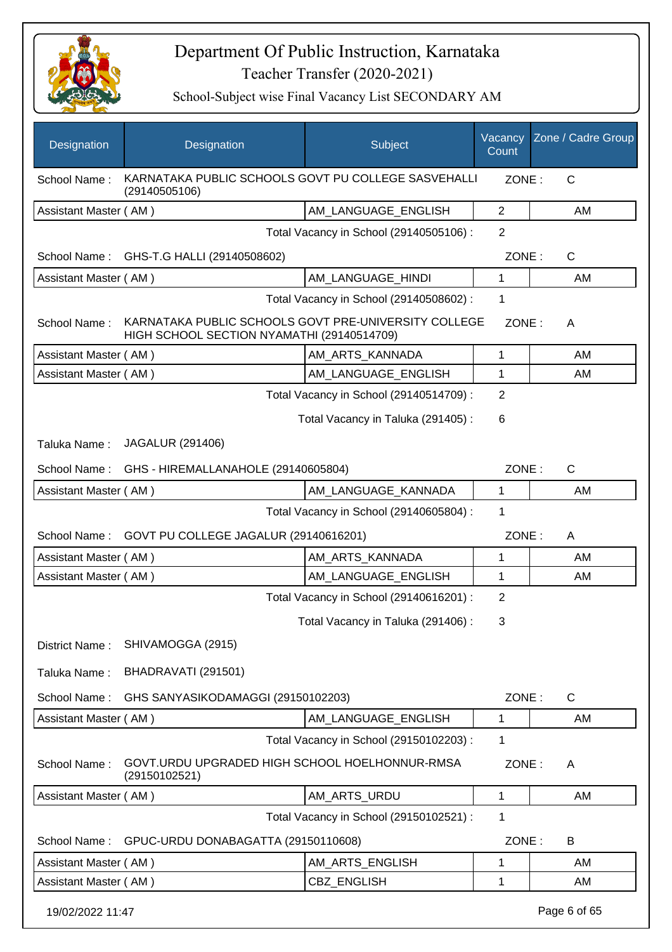

| Designation           | Designation                                                                                        | Subject                                 | Vacancy<br>Count | Zone / Cadre Group |
|-----------------------|----------------------------------------------------------------------------------------------------|-----------------------------------------|------------------|--------------------|
| School Name:          | KARNATAKA PUBLIC SCHOOLS GOVT PU COLLEGE SASVEHALLI<br>(29140505106)                               |                                         | ZONE:            | $\mathsf{C}$       |
| Assistant Master (AM) |                                                                                                    | AM_LANGUAGE_ENGLISH                     | 2                | AM                 |
|                       |                                                                                                    | Total Vacancy in School (29140505106) : | 2                |                    |
| School Name:          | GHS-T.G HALLI (29140508602)                                                                        |                                         | ZONE:            | C                  |
| Assistant Master (AM) |                                                                                                    | AM_LANGUAGE_HINDI                       | 1                | AM                 |
|                       |                                                                                                    | Total Vacancy in School (29140508602) : | 1                |                    |
| School Name:          | KARNATAKA PUBLIC SCHOOLS GOVT PRE-UNIVERSITY COLLEGE<br>HIGH SCHOOL SECTION NYAMATHI (29140514709) |                                         | ZONE:            | A                  |
| Assistant Master (AM) |                                                                                                    | AM_ARTS_KANNADA                         | 1                | AM                 |
| Assistant Master (AM) |                                                                                                    | AM LANGUAGE ENGLISH                     | 1                | AM                 |
|                       |                                                                                                    | Total Vacancy in School (29140514709) : | $\overline{2}$   |                    |
|                       |                                                                                                    | Total Vacancy in Taluka (291405):       | 6                |                    |
| Taluka Name:          | <b>JAGALUR (291406)</b>                                                                            |                                         |                  |                    |
| School Name:          | GHS - HIREMALLANAHOLE (29140605804)                                                                |                                         | ZONE:            | $\mathsf{C}$       |
| Assistant Master (AM) |                                                                                                    | AM_LANGUAGE_KANNADA                     | 1                | AM                 |
|                       |                                                                                                    | Total Vacancy in School (29140605804) : | $\mathbf 1$      |                    |
|                       | School Name: GOVT PU COLLEGE JAGALUR (29140616201)                                                 |                                         | ZONE:            | A                  |
| Assistant Master (AM) |                                                                                                    | AM_ARTS_KANNADA                         | 1                | AM                 |
| Assistant Master (AM) |                                                                                                    | AM_LANGUAGE_ENGLISH                     | 1                | AM                 |
|                       |                                                                                                    | Total Vacancy in School (29140616201) : | $\overline{2}$   |                    |
|                       |                                                                                                    | Total Vacancy in Taluka (291406) :      | 3                |                    |
| District Name:        | SHIVAMOGGA (2915)                                                                                  |                                         |                  |                    |
| Taluka Name:          | BHADRAVATI (291501)                                                                                |                                         |                  |                    |
| School Name:          | GHS SANYASIKODAMAGGI (29150102203)                                                                 |                                         | ZONE:            | C                  |
| Assistant Master (AM) |                                                                                                    | AM_LANGUAGE_ENGLISH                     | 1                | AM                 |
|                       |                                                                                                    | Total Vacancy in School (29150102203) : | 1                |                    |
| School Name:          | GOVT.URDU UPGRADED HIGH SCHOOL HOELHONNUR-RMSA<br>(29150102521)                                    |                                         | ZONE:            | A                  |
| Assistant Master (AM) |                                                                                                    | AM_ARTS_URDU                            | 1                | AM                 |
|                       |                                                                                                    | Total Vacancy in School (29150102521) : | 1                |                    |
| School Name:          | GPUC-URDU DONABAGATTA (29150110608)                                                                |                                         | ZONE:            | B                  |
| Assistant Master (AM) |                                                                                                    | AM_ARTS_ENGLISH                         | 1                | AM                 |
| Assistant Master (AM) |                                                                                                    | CBZ_ENGLISH                             | 1                | AM                 |
| 19/02/2022 11:47      |                                                                                                    |                                         |                  | Page 6 of 65       |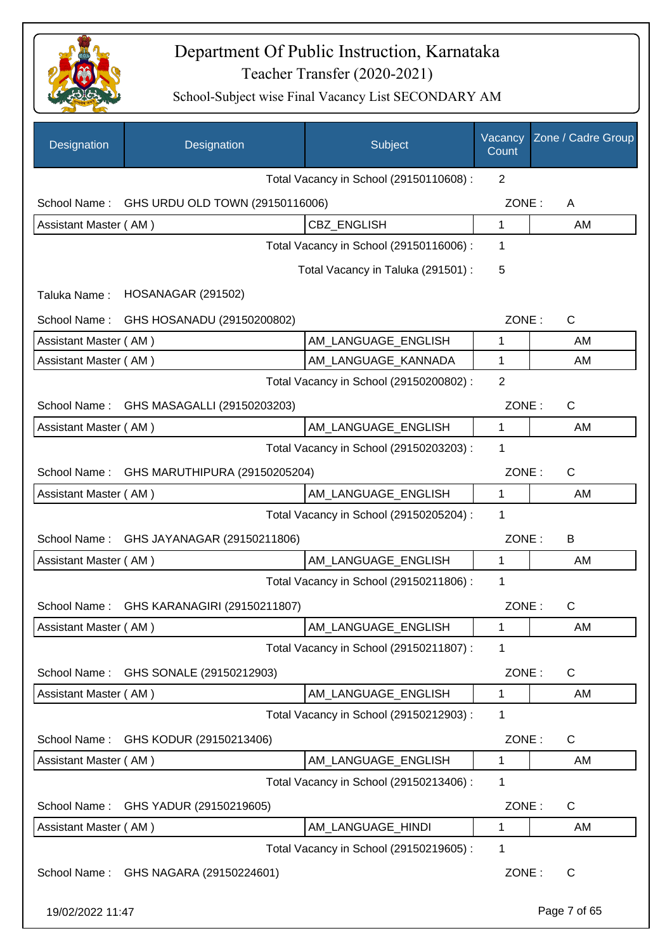

| Designation           | Designation                     | Subject                                 | Vacancy<br>Count | Zone / Cadre Group |
|-----------------------|---------------------------------|-----------------------------------------|------------------|--------------------|
|                       |                                 | Total Vacancy in School (29150110608) : | 2                |                    |
| School Name:          | GHS URDU OLD TOWN (29150116006) |                                         | ZONE:            | A                  |
| Assistant Master (AM) |                                 | <b>CBZ ENGLISH</b>                      | 1                | AM                 |
|                       |                                 | Total Vacancy in School (29150116006) : | 1                |                    |
|                       |                                 | Total Vacancy in Taluka (291501) :      | 5                |                    |
| Taluka Name:          | <b>HOSANAGAR (291502)</b>       |                                         |                  |                    |
| School Name:          | GHS HOSANADU (29150200802)      |                                         | ZONE:            | $\mathsf{C}$       |
| Assistant Master (AM) |                                 | AM_LANGUAGE_ENGLISH                     | 1                | AM                 |
| Assistant Master (AM) |                                 | AM LANGUAGE KANNADA                     | 1                | AM                 |
|                       |                                 | Total Vacancy in School (29150200802) : | $\overline{2}$   |                    |
| School Name:          | GHS MASAGALLI (29150203203)     |                                         | ZONE:            | $\mathsf{C}$       |
| Assistant Master (AM) |                                 | AM LANGUAGE ENGLISH                     | 1                | AM                 |
|                       |                                 | Total Vacancy in School (29150203203) : | 1                |                    |
| School Name:          | GHS MARUTHIPURA (29150205204)   |                                         | ZONE:            | $\mathsf{C}$       |
| Assistant Master (AM) |                                 | AM_LANGUAGE_ENGLISH                     | 1                | AM                 |
|                       |                                 | Total Vacancy in School (29150205204) : | 1                |                    |
| School Name:          | GHS JAYANAGAR (29150211806)     |                                         | ZONE:            | B                  |
| Assistant Master (AM) |                                 | AM_LANGUAGE_ENGLISH                     | 1                | AM                 |
|                       |                                 | Total Vacancy in School (29150211806) : | 1                |                    |
| School Name:          | GHS KARANAGIRI (29150211807)    |                                         | ZONE:            | C                  |
| Assistant Master (AM) |                                 | AM_LANGUAGE_ENGLISH                     | 1                | AM                 |
|                       |                                 | Total Vacancy in School (29150211807) : | 1                |                    |
| School Name:          | GHS SONALE (29150212903)        |                                         | ZONE:            | C                  |
| Assistant Master (AM) |                                 | AM_LANGUAGE_ENGLISH                     | 1                | AM                 |
|                       |                                 | Total Vacancy in School (29150212903) : | 1                |                    |
| School Name:          | GHS KODUR (29150213406)         |                                         | ZONE:            | C                  |
| Assistant Master (AM) |                                 | AM LANGUAGE ENGLISH                     | 1                | AM                 |
|                       |                                 | Total Vacancy in School (29150213406) : | 1                |                    |
| School Name:          | GHS YADUR (29150219605)         |                                         | ZONE:            | C                  |
| Assistant Master (AM) |                                 | AM LANGUAGE HINDI                       | 1                | AM                 |
|                       |                                 | Total Vacancy in School (29150219605) : | 1                |                    |
| School Name:          | GHS NAGARA (29150224601)        |                                         | ZONE:            | C                  |
| 19/02/2022 11:47      |                                 |                                         |                  | Page 7 of 65       |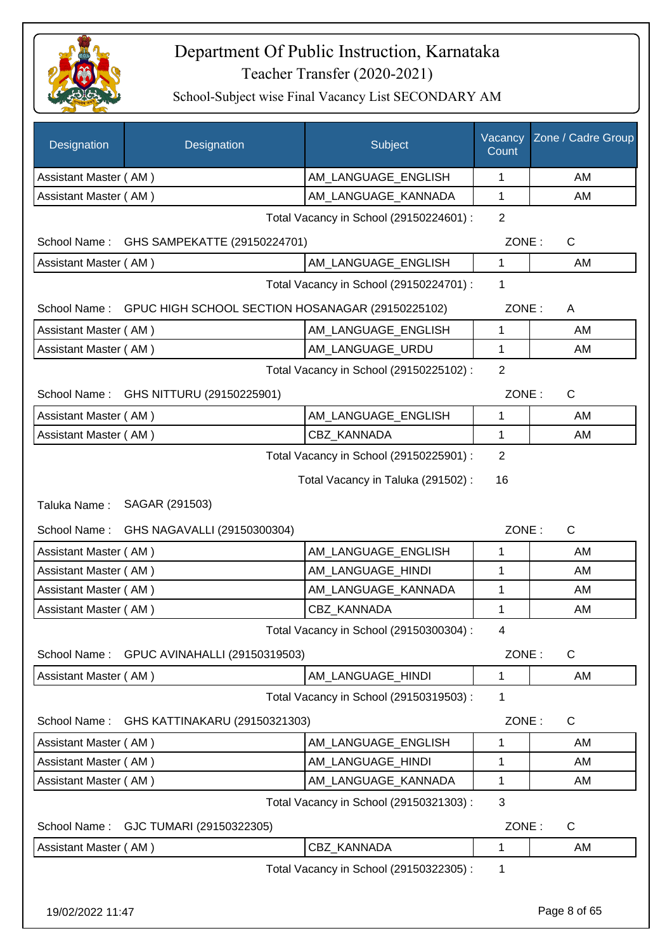

| Designation           | Designation                                                   | Subject                                 | Vacancy<br>Count | Zone / Cadre Group |
|-----------------------|---------------------------------------------------------------|-----------------------------------------|------------------|--------------------|
| Assistant Master (AM) |                                                               | AM_LANGUAGE_ENGLISH                     | 1                | AM                 |
| Assistant Master (AM) |                                                               | AM_LANGUAGE_KANNADA                     | $\mathbf{1}$     | AM                 |
|                       |                                                               | Total Vacancy in School (29150224601) : | $\overline{2}$   |                    |
|                       | School Name: GHS SAMPEKATTE (29150224701)                     |                                         | ZONE:            | C                  |
| Assistant Master (AM) |                                                               | AM_LANGUAGE_ENGLISH                     | 1                | AM                 |
|                       |                                                               | Total Vacancy in School (29150224701) : | 1                |                    |
|                       | School Name: GPUC HIGH SCHOOL SECTION HOSANAGAR (29150225102) |                                         | ZONE:            | A                  |
| Assistant Master (AM) |                                                               | AM_LANGUAGE_ENGLISH                     | 1                | AM                 |
| Assistant Master (AM) |                                                               | AM_LANGUAGE_URDU                        | $\mathbf{1}$     | AM                 |
|                       |                                                               | Total Vacancy in School (29150225102) : | 2                |                    |
|                       | School Name: GHS NITTURU (29150225901)                        |                                         | ZONE:            | $\mathsf{C}$       |
| Assistant Master (AM) |                                                               | AM_LANGUAGE_ENGLISH                     | 1                | AM                 |
| Assistant Master (AM) |                                                               | CBZ KANNADA                             | 1                | AM                 |
|                       |                                                               | Total Vacancy in School (29150225901) : | $\overline{2}$   |                    |
|                       |                                                               | Total Vacancy in Taluka (291502):       | 16               |                    |
| Taluka Name:          | SAGAR (291503)                                                |                                         |                  |                    |
| School Name:          | GHS NAGAVALLI (29150300304)                                   |                                         | ZONE:            | $\mathsf{C}$       |
| Assistant Master (AM) |                                                               | AM_LANGUAGE_ENGLISH                     | 1                | AM                 |
| Assistant Master (AM) |                                                               | AM_LANGUAGE_HINDI                       | 1                | AM                 |
| Assistant Master (AM) |                                                               | AM_LANGUAGE_KANNADA                     | 1                | AM                 |
| Assistant Master (AM) |                                                               | CBZ_KANNADA                             | 1                | AM                 |
|                       |                                                               | Total Vacancy in School (29150300304) : | 4                |                    |
| School Name:          | GPUC AVINAHALLI (29150319503)                                 |                                         | ZONE:            | $\mathsf{C}$       |
| Assistant Master (AM) |                                                               | AM LANGUAGE HINDI                       | 1                | AM                 |
|                       |                                                               | Total Vacancy in School (29150319503) : | 1                |                    |
| School Name:          | GHS KATTINAKARU (29150321303)                                 |                                         | ZONE:            | C                  |
| Assistant Master (AM) |                                                               | AM LANGUAGE ENGLISH                     | 1                | AM                 |
| Assistant Master (AM) |                                                               | AM_LANGUAGE_HINDI                       | 1                | AM                 |
| Assistant Master (AM) |                                                               | AM_LANGUAGE_KANNADA                     | 1                | AM                 |
|                       |                                                               | Total Vacancy in School (29150321303) : | 3                |                    |
| School Name:          | GJC TUMARI (29150322305)                                      |                                         | ZONE:            | C                  |
| Assistant Master (AM) |                                                               | <b>CBZ KANNADA</b>                      | 1                | AM                 |
|                       |                                                               | Total Vacancy in School (29150322305) : | 1                |                    |
| 19/02/2022 11:47      |                                                               |                                         |                  | Page 8 of 65       |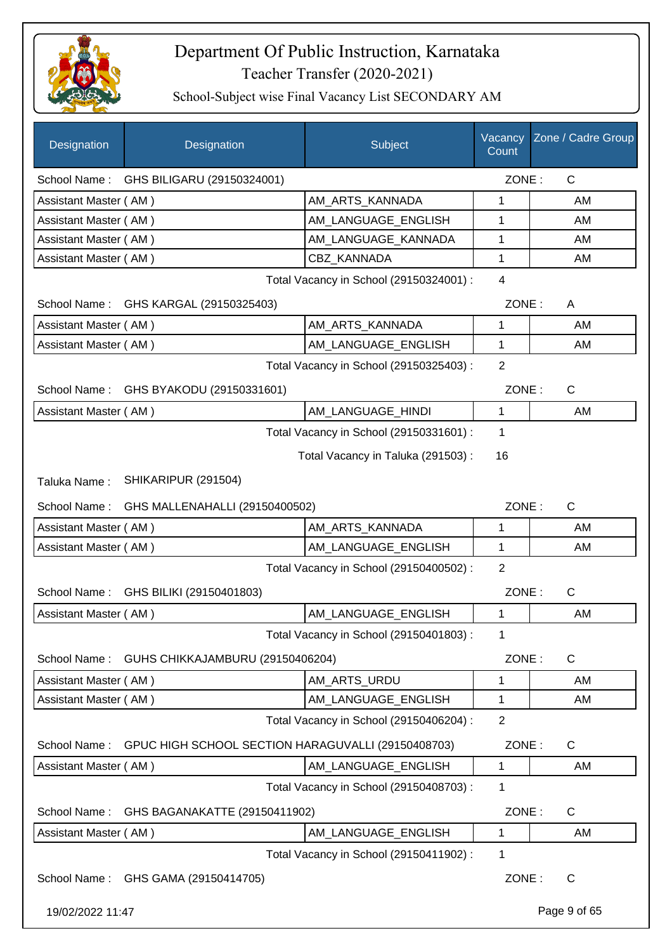

| Designation           | Designation                                        | Subject                                 | Count          | Vacancy Zone / Cadre Group |
|-----------------------|----------------------------------------------------|-----------------------------------------|----------------|----------------------------|
|                       | School Name: GHS BILIGARU (29150324001)            |                                         | ZONE:          | C                          |
| Assistant Master (AM) |                                                    | AM ARTS KANNADA                         | 1              | AM                         |
| Assistant Master (AM) |                                                    | AM_LANGUAGE_ENGLISH                     | $\mathbf{1}$   | AM                         |
| Assistant Master (AM) |                                                    | AM_LANGUAGE_KANNADA                     | 1              | AM                         |
| Assistant Master (AM) |                                                    | <b>CBZ KANNADA</b>                      | 1              | AM                         |
|                       |                                                    | Total Vacancy in School (29150324001) : | $\overline{4}$ |                            |
|                       | School Name: GHS KARGAL (29150325403)              |                                         | ZONE:          | A                          |
| Assistant Master (AM) |                                                    | AM_ARTS_KANNADA                         | $\mathbf{1}$   | AM                         |
| Assistant Master (AM) |                                                    | AM_LANGUAGE_ENGLISH                     | 1              | AM                         |
|                       |                                                    | Total Vacancy in School (29150325403) : | $\overline{2}$ |                            |
| School Name:          | GHS BYAKODU (29150331601)                          |                                         | ZONE:          | C                          |
| Assistant Master (AM) |                                                    | AM_LANGUAGE_HINDI                       | $\mathbf{1}$   | AM                         |
|                       |                                                    | Total Vacancy in School (29150331601) : | 1              |                            |
|                       |                                                    | Total Vacancy in Taluka (291503) :      | 16             |                            |
| Taluka Name:          | SHIKARIPUR (291504)                                |                                         |                |                            |
|                       |                                                    |                                         |                |                            |
| School Name:          | GHS MALLENAHALLI (29150400502)                     |                                         | ZONE:          | $\mathsf{C}$               |
| Assistant Master (AM) |                                                    | AM_ARTS_KANNADA                         | 1              | AM                         |
| Assistant Master (AM) |                                                    | AM_LANGUAGE_ENGLISH                     | $\mathbf{1}$   | AM                         |
|                       |                                                    | Total Vacancy in School (29150400502) : | 2              |                            |
|                       | School Name: GHS BILIKI (29150401803)              |                                         | ZONE:          | $\mathsf{C}$               |
| Assistant Master (AM) |                                                    | AM LANGUAGE ENGLISH                     | $\mathbf{1}$   | AM                         |
|                       |                                                    | Total Vacancy in School (29150401803) : | 1              |                            |
| School Name:          | GUHS CHIKKAJAMBURU (29150406204)                   |                                         | ZONE:          | $\mathsf C$                |
| Assistant Master (AM) |                                                    | AM ARTS URDU                            | 1              | AM                         |
| Assistant Master (AM) |                                                    | AM_LANGUAGE_ENGLISH                     | 1              | AM                         |
|                       |                                                    | Total Vacancy in School (29150406204) : | $\overline{2}$ |                            |
| School Name:          | GPUC HIGH SCHOOL SECTION HARAGUVALLI (29150408703) |                                         | ZONE:          | $\mathsf C$                |
| Assistant Master (AM) |                                                    | AM_LANGUAGE_ENGLISH                     | $\mathbf{1}$   | AM                         |
|                       |                                                    | Total Vacancy in School (29150408703) : | 1              |                            |
| School Name:          | GHS BAGANAKATTE (29150411902)                      |                                         | ZONE:          | $\mathsf C$                |
| Assistant Master (AM) |                                                    | AM LANGUAGE ENGLISH                     | 1              | AM                         |
|                       |                                                    | Total Vacancy in School (29150411902) : | 1              |                            |
| School Name:          | GHS GAMA (29150414705)                             |                                         | ZONE:          | C                          |
| 19/02/2022 11:47      |                                                    |                                         |                | Page 9 of 65               |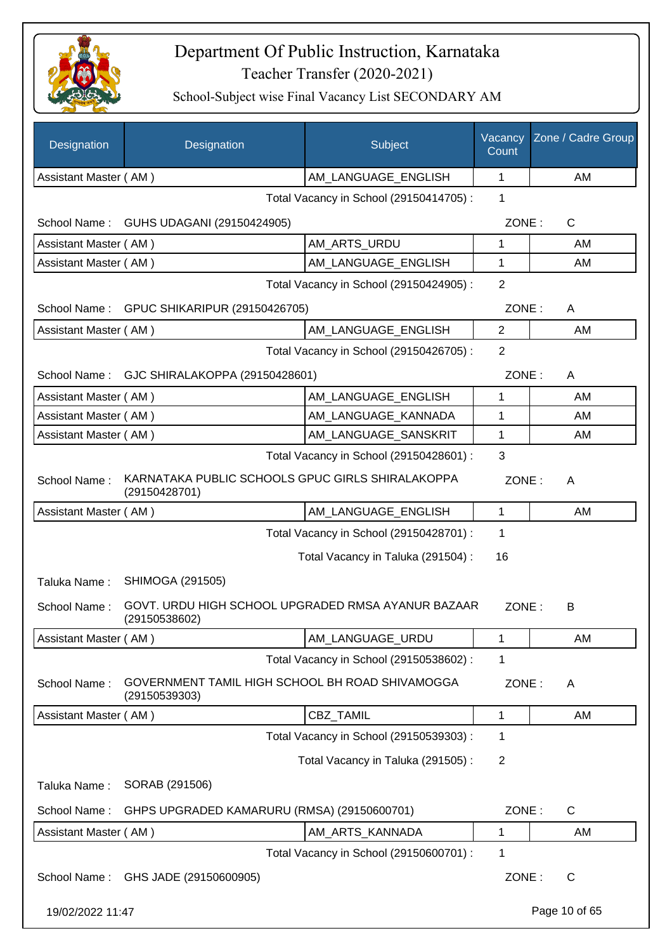

| Designation           | Designation                                                         | Subject                                 | Vacancy<br>Count | Zone / Cadre Group |
|-----------------------|---------------------------------------------------------------------|-----------------------------------------|------------------|--------------------|
| Assistant Master (AM) |                                                                     | AM LANGUAGE ENGLISH                     | 1                | AM                 |
|                       |                                                                     | Total Vacancy in School (29150414705) : | 1                |                    |
| School Name :         | GUHS UDAGANI (29150424905)                                          |                                         | ZONE:            | $\mathsf{C}$       |
| Assistant Master (AM) |                                                                     | AM_ARTS_URDU                            | 1                | AM                 |
| Assistant Master (AM) |                                                                     | AM_LANGUAGE_ENGLISH                     | 1                | AM                 |
|                       |                                                                     | Total Vacancy in School (29150424905) : | 2                |                    |
|                       | School Name: GPUC SHIKARIPUR (29150426705)                          |                                         | ZONE:            | A                  |
| Assistant Master (AM) |                                                                     | AM_LANGUAGE_ENGLISH                     | 2                | AM                 |
|                       |                                                                     | Total Vacancy in School (29150426705) : | $\overline{2}$   |                    |
| School Name:          | GJC SHIRALAKOPPA (29150428601)                                      |                                         | ZONE:            | A                  |
| Assistant Master (AM) |                                                                     | AM_LANGUAGE_ENGLISH                     | 1                | AM                 |
| Assistant Master (AM) |                                                                     | AM_LANGUAGE_KANNADA                     | 1                | AM                 |
| Assistant Master (AM) |                                                                     | AM_LANGUAGE_SANSKRIT                    | $\mathbf{1}$     | AM                 |
|                       |                                                                     | Total Vacancy in School (29150428601) : | 3                |                    |
| School Name:          | KARNATAKA PUBLIC SCHOOLS GPUC GIRLS SHIRALAKOPPA<br>(29150428701)   |                                         | ZONE:            | A                  |
| Assistant Master (AM) |                                                                     | AM_LANGUAGE_ENGLISH                     | 1                | AM                 |
|                       |                                                                     | Total Vacancy in School (29150428701) : | 1                |                    |
|                       |                                                                     | Total Vacancy in Taluka (291504) :      | 16               |                    |
| Taluka Name:          | SHIMOGA (291505)                                                    |                                         |                  |                    |
| School Name:          | GOVT. URDU HIGH SCHOOL UPGRADED RMSA AYANUR BAZAAR<br>(29150538602) |                                         | ZONE:            | B                  |
| Assistant Master (AM) |                                                                     | AM_LANGUAGE_URDU                        | 1                | AM                 |
|                       |                                                                     | Total Vacancy in School (29150538602) : | 1                |                    |
| School Name:          | GOVERNMENT TAMIL HIGH SCHOOL BH ROAD SHIVAMOGGA<br>(29150539303)    |                                         | ZONE:            | A                  |
| Assistant Master (AM) |                                                                     | CBZ_TAMIL                               | 1                | AM                 |
|                       |                                                                     | Total Vacancy in School (29150539303) : | 1                |                    |
|                       |                                                                     | Total Vacancy in Taluka (291505):       | $\overline{2}$   |                    |
| Taluka Name:          | SORAB (291506)                                                      |                                         |                  |                    |
| School Name:          | GHPS UPGRADED KAMARURU (RMSA) (29150600701)                         |                                         | ZONE:            | $\mathsf C$        |
| Assistant Master (AM) |                                                                     | AM_ARTS_KANNADA                         | 1                | AM                 |
|                       |                                                                     | Total Vacancy in School (29150600701) : | 1                |                    |
| School Name:          | GHS JADE (29150600905)                                              |                                         | ZONE:            | $\mathsf{C}$       |
| 19/02/2022 11:47      |                                                                     |                                         |                  | Page 10 of 65      |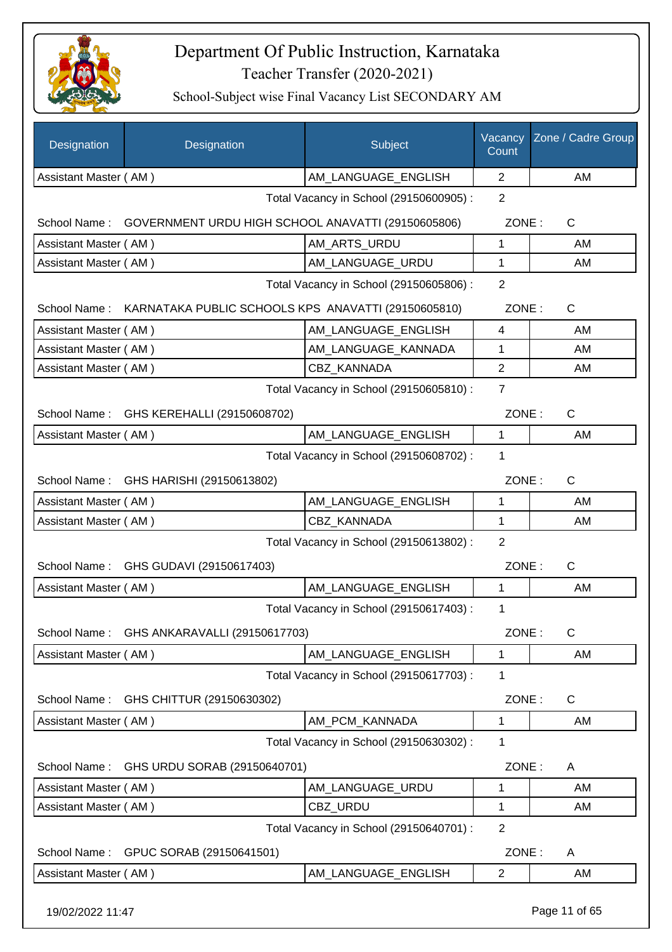

| Designation           | Designation                                                      | Subject                                 | Vacancy<br>Count | Zone / Cadre Group |
|-----------------------|------------------------------------------------------------------|-----------------------------------------|------------------|--------------------|
| Assistant Master (AM) |                                                                  | AM_LANGUAGE_ENGLISH                     | $\overline{2}$   | AM                 |
|                       |                                                                  | Total Vacancy in School (29150600905) : | 2                |                    |
|                       | School Name: GOVERNMENT URDU HIGH SCHOOL ANAVATTI (29150605806)  |                                         | ZONE:            | $\mathsf{C}$       |
| Assistant Master (AM) |                                                                  | AM_ARTS_URDU                            | 1                | AM                 |
| Assistant Master (AM) |                                                                  | AM_LANGUAGE_URDU                        | $\mathbf{1}$     | AM                 |
|                       |                                                                  | Total Vacancy in School (29150605806) : | $\overline{2}$   |                    |
|                       | School Name: KARNATAKA PUBLIC SCHOOLS KPS ANAVATTI (29150605810) |                                         | ZONE:            | $\mathsf{C}$       |
| Assistant Master (AM) |                                                                  | AM_LANGUAGE_ENGLISH                     | 4                | AM                 |
| Assistant Master (AM) |                                                                  | AM_LANGUAGE_KANNADA                     | 1                | AM                 |
| Assistant Master (AM) |                                                                  | <b>CBZ KANNADA</b>                      | $\overline{2}$   | AM                 |
|                       |                                                                  | Total Vacancy in School (29150605810) : | $\overline{7}$   |                    |
|                       | School Name: GHS KEREHALLI (29150608702)                         |                                         | ZONE:            | C                  |
| Assistant Master (AM) |                                                                  | AM_LANGUAGE_ENGLISH                     | $\mathbf{1}$     | AM                 |
|                       |                                                                  | Total Vacancy in School (29150608702) : | 1                |                    |
|                       | School Name: GHS HARISHI (29150613802)                           |                                         | ZONE:            | $\mathsf{C}$       |
| Assistant Master (AM) |                                                                  | AM_LANGUAGE_ENGLISH                     | 1                | AM                 |
| Assistant Master (AM) |                                                                  | <b>CBZ KANNADA</b>                      | $\mathbf{1}$     | AM                 |
|                       |                                                                  | Total Vacancy in School (29150613802) : | 2                |                    |
|                       | School Name: GHS GUDAVI (29150617403)                            |                                         | ZONE:            | $\mathsf{C}$       |
| Assistant Master (AM) |                                                                  | AM_LANGUAGE_ENGLISH                     | 1                | AM                 |
|                       |                                                                  | Total Vacancy in School (29150617403) : | 1                |                    |
| School Name:          | GHS ANKARAVALLI (29150617703)                                    |                                         | ZONE:            | $\mathsf C$        |
| Assistant Master (AM) |                                                                  | AM_LANGUAGE_ENGLISH                     | 1                | AM                 |
|                       |                                                                  | Total Vacancy in School (29150617703) : | 1                |                    |
| School Name:          | GHS CHITTUR (29150630302)                                        |                                         | ZONE:            | C                  |
| Assistant Master (AM) |                                                                  | AM_PCM_KANNADA                          | $\mathbf 1$      | AM                 |
|                       |                                                                  | Total Vacancy in School (29150630302) : | 1                |                    |
| School Name:          | GHS URDU SORAB (29150640701)                                     |                                         | ZONE:            | Α                  |
| Assistant Master (AM) |                                                                  | AM_LANGUAGE_URDU                        | 1                | AM                 |
| Assistant Master (AM) |                                                                  | CBZ URDU                                | 1                | AM                 |
|                       |                                                                  | Total Vacancy in School (29150640701) : | $\overline{2}$   |                    |
| School Name:          | GPUC SORAB (29150641501)                                         |                                         | ZONE:            | A                  |
| Assistant Master (AM) |                                                                  | AM_LANGUAGE_ENGLISH                     | $\overline{2}$   | AM                 |
| 19/02/2022 11:47      |                                                                  |                                         |                  | Page 11 of 65      |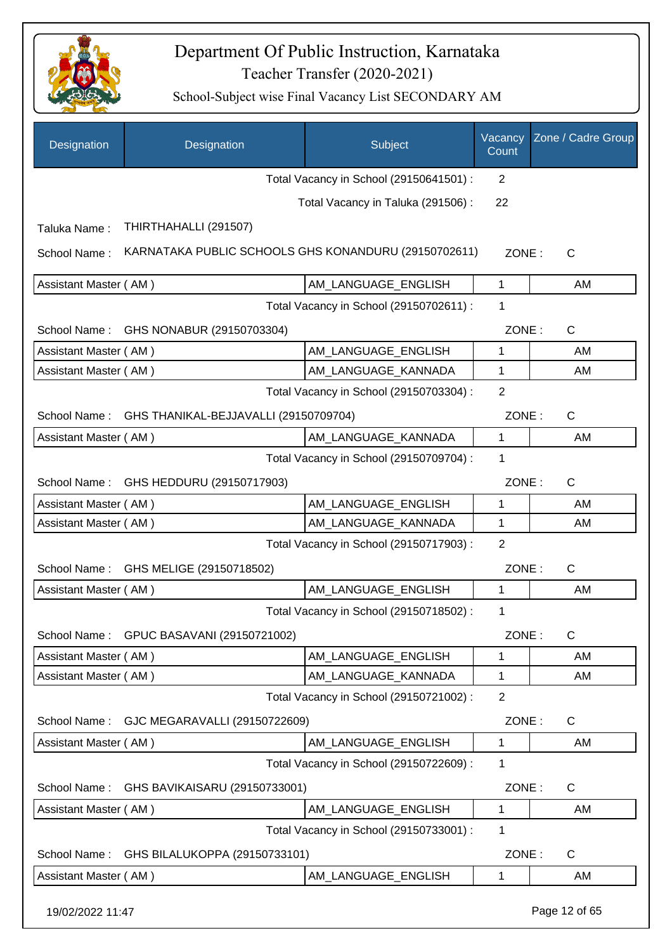

| Designation           | Designation                                          | Subject                                 | Vacancy<br>Count | Zone / Cadre Group |
|-----------------------|------------------------------------------------------|-----------------------------------------|------------------|--------------------|
|                       |                                                      | Total Vacancy in School (29150641501) : | 2                |                    |
|                       |                                                      | Total Vacancy in Taluka (291506) :      | 22               |                    |
| Taluka Name:          | THIRTHAHALLI (291507)                                |                                         |                  |                    |
| School Name:          | KARNATAKA PUBLIC SCHOOLS GHS KONANDURU (29150702611) |                                         | ZONE:            | $\mathsf{C}$       |
| Assistant Master (AM) |                                                      | AM_LANGUAGE_ENGLISH                     | 1                | AM                 |
|                       |                                                      | Total Vacancy in School (29150702611) : | 1                |                    |
| School Name:          | GHS NONABUR (29150703304)                            |                                         | ZONE:            | C                  |
| Assistant Master (AM) |                                                      | AM_LANGUAGE_ENGLISH                     | 1                | AM                 |
| Assistant Master (AM) |                                                      | AM_LANGUAGE_KANNADA                     | $\mathbf{1}$     | AM                 |
|                       |                                                      | Total Vacancy in School (29150703304) : | $\overline{2}$   |                    |
| School Name:          | GHS THANIKAL-BEJJAVALLI (29150709704)                |                                         | ZONE:            | $\mathsf{C}$       |
| Assistant Master (AM) |                                                      | AM_LANGUAGE_KANNADA                     | $\mathbf 1$      | AM                 |
|                       |                                                      | Total Vacancy in School (29150709704) : | 1                |                    |
| School Name:          | GHS HEDDURU (29150717903)                            |                                         | ZONE:            | $\mathsf{C}$       |
| Assistant Master (AM) |                                                      | AM_LANGUAGE_ENGLISH                     | 1                | AM                 |
| Assistant Master (AM) |                                                      | AM_LANGUAGE_KANNADA                     | $\mathbf{1}$     | AM                 |
|                       |                                                      | Total Vacancy in School (29150717903) : | $\overline{2}$   |                    |
| School Name:          | GHS MELIGE (29150718502)                             |                                         | ZONE:            | $\mathsf{C}$       |
| Assistant Master (AM) |                                                      | AM_LANGUAGE_ENGLISH                     | 1                | AM                 |
|                       |                                                      | Total Vacancy in School (29150718502) : | 1                |                    |
| School Name:          | GPUC BASAVANI (29150721002)                          |                                         | ZONE:            | $\mathsf{C}$       |
| Assistant Master (AM) |                                                      | AM_LANGUAGE_ENGLISH                     | $\mathbf 1$      | AM                 |
| Assistant Master (AM) |                                                      | AM_LANGUAGE_KANNADA                     | 1                | AM                 |
|                       |                                                      | Total Vacancy in School (29150721002) : | $\overline{2}$   |                    |
| School Name:          | GJC MEGARAVALLI (29150722609)                        |                                         | ZONE:            | C                  |
| Assistant Master (AM) |                                                      | AM_LANGUAGE_ENGLISH                     | 1                | AM                 |
|                       |                                                      | Total Vacancy in School (29150722609) : | 1                |                    |
| School Name:          | GHS BAVIKAISARU (29150733001)                        |                                         | ZONE:            | C                  |
| Assistant Master (AM) |                                                      | AM_LANGUAGE_ENGLISH                     | 1                | AM                 |
|                       |                                                      | Total Vacancy in School (29150733001) : | 1                |                    |
| School Name:          | GHS BILALUKOPPA (29150733101)                        |                                         | ZONE:            | $\mathsf{C}$       |
| Assistant Master (AM) |                                                      | AM_LANGUAGE_ENGLISH                     | 1                | AM                 |
| 19/02/2022 11:47      |                                                      |                                         |                  | Page 12 of 65      |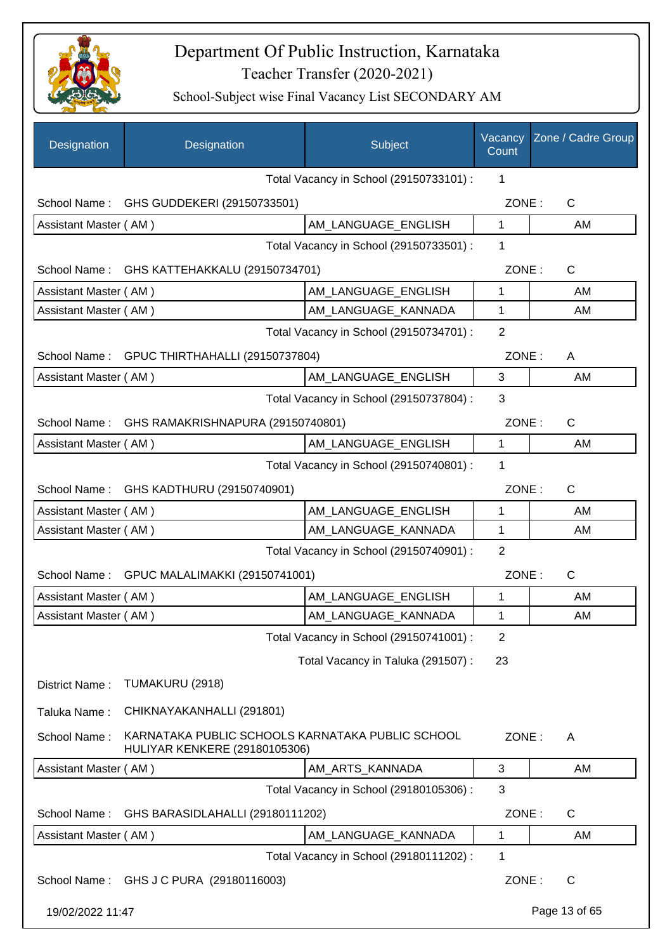

| <b>Designation</b>                                | Designation                                                                              | Subject                                 | Vacancy<br>Count | Zone / Cadre Group |
|---------------------------------------------------|------------------------------------------------------------------------------------------|-----------------------------------------|------------------|--------------------|
|                                                   |                                                                                          | Total Vacancy in School (29150733101) : | 1                |                    |
|                                                   | School Name: GHS GUDDEKERI (29150733501)                                                 |                                         | ZONE:            | $\mathsf{C}$       |
| Assistant Master (AM)                             |                                                                                          | AM_LANGUAGE_ENGLISH                     | 1                | AM                 |
|                                                   |                                                                                          | Total Vacancy in School (29150733501) : | 1                |                    |
|                                                   | School Name: GHS KATTEHAKKALU (29150734701)                                              |                                         | ZONE:            | $\mathsf{C}$       |
| Assistant Master (AM)                             |                                                                                          | AM_LANGUAGE_ENGLISH                     | 1                | AM                 |
| Assistant Master (AM)                             |                                                                                          | AM_LANGUAGE_KANNADA                     | 1                | AM                 |
|                                                   |                                                                                          | Total Vacancy in School (29150734701) : | $\overline{2}$   |                    |
| School Name:                                      | GPUC THIRTHAHALLI (29150737804)                                                          |                                         | ZONE:            | A                  |
| Assistant Master (AM)                             |                                                                                          | AM LANGUAGE ENGLISH                     | 3                | AM                 |
|                                                   |                                                                                          | Total Vacancy in School (29150737804) : | 3                |                    |
| GHS RAMAKRISHNAPURA (29150740801)<br>School Name: |                                                                                          |                                         | ZONE:            | $\mathsf{C}$       |
| Assistant Master (AM)                             |                                                                                          | AM LANGUAGE ENGLISH                     | 1                | AM                 |
|                                                   |                                                                                          | Total Vacancy in School (29150740801) : | 1                |                    |
| School Name:                                      | GHS KADTHURU (29150740901)                                                               |                                         | ZONE:            | C                  |
| Assistant Master (AM)                             |                                                                                          | AM LANGUAGE ENGLISH                     | 1                | AM                 |
| Assistant Master (AM)                             |                                                                                          | AM_LANGUAGE_KANNADA                     | $\mathbf{1}$     | AM                 |
|                                                   |                                                                                          | Total Vacancy in School (29150740901) : | $\overline{2}$   |                    |
|                                                   | School Name: GPUC MALALIMAKKI (29150741001)                                              |                                         | ZONE:            | $\mathsf{C}$       |
| Assistant Master (AM)                             |                                                                                          | AM_LANGUAGE_ENGLISH                     | 1                | AM                 |
| Assistant Master (AM)                             |                                                                                          | AM LANGUAGE KANNADA                     | 1                | AM                 |
|                                                   |                                                                                          | Total Vacancy in School (29150741001) : | 2                |                    |
|                                                   |                                                                                          | Total Vacancy in Taluka (291507) :      | 23               |                    |
| District Name:                                    | TUMAKURU (2918)                                                                          |                                         |                  |                    |
|                                                   |                                                                                          |                                         |                  |                    |
| Taluka Name:                                      | CHIKNAYAKANHALLI (291801)                                                                |                                         |                  |                    |
| School Name:                                      | KARNATAKA PUBLIC SCHOOLS KARNATAKA PUBLIC SCHOOL<br><b>HULIYAR KENKERE (29180105306)</b> |                                         | ZONE:            | A                  |
| Assistant Master (AM)                             |                                                                                          | AM_ARTS_KANNADA                         | 3                | AM                 |
|                                                   |                                                                                          | Total Vacancy in School (29180105306) : | 3                |                    |
| School Name:                                      | GHS BARASIDLAHALLI (29180111202)                                                         |                                         | ZONE:            | $\mathsf{C}$       |
| Assistant Master (AM)                             |                                                                                          | AM_LANGUAGE_KANNADA                     | 1                | AM                 |
|                                                   |                                                                                          | Total Vacancy in School (29180111202) : | 1                |                    |
|                                                   | School Name: GHS J C PURA (29180116003)                                                  |                                         | ZONE:            | $\mathsf{C}$       |
| 19/02/2022 11:47                                  |                                                                                          |                                         |                  | Page 13 of 65      |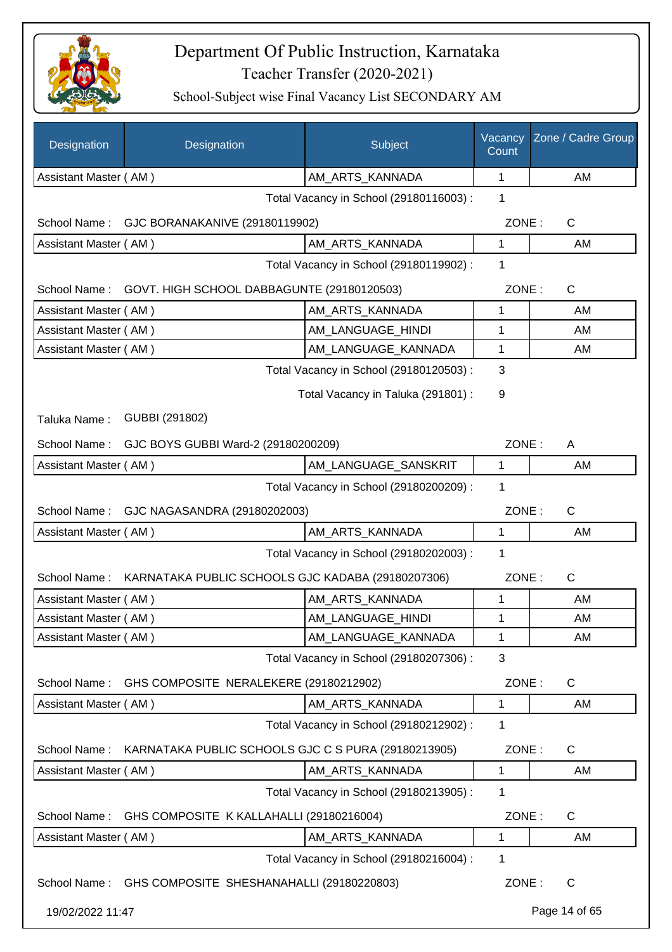

| Designation                             | Designation                                            | Subject                                 | Vacancy<br>Count | Zone / Cadre Group |  |
|-----------------------------------------|--------------------------------------------------------|-----------------------------------------|------------------|--------------------|--|
| Assistant Master (AM)                   |                                                        | AM_ARTS_KANNADA                         | 1                | AM                 |  |
|                                         |                                                        | Total Vacancy in School (29180116003):  | 1                |                    |  |
|                                         | School Name: GJC BORANAKANIVE (29180119902)            |                                         | ZONE:            | C                  |  |
| Assistant Master (AM)                   |                                                        | AM ARTS KANNADA                         | 1                | AM                 |  |
|                                         |                                                        | Total Vacancy in School (29180119902) : | 1                |                    |  |
| School Name:                            | GOVT. HIGH SCHOOL DABBAGUNTE (29180120503)             |                                         | ZONE:            | C                  |  |
| Assistant Master (AM)                   |                                                        | AM_ARTS_KANNADA                         | 1                | AM                 |  |
| Assistant Master (AM)                   |                                                        | AM LANGUAGE HINDI                       | 1                | AM                 |  |
| Assistant Master (AM)                   |                                                        | AM LANGUAGE KANNADA                     | 1                | AM                 |  |
|                                         |                                                        | Total Vacancy in School (29180120503) : | 3                |                    |  |
|                                         |                                                        | Total Vacancy in Taluka (291801) :      | 9                |                    |  |
| Taluka Name:                            | GUBBI (291802)                                         |                                         |                  |                    |  |
| School Name:                            | GJC BOYS GUBBI Ward-2 (29180200209)                    |                                         | ZONE:            | A                  |  |
| Assistant Master (AM)                   |                                                        | AM_LANGUAGE_SANSKRIT                    | 1                | AM                 |  |
|                                         | Total Vacancy in School (29180200209) :<br>1           |                                         |                  |                    |  |
|                                         | School Name: GJC NAGASANDRA (29180202003)              |                                         | ZONE:            | $\mathsf{C}$       |  |
| Assistant Master (AM)                   |                                                        | AM_ARTS_KANNADA                         | 1                | AM                 |  |
| Total Vacancy in School (29180202003) : |                                                        |                                         | 1                |                    |  |
| School Name:                            | KARNATAKA PUBLIC SCHOOLS GJC KADABA (29180207306)      |                                         | ZONE:            | C                  |  |
| Assistant Master (AM)                   |                                                        | AM_ARTS_KANNADA                         | 1                | AM                 |  |
| Assistant Master (AM)                   |                                                        | AM LANGUAGE HINDI                       | 1                | AM                 |  |
| Assistant Master (AM)                   |                                                        | AM_LANGUAGE_KANNADA                     | 1                | AM                 |  |
|                                         |                                                        | Total Vacancy in School (29180207306) : | 3                |                    |  |
| School Name:                            | GHS COMPOSITE NERALEKERE (29180212902)                 |                                         | ZONE:            | C                  |  |
| Assistant Master (AM)                   |                                                        | AM_ARTS_KANNADA                         | 1                | AM                 |  |
|                                         |                                                        | Total Vacancy in School (29180212902) : | 1                |                    |  |
| School Name:                            | KARNATAKA PUBLIC SCHOOLS GJC C S PURA (29180213905)    |                                         | ZONE:            | C                  |  |
| Assistant Master (AM)                   |                                                        | AM_ARTS_KANNADA                         | 1                | AM                 |  |
|                                         |                                                        | Total Vacancy in School (29180213905) : | 1                |                    |  |
| School Name:                            | GHS COMPOSITE K KALLAHALLI (29180216004)               |                                         | ZONE:            | C                  |  |
| Assistant Master (AM)                   |                                                        | AM_ARTS_KANNADA                         | 1                | AM                 |  |
|                                         |                                                        | Total Vacancy in School (29180216004) : | 1                |                    |  |
|                                         | School Name: GHS COMPOSITE SHESHANAHALLI (29180220803) |                                         | ZONE:            | $\mathsf{C}$       |  |
| 19/02/2022 11:47                        |                                                        |                                         |                  | Page 14 of 65      |  |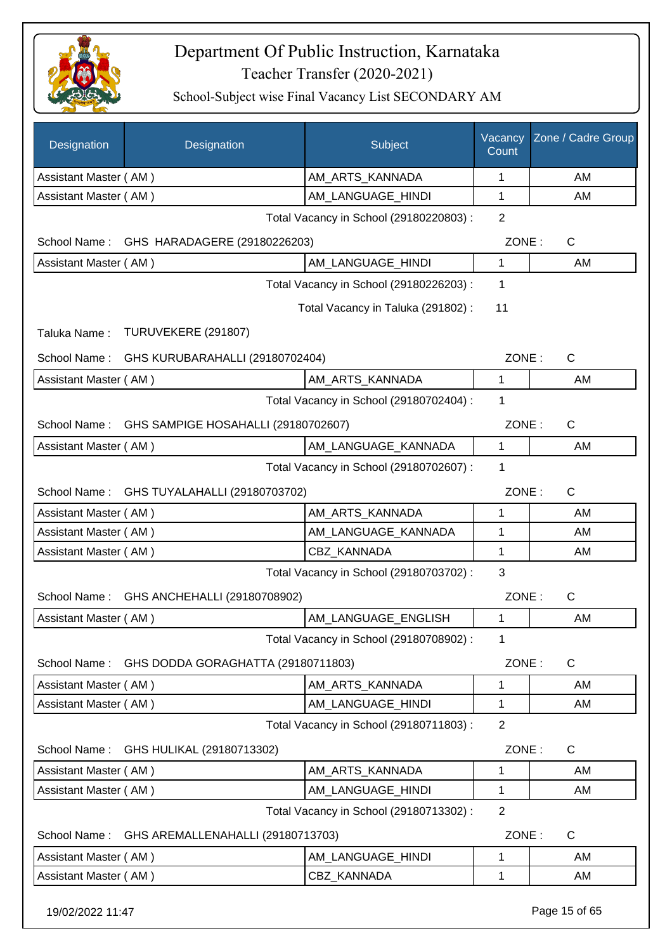

| <b>Designation</b>    | Designation                             | Subject                                 | Vacancy<br>Count | Zone / Cadre Group |
|-----------------------|-----------------------------------------|-----------------------------------------|------------------|--------------------|
| Assistant Master (AM) |                                         | AM_ARTS_KANNADA                         | 1                | AM                 |
| Assistant Master (AM) |                                         | AM LANGUAGE HINDI                       | 1                | AM                 |
|                       |                                         | Total Vacancy in School (29180220803) : | $\overline{2}$   |                    |
| School Name:          | GHS HARADAGERE (29180226203)            |                                         | ZONE:            | C                  |
| Assistant Master (AM) |                                         | AM_LANGUAGE_HINDI                       | 1                | AM                 |
|                       | Total Vacancy in School (29180226203) : |                                         |                  |                    |
|                       |                                         | Total Vacancy in Taluka (291802) :      | 11               |                    |
| Taluka Name:          | TURUVEKERE (291807)                     |                                         |                  |                    |
| School Name:          | GHS KURUBARAHALLI (29180702404)         |                                         | ZONE:            | $\mathsf{C}$       |
| Assistant Master (AM) |                                         | AM ARTS KANNADA                         | 1                | AM                 |
|                       |                                         | Total Vacancy in School (29180702404) : | 1                |                    |
| School Name:          | GHS SAMPIGE HOSAHALLI (29180702607)     |                                         | ZONE:            | C                  |
| Assistant Master (AM) |                                         | AM LANGUAGE KANNADA                     | 1                | AM                 |
|                       |                                         | Total Vacancy in School (29180702607) : | 1                |                    |
| School Name:          | GHS TUYALAHALLI (29180703702)           |                                         | ZONE:            | $\mathsf{C}$       |
| Assistant Master (AM) |                                         | AM_ARTS_KANNADA                         | 1                | AM                 |
| Assistant Master (AM) |                                         | AM_LANGUAGE_KANNADA                     | 1                | AM                 |
| Assistant Master (AM) |                                         | CBZ_KANNADA                             | 1                | AM                 |
|                       |                                         | Total Vacancy in School (29180703702) : | 3                |                    |
| School Name:          | GHS ANCHEHALLI (29180708902)            |                                         | ZONE:            | $\mathsf{C}$       |
| Assistant Master (AM) |                                         | AM_LANGUAGE_ENGLISH                     | 1                | AM                 |
|                       |                                         | Total Vacancy in School (29180708902) : | 1                |                    |
| School Name:          | GHS DODDA GORAGHATTA (29180711803)      |                                         | ZONE:            | $\mathsf{C}$       |
| Assistant Master (AM) |                                         | AM_ARTS_KANNADA                         | 1                | AM                 |
| Assistant Master (AM) |                                         | AM_LANGUAGE_HINDI                       | 1                | AM                 |
|                       |                                         | Total Vacancy in School (29180711803) : | $\overline{2}$   |                    |
| School Name:          | GHS HULIKAL (29180713302)               |                                         | ZONE:            | $\mathsf{C}$       |
| Assistant Master (AM) |                                         | AM_ARTS_KANNADA                         | 1                | AM                 |
| Assistant Master (AM) |                                         | AM_LANGUAGE_HINDI                       | 1                | AM                 |
|                       |                                         | Total Vacancy in School (29180713302) : | $\overline{2}$   |                    |
| School Name:          | GHS AREMALLENAHALLI (29180713703)       |                                         | ZONE:            | C                  |
| Assistant Master (AM) |                                         | AM_LANGUAGE_HINDI                       | 1                | AM                 |
| Assistant Master (AM) |                                         | CBZ_KANNADA                             | 1                | AM                 |
| 19/02/2022 11:47      |                                         |                                         |                  | Page 15 of 65      |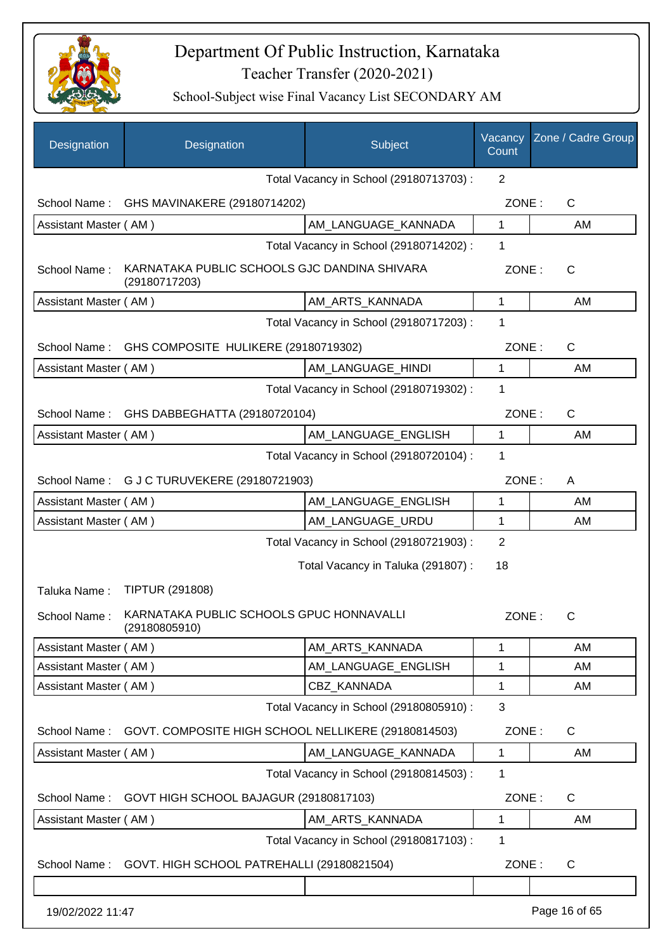

| <b>Designation</b>    | Designation                                                   | Subject                                 | Vacancy<br>Count | Zone / Cadre Group |
|-----------------------|---------------------------------------------------------------|-----------------------------------------|------------------|--------------------|
|                       |                                                               | Total Vacancy in School (29180713703) : | $\overline{2}$   |                    |
| School Name:          | GHS MAVINAKERE (29180714202)                                  |                                         | ZONE:            | C                  |
| Assistant Master (AM) |                                                               | AM LANGUAGE_KANNADA                     | 1                | AM                 |
|                       |                                                               | Total Vacancy in School (29180714202) : | 1                |                    |
| School Name:          | KARNATAKA PUBLIC SCHOOLS GJC DANDINA SHIVARA<br>(29180717203) |                                         | ZONE:            | $\mathsf{C}$       |
| Assistant Master (AM) |                                                               | AM_ARTS_KANNADA                         | 1                | AM                 |
|                       |                                                               | Total Vacancy in School (29180717203) : | 1                |                    |
| School Name:          | GHS COMPOSITE HULIKERE (29180719302)                          |                                         | ZONE:            | $\mathsf{C}$       |
| Assistant Master (AM) |                                                               | AM_LANGUAGE_HINDI                       | 1                | AM                 |
|                       |                                                               | Total Vacancy in School (29180719302) : | 1                |                    |
| School Name:          | GHS DABBEGHATTA (29180720104)                                 |                                         | ZONE:            | $\mathsf{C}$       |
| Assistant Master (AM) |                                                               | AM_LANGUAGE_ENGLISH                     | 1                | AM                 |
|                       |                                                               | Total Vacancy in School (29180720104) : | 1                |                    |
|                       | School Name: G J C TURUVEKERE (29180721903)                   |                                         | ZONE:            | A                  |
| Assistant Master (AM) |                                                               | AM_LANGUAGE_ENGLISH                     | 1                | AM                 |
| Assistant Master (AM) |                                                               | AM_LANGUAGE_URDU                        | 1                | AM                 |
|                       |                                                               | Total Vacancy in School (29180721903) : | $\overline{2}$   |                    |
|                       |                                                               | Total Vacancy in Taluka (291807) :      | 18               |                    |
| Taluka Name:          | <b>TIPTUR (291808)</b>                                        |                                         |                  |                    |
| School Name:          | KARNATAKA PUBLIC SCHOOLS GPUC HONNAVALLI<br>(29180805910)     |                                         | ZONE:            | C                  |
| Assistant Master (AM) |                                                               | AM_ARTS_KANNADA                         | 1                | AM                 |
| Assistant Master (AM) |                                                               | AM_LANGUAGE_ENGLISH                     | 1                | AM                 |
| Assistant Master (AM) |                                                               | CBZ_KANNADA                             | 1                | AM                 |
|                       |                                                               | Total Vacancy in School (29180805910) : | 3                |                    |
| School Name:          | GOVT. COMPOSITE HIGH SCHOOL NELLIKERE (29180814503)           |                                         | ZONE:            | C                  |
| Assistant Master (AM) |                                                               | AM_LANGUAGE_KANNADA                     | 1                | AM                 |
|                       |                                                               | Total Vacancy in School (29180814503) : | 1                |                    |
| School Name:          | GOVT HIGH SCHOOL BAJAGUR (29180817103)                        |                                         | ZONE:            | $\mathsf C$        |
| Assistant Master (AM) |                                                               | AM_ARTS_KANNADA                         | 1                | AM                 |
|                       |                                                               | Total Vacancy in School (29180817103) : | 1                |                    |
| School Name:          | GOVT. HIGH SCHOOL PATREHALLI (29180821504)                    |                                         | ZONE:            | $\mathsf{C}$       |
|                       |                                                               |                                         |                  |                    |
| 19/02/2022 11:47      |                                                               |                                         |                  | Page 16 of 65      |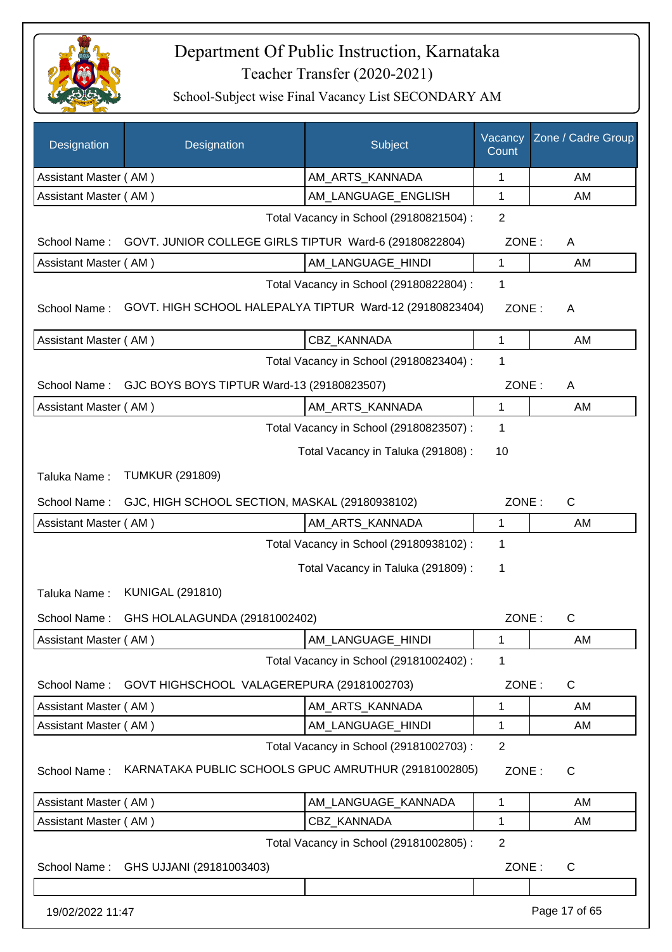

| Designation           | Designation                                              | Subject                                 | Vacancy<br>Count | Zone / Cadre Group |
|-----------------------|----------------------------------------------------------|-----------------------------------------|------------------|--------------------|
| Assistant Master (AM) |                                                          | AM_ARTS_KANNADA                         | 1                | AM                 |
| Assistant Master (AM) |                                                          | AM_LANGUAGE_ENGLISH                     | 1                | AM                 |
|                       |                                                          | Total Vacancy in School (29180821504) : | $\overline{2}$   |                    |
| School Name:          | GOVT. JUNIOR COLLEGE GIRLS TIPTUR Ward-6 (29180822804)   |                                         | ZONE:            | A                  |
| Assistant Master (AM) |                                                          | AM_LANGUAGE_HINDI                       | $\mathbf{1}$     | AM                 |
|                       |                                                          | Total Vacancy in School (29180822804) : | $\mathbf 1$      |                    |
| School Name:          | GOVT. HIGH SCHOOL HALEPALYA TIPTUR Ward-12 (29180823404) |                                         | ZONE:            | A                  |
| Assistant Master (AM) |                                                          | CBZ KANNADA                             | 1                | AM                 |
|                       |                                                          | Total Vacancy in School (29180823404) : | 1                |                    |
| School Name:          | GJC BOYS BOYS TIPTUR Ward-13 (29180823507)               |                                         | ZONE:            | A                  |
| Assistant Master (AM) |                                                          | AM_ARTS_KANNADA                         | $\mathbf{1}$     | AM                 |
|                       |                                                          | Total Vacancy in School (29180823507) : | 1                |                    |
|                       |                                                          | Total Vacancy in Taluka (291808) :      | 10               |                    |
| Taluka Name:          | <b>TUMKUR (291809)</b>                                   |                                         |                  |                    |
| School Name:          | GJC, HIGH SCHOOL SECTION, MASKAL (29180938102)           |                                         | ZONE:            | $\mathsf{C}$       |
| Assistant Master (AM) |                                                          | AM_ARTS_KANNADA                         | 1                | AM                 |
|                       |                                                          | Total Vacancy in School (29180938102) : | 1                |                    |
|                       |                                                          | Total Vacancy in Taluka (291809):       | 1                |                    |
| Taluka Name:          | <b>KUNIGAL (291810)</b>                                  |                                         |                  |                    |
| School Name:          | GHS HOLALAGUNDA (29181002402)                            |                                         | ZONE:            | C                  |
| Assistant Master (AM) |                                                          | AM LANGUAGE HINDI                       | 1                | AM                 |
|                       |                                                          | Total Vacancy in School (29181002402) : | 1                |                    |
| School Name:          | GOVT HIGHSCHOOL VALAGEREPURA (29181002703)               |                                         | ZONE:            | C                  |
| Assistant Master (AM) |                                                          | AM_ARTS_KANNADA                         | 1                | AM                 |
| Assistant Master (AM) |                                                          | AM_LANGUAGE_HINDI                       | 1                | AM                 |
|                       |                                                          | Total Vacancy in School (29181002703) : | $\overline{2}$   |                    |
| School Name:          | KARNATAKA PUBLIC SCHOOLS GPUC AMRUTHUR (29181002805)     |                                         | ZONE:            | $\mathsf{C}$       |
| Assistant Master (AM) |                                                          | AM_LANGUAGE_KANNADA                     | 1                | AM                 |
| Assistant Master (AM) |                                                          | <b>CBZ KANNADA</b>                      | 1                | AM                 |
|                       |                                                          | Total Vacancy in School (29181002805) : | $\overline{2}$   |                    |
| School Name:          | GHS UJJANI (29181003403)                                 |                                         | ZONE:            | $\mathsf{C}$       |
|                       |                                                          |                                         |                  |                    |
| 19/02/2022 11:47      |                                                          |                                         |                  | Page 17 of 65      |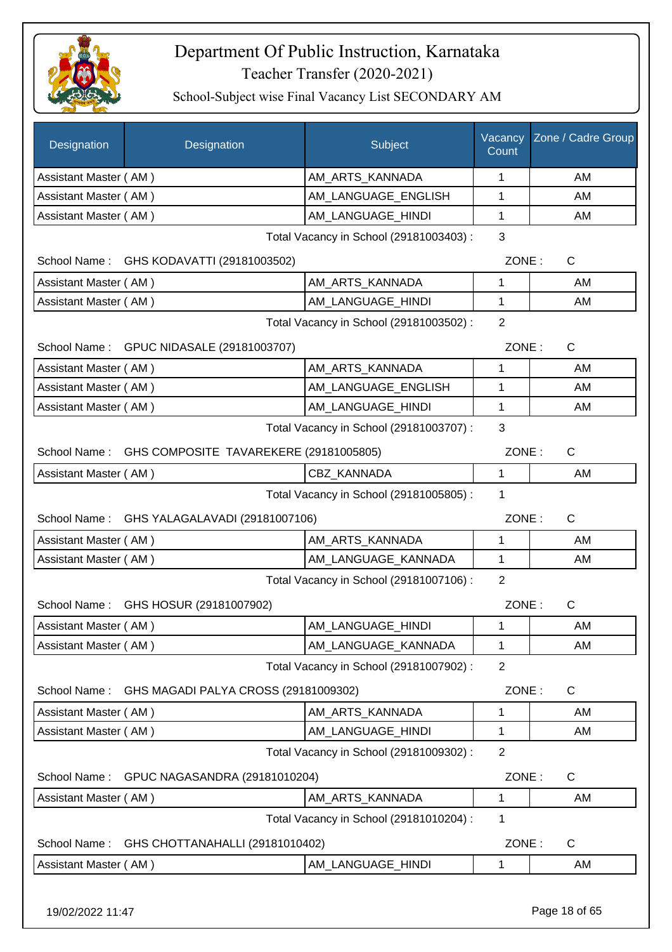

| Designation           | Designation                                         | Subject                                 | Vacancy<br>Count | Zone / Cadre Group |
|-----------------------|-----------------------------------------------------|-----------------------------------------|------------------|--------------------|
| Assistant Master (AM) |                                                     | AM_ARTS_KANNADA                         | 1                | AM                 |
| Assistant Master (AM) |                                                     | AM_LANGUAGE_ENGLISH                     | 1                | AM                 |
| Assistant Master (AM) |                                                     | AM_LANGUAGE_HINDI                       | 1                | AM                 |
|                       |                                                     | Total Vacancy in School (29181003403):  | 3                |                    |
|                       | School Name: GHS KODAVATTI (29181003502)            |                                         | ZONE:            | $\mathsf{C}$       |
| Assistant Master (AM) |                                                     | AM ARTS KANNADA                         | 1                | AM                 |
| Assistant Master (AM) |                                                     | AM_LANGUAGE_HINDI                       | 1                | AM                 |
|                       |                                                     | Total Vacancy in School (29181003502) : | $\overline{2}$   |                    |
|                       | School Name: GPUC NIDASALE (29181003707)            |                                         | ZONE:            | $\mathsf{C}$       |
| Assistant Master (AM) |                                                     | AM_ARTS_KANNADA                         | 1                | AM                 |
| Assistant Master (AM) |                                                     | AM LANGUAGE ENGLISH                     | $\mathbf{1}$     | AM                 |
| Assistant Master (AM) |                                                     | AM_LANGUAGE_HINDI                       | 1                | AM                 |
|                       |                                                     | Total Vacancy in School (29181003707) : | 3                |                    |
|                       | School Name: GHS COMPOSITE TAVAREKERE (29181005805) |                                         | ZONE:            | C                  |
| Assistant Master (AM) |                                                     | CBZ KANNADA                             | 1                | AM                 |
|                       |                                                     | Total Vacancy in School (29181005805) : | 1                |                    |
|                       | School Name: GHS YALAGALAVADI (29181007106)         |                                         | ZONE:            | C                  |
| Assistant Master (AM) |                                                     | AM_ARTS_KANNADA                         | 1                | AM                 |
| Assistant Master (AM) |                                                     | AM_LANGUAGE_KANNADA                     | 1                | AM                 |
|                       |                                                     | Total Vacancy in School (29181007106) : | $\overline{2}$   |                    |
|                       | School Name: GHS HOSUR (29181007902)                |                                         | ZONE:            | $\mathsf{C}$       |
| Assistant Master (AM) |                                                     | AM_LANGUAGE_HINDI                       | 1                | AM                 |
| Assistant Master (AM) |                                                     | AM_LANGUAGE_KANNADA                     | 1                | AM                 |
|                       |                                                     | Total Vacancy in School (29181007902) : | $\overline{2}$   |                    |
| School Name:          | GHS MAGADI PALYA CROSS (29181009302)                |                                         | ZONE:            | C                  |
| Assistant Master (AM) |                                                     | AM ARTS KANNADA                         | 1                | AM                 |
| Assistant Master (AM) |                                                     | AM_LANGUAGE_HINDI                       | 1                | AM                 |
|                       |                                                     | Total Vacancy in School (29181009302) : | $\overline{2}$   |                    |
| School Name:          | GPUC NAGASANDRA (29181010204)                       |                                         | ZONE:            | C                  |
| Assistant Master (AM) |                                                     | AM_ARTS_KANNADA                         | 1                | AM                 |
|                       |                                                     | Total Vacancy in School (29181010204) : | 1                |                    |
| School Name:          | GHS CHOTTANAHALLI (29181010402)                     |                                         | ZONE:            | $\mathsf{C}$       |
| Assistant Master (AM) |                                                     | AM_LANGUAGE_HINDI                       | 1                | AM                 |
| 19/02/2022 11:47      |                                                     |                                         |                  | Page 18 of 65      |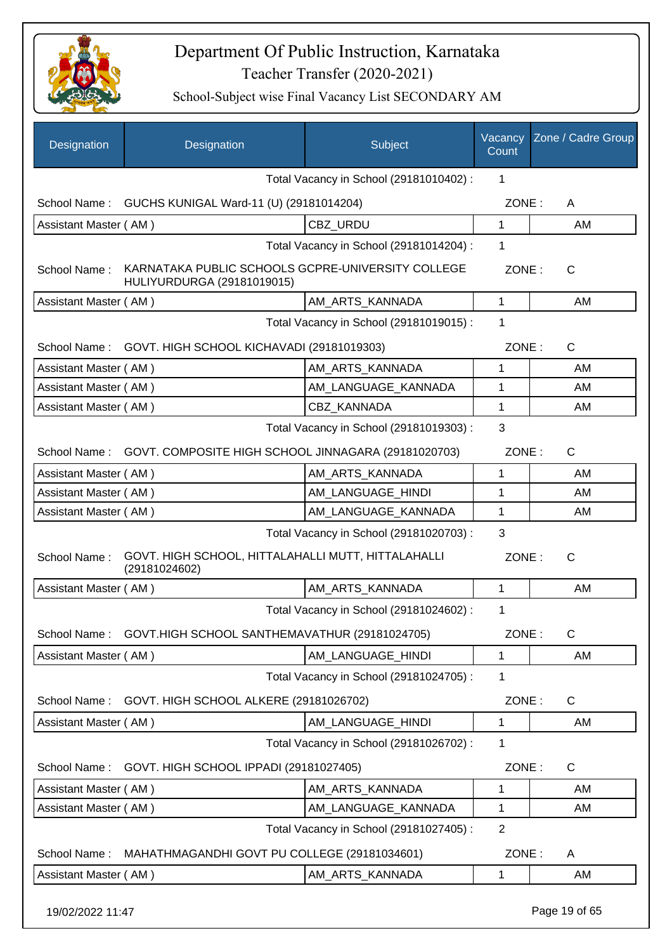

| Designation                             | Designation                                                                     | Subject                                 | Vacancy<br>Count | Zone / Cadre Group |
|-----------------------------------------|---------------------------------------------------------------------------------|-----------------------------------------|------------------|--------------------|
|                                         |                                                                                 | Total Vacancy in School (29181010402) : | 1                |                    |
| School Name:                            | GUCHS KUNIGAL Ward-11 (U) (29181014204)                                         |                                         | ZONE:            | A                  |
| Assistant Master (AM)                   |                                                                                 | CBZ URDU                                | 1                | AM                 |
|                                         |                                                                                 | Total Vacancy in School (29181014204) : | 1                |                    |
| School Name:                            | KARNATAKA PUBLIC SCHOOLS GCPRE-UNIVERSITY COLLEGE<br>HULIYURDURGA (29181019015) |                                         | ZONE:            | $\mathsf{C}$       |
| Assistant Master (AM)                   |                                                                                 | AM_ARTS_KANNADA                         | $\mathbf{1}$     | AM                 |
|                                         |                                                                                 | Total Vacancy in School (29181019015) : | 1                |                    |
| School Name:                            | GOVT. HIGH SCHOOL KICHAVADI (29181019303)                                       |                                         | ZONE:            | $\mathsf{C}$       |
| Assistant Master (AM)                   |                                                                                 | AM_ARTS_KANNADA                         | 1                | AM                 |
| Assistant Master (AM)                   |                                                                                 | AM_LANGUAGE_KANNADA                     | 1                | AM                 |
| Assistant Master (AM)                   |                                                                                 | <b>CBZ KANNADA</b>                      | 1                | AM                 |
| Total Vacancy in School (29181019303) : |                                                                                 |                                         |                  |                    |
| School Name:                            | GOVT. COMPOSITE HIGH SCHOOL JINNAGARA (29181020703)                             |                                         | ZONE:            | $\mathsf{C}$       |
| Assistant Master (AM)                   |                                                                                 | AM_ARTS_KANNADA                         | 1                | AM                 |
| Assistant Master (AM)                   |                                                                                 | AM_LANGUAGE_HINDI                       | 1                | AM                 |
| Assistant Master (AM)                   |                                                                                 | AM_LANGUAGE_KANNADA                     | 1                | AM                 |
|                                         |                                                                                 | Total Vacancy in School (29181020703) : | 3                |                    |
| School Name:                            | GOVT. HIGH SCHOOL, HITTALAHALLI MUTT, HITTALAHALLI<br>(29181024602)             |                                         | ZONE:            | $\mathsf{C}$       |
| Assistant Master (AM)                   |                                                                                 | AM ARTS KANNADA                         | 1                | AM                 |
|                                         |                                                                                 | Total Vacancy in School (29181024602) : | 1                |                    |
|                                         | School Name: GOVT.HIGH SCHOOL SANTHEMAVATHUR (29181024705)                      |                                         | ZONE:            | C                  |
| Assistant Master (AM)                   |                                                                                 | AM_LANGUAGE_HINDI                       | $\mathbf{1}$     | AM                 |
|                                         |                                                                                 | Total Vacancy in School (29181024705) : | 1                |                    |
| School Name:                            | GOVT. HIGH SCHOOL ALKERE (29181026702)                                          |                                         | ZONE:            | C                  |
| Assistant Master (AM)                   |                                                                                 | AM_LANGUAGE_HINDI                       | 1                | AM                 |
|                                         |                                                                                 | Total Vacancy in School (29181026702) : | 1                |                    |
| School Name:                            | GOVT. HIGH SCHOOL IPPADI (29181027405)                                          |                                         | ZONE:            | C                  |
| Assistant Master (AM)                   |                                                                                 | AM_ARTS_KANNADA                         | 1                | AM                 |
| Assistant Master (AM)                   |                                                                                 | AM_LANGUAGE_KANNADA                     | 1                | AM                 |
|                                         |                                                                                 | Total Vacancy in School (29181027405) : | $\overline{2}$   |                    |
| School Name:                            | MAHATHMAGANDHI GOVT PU COLLEGE (29181034601)                                    |                                         | ZONE:            | A                  |
| Assistant Master (AM)                   |                                                                                 | AM_ARTS_KANNADA                         | 1                | AM                 |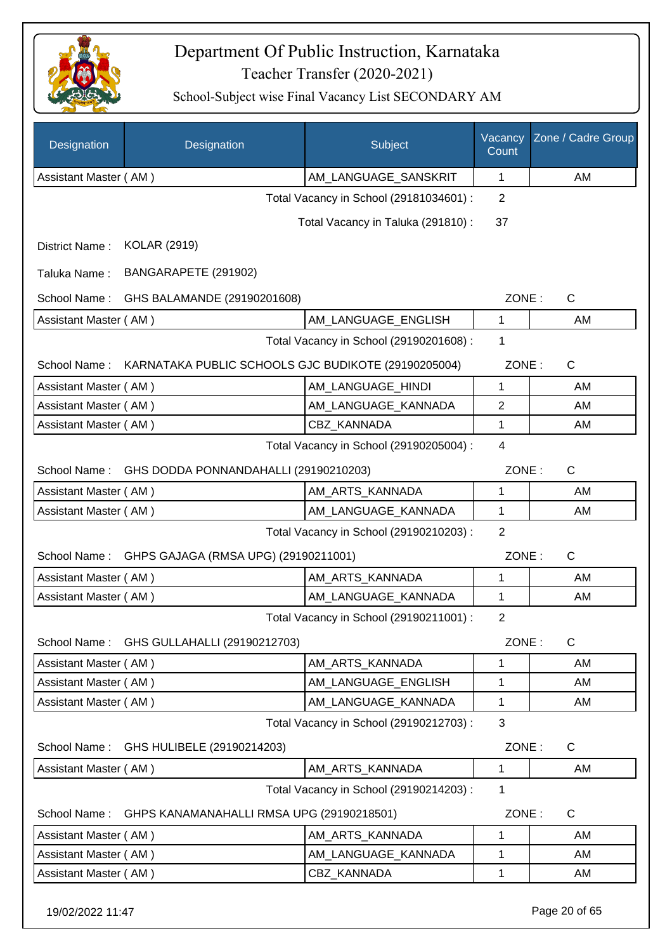

| AM_LANGUAGE_SANSKRIT<br>Assistant Master (AM)<br>1<br>AM<br>Total Vacancy in School (29181034601) :<br>2<br>Total Vacancy in Taluka (291810) :<br>37<br><b>KOLAR (2919)</b><br>District Name:<br>BANGARAPETE (291902)<br>Taluka Name:<br>$\mathsf{C}$<br>School Name:<br>GHS BALAMANDE (29190201608)<br>ZONE:<br>Assistant Master (AM)<br>AM_LANGUAGE_ENGLISH<br>1<br>AM<br>Total Vacancy in School (29190201608) :<br>1<br>School Name:<br>KARNATAKA PUBLIC SCHOOLS GJC BUDIKOTE (29190205004)<br>ZONE:<br>C<br>AM LANGUAGE HINDI<br>AM<br>Assistant Master (AM)<br>1<br>AM LANGUAGE KANNADA<br>$\mathbf{2}$<br>Assistant Master (AM)<br>AM<br><b>CBZ KANNADA</b><br>Assistant Master (AM)<br>1<br>AM<br>Total Vacancy in School (29190205004) :<br>4<br>GHS DODDA PONNANDAHALLI (29190210203)<br>ZONE:<br>C<br>School Name:<br>AM_ARTS_KANNADA<br>Assistant Master (AM)<br>AM<br>1<br>Assistant Master (AM)<br>AM_LANGUAGE_KANNADA<br>AM<br>1<br>Total Vacancy in School (29190210203) :<br>2<br>$\mathsf C$<br>GHPS GAJAGA (RMSA UPG) (29190211001)<br>ZONE:<br>School Name:<br>Assistant Master (AM)<br>AM ARTS KANNADA<br>1<br>AM<br>AM LANGUAGE_KANNADA<br>Assistant Master (AM)<br>1<br>AM<br>Total Vacancy in School (29190211001) :<br>$\overline{2}$<br>GHS GULLAHALLI (29190212703)<br>ZONE:<br>$\mathsf{C}$<br>School Name:<br>Assistant Master (AM)<br>AM_ARTS_KANNADA<br>1<br>AM<br>Assistant Master (AM)<br>AM LANGUAGE ENGLISH<br>1<br>AM<br>AM_LANGUAGE_KANNADA<br>Assistant Master (AM)<br>1<br>AM<br>3<br>Total Vacancy in School (29190212703) :<br>ZONE:<br>$\mathsf{C}$<br>School Name:<br>GHS HULIBELE (29190214203)<br>Assistant Master (AM)<br>AM ARTS KANNADA<br>1<br>AM<br>Total Vacancy in School (29190214203) :<br>1<br>$\mathsf C$<br>GHPS KANAMANAHALLI RMSA UPG (29190218501)<br>ZONE:<br>School Name:<br>Assistant Master (AM)<br>AM_ARTS_KANNADA<br>1<br>AM<br>AM_LANGUAGE_KANNADA<br>Assistant Master (AM)<br>AM<br>1<br>Assistant Master (AM)<br>CBZ KANNADA<br>1<br>AM | Designation | Designation | Subject | Vacancy<br>Count | Zone / Cadre Group |  |
|--------------------------------------------------------------------------------------------------------------------------------------------------------------------------------------------------------------------------------------------------------------------------------------------------------------------------------------------------------------------------------------------------------------------------------------------------------------------------------------------------------------------------------------------------------------------------------------------------------------------------------------------------------------------------------------------------------------------------------------------------------------------------------------------------------------------------------------------------------------------------------------------------------------------------------------------------------------------------------------------------------------------------------------------------------------------------------------------------------------------------------------------------------------------------------------------------------------------------------------------------------------------------------------------------------------------------------------------------------------------------------------------------------------------------------------------------------------------------------------------------------------------------------------------------------------------------------------------------------------------------------------------------------------------------------------------------------------------------------------------------------------------------------------------------------------------------------------------------------------------------------------------------------------------------------------------------------------------------------------------------------------|-------------|-------------|---------|------------------|--------------------|--|
|                                                                                                                                                                                                                                                                                                                                                                                                                                                                                                                                                                                                                                                                                                                                                                                                                                                                                                                                                                                                                                                                                                                                                                                                                                                                                                                                                                                                                                                                                                                                                                                                                                                                                                                                                                                                                                                                                                                                                                                                              |             |             |         |                  |                    |  |
|                                                                                                                                                                                                                                                                                                                                                                                                                                                                                                                                                                                                                                                                                                                                                                                                                                                                                                                                                                                                                                                                                                                                                                                                                                                                                                                                                                                                                                                                                                                                                                                                                                                                                                                                                                                                                                                                                                                                                                                                              |             |             |         |                  |                    |  |
|                                                                                                                                                                                                                                                                                                                                                                                                                                                                                                                                                                                                                                                                                                                                                                                                                                                                                                                                                                                                                                                                                                                                                                                                                                                                                                                                                                                                                                                                                                                                                                                                                                                                                                                                                                                                                                                                                                                                                                                                              |             |             |         |                  |                    |  |
|                                                                                                                                                                                                                                                                                                                                                                                                                                                                                                                                                                                                                                                                                                                                                                                                                                                                                                                                                                                                                                                                                                                                                                                                                                                                                                                                                                                                                                                                                                                                                                                                                                                                                                                                                                                                                                                                                                                                                                                                              |             |             |         |                  |                    |  |
|                                                                                                                                                                                                                                                                                                                                                                                                                                                                                                                                                                                                                                                                                                                                                                                                                                                                                                                                                                                                                                                                                                                                                                                                                                                                                                                                                                                                                                                                                                                                                                                                                                                                                                                                                                                                                                                                                                                                                                                                              |             |             |         |                  |                    |  |
|                                                                                                                                                                                                                                                                                                                                                                                                                                                                                                                                                                                                                                                                                                                                                                                                                                                                                                                                                                                                                                                                                                                                                                                                                                                                                                                                                                                                                                                                                                                                                                                                                                                                                                                                                                                                                                                                                                                                                                                                              |             |             |         |                  |                    |  |
|                                                                                                                                                                                                                                                                                                                                                                                                                                                                                                                                                                                                                                                                                                                                                                                                                                                                                                                                                                                                                                                                                                                                                                                                                                                                                                                                                                                                                                                                                                                                                                                                                                                                                                                                                                                                                                                                                                                                                                                                              |             |             |         |                  |                    |  |
|                                                                                                                                                                                                                                                                                                                                                                                                                                                                                                                                                                                                                                                                                                                                                                                                                                                                                                                                                                                                                                                                                                                                                                                                                                                                                                                                                                                                                                                                                                                                                                                                                                                                                                                                                                                                                                                                                                                                                                                                              |             |             |         |                  |                    |  |
|                                                                                                                                                                                                                                                                                                                                                                                                                                                                                                                                                                                                                                                                                                                                                                                                                                                                                                                                                                                                                                                                                                                                                                                                                                                                                                                                                                                                                                                                                                                                                                                                                                                                                                                                                                                                                                                                                                                                                                                                              |             |             |         |                  |                    |  |
|                                                                                                                                                                                                                                                                                                                                                                                                                                                                                                                                                                                                                                                                                                                                                                                                                                                                                                                                                                                                                                                                                                                                                                                                                                                                                                                                                                                                                                                                                                                                                                                                                                                                                                                                                                                                                                                                                                                                                                                                              |             |             |         |                  |                    |  |
|                                                                                                                                                                                                                                                                                                                                                                                                                                                                                                                                                                                                                                                                                                                                                                                                                                                                                                                                                                                                                                                                                                                                                                                                                                                                                                                                                                                                                                                                                                                                                                                                                                                                                                                                                                                                                                                                                                                                                                                                              |             |             |         |                  |                    |  |
|                                                                                                                                                                                                                                                                                                                                                                                                                                                                                                                                                                                                                                                                                                                                                                                                                                                                                                                                                                                                                                                                                                                                                                                                                                                                                                                                                                                                                                                                                                                                                                                                                                                                                                                                                                                                                                                                                                                                                                                                              |             |             |         |                  |                    |  |
|                                                                                                                                                                                                                                                                                                                                                                                                                                                                                                                                                                                                                                                                                                                                                                                                                                                                                                                                                                                                                                                                                                                                                                                                                                                                                                                                                                                                                                                                                                                                                                                                                                                                                                                                                                                                                                                                                                                                                                                                              |             |             |         |                  |                    |  |
|                                                                                                                                                                                                                                                                                                                                                                                                                                                                                                                                                                                                                                                                                                                                                                                                                                                                                                                                                                                                                                                                                                                                                                                                                                                                                                                                                                                                                                                                                                                                                                                                                                                                                                                                                                                                                                                                                                                                                                                                              |             |             |         |                  |                    |  |
|                                                                                                                                                                                                                                                                                                                                                                                                                                                                                                                                                                                                                                                                                                                                                                                                                                                                                                                                                                                                                                                                                                                                                                                                                                                                                                                                                                                                                                                                                                                                                                                                                                                                                                                                                                                                                                                                                                                                                                                                              |             |             |         |                  |                    |  |
|                                                                                                                                                                                                                                                                                                                                                                                                                                                                                                                                                                                                                                                                                                                                                                                                                                                                                                                                                                                                                                                                                                                                                                                                                                                                                                                                                                                                                                                                                                                                                                                                                                                                                                                                                                                                                                                                                                                                                                                                              |             |             |         |                  |                    |  |
|                                                                                                                                                                                                                                                                                                                                                                                                                                                                                                                                                                                                                                                                                                                                                                                                                                                                                                                                                                                                                                                                                                                                                                                                                                                                                                                                                                                                                                                                                                                                                                                                                                                                                                                                                                                                                                                                                                                                                                                                              |             |             |         |                  |                    |  |
|                                                                                                                                                                                                                                                                                                                                                                                                                                                                                                                                                                                                                                                                                                                                                                                                                                                                                                                                                                                                                                                                                                                                                                                                                                                                                                                                                                                                                                                                                                                                                                                                                                                                                                                                                                                                                                                                                                                                                                                                              |             |             |         |                  |                    |  |
|                                                                                                                                                                                                                                                                                                                                                                                                                                                                                                                                                                                                                                                                                                                                                                                                                                                                                                                                                                                                                                                                                                                                                                                                                                                                                                                                                                                                                                                                                                                                                                                                                                                                                                                                                                                                                                                                                                                                                                                                              |             |             |         |                  |                    |  |
|                                                                                                                                                                                                                                                                                                                                                                                                                                                                                                                                                                                                                                                                                                                                                                                                                                                                                                                                                                                                                                                                                                                                                                                                                                                                                                                                                                                                                                                                                                                                                                                                                                                                                                                                                                                                                                                                                                                                                                                                              |             |             |         |                  |                    |  |
|                                                                                                                                                                                                                                                                                                                                                                                                                                                                                                                                                                                                                                                                                                                                                                                                                                                                                                                                                                                                                                                                                                                                                                                                                                                                                                                                                                                                                                                                                                                                                                                                                                                                                                                                                                                                                                                                                                                                                                                                              |             |             |         |                  |                    |  |
|                                                                                                                                                                                                                                                                                                                                                                                                                                                                                                                                                                                                                                                                                                                                                                                                                                                                                                                                                                                                                                                                                                                                                                                                                                                                                                                                                                                                                                                                                                                                                                                                                                                                                                                                                                                                                                                                                                                                                                                                              |             |             |         |                  |                    |  |
|                                                                                                                                                                                                                                                                                                                                                                                                                                                                                                                                                                                                                                                                                                                                                                                                                                                                                                                                                                                                                                                                                                                                                                                                                                                                                                                                                                                                                                                                                                                                                                                                                                                                                                                                                                                                                                                                                                                                                                                                              |             |             |         |                  |                    |  |
|                                                                                                                                                                                                                                                                                                                                                                                                                                                                                                                                                                                                                                                                                                                                                                                                                                                                                                                                                                                                                                                                                                                                                                                                                                                                                                                                                                                                                                                                                                                                                                                                                                                                                                                                                                                                                                                                                                                                                                                                              |             |             |         |                  |                    |  |
|                                                                                                                                                                                                                                                                                                                                                                                                                                                                                                                                                                                                                                                                                                                                                                                                                                                                                                                                                                                                                                                                                                                                                                                                                                                                                                                                                                                                                                                                                                                                                                                                                                                                                                                                                                                                                                                                                                                                                                                                              |             |             |         |                  |                    |  |
|                                                                                                                                                                                                                                                                                                                                                                                                                                                                                                                                                                                                                                                                                                                                                                                                                                                                                                                                                                                                                                                                                                                                                                                                                                                                                                                                                                                                                                                                                                                                                                                                                                                                                                                                                                                                                                                                                                                                                                                                              |             |             |         |                  |                    |  |
|                                                                                                                                                                                                                                                                                                                                                                                                                                                                                                                                                                                                                                                                                                                                                                                                                                                                                                                                                                                                                                                                                                                                                                                                                                                                                                                                                                                                                                                                                                                                                                                                                                                                                                                                                                                                                                                                                                                                                                                                              |             |             |         |                  |                    |  |
|                                                                                                                                                                                                                                                                                                                                                                                                                                                                                                                                                                                                                                                                                                                                                                                                                                                                                                                                                                                                                                                                                                                                                                                                                                                                                                                                                                                                                                                                                                                                                                                                                                                                                                                                                                                                                                                                                                                                                                                                              |             |             |         |                  |                    |  |
|                                                                                                                                                                                                                                                                                                                                                                                                                                                                                                                                                                                                                                                                                                                                                                                                                                                                                                                                                                                                                                                                                                                                                                                                                                                                                                                                                                                                                                                                                                                                                                                                                                                                                                                                                                                                                                                                                                                                                                                                              |             |             |         |                  |                    |  |
|                                                                                                                                                                                                                                                                                                                                                                                                                                                                                                                                                                                                                                                                                                                                                                                                                                                                                                                                                                                                                                                                                                                                                                                                                                                                                                                                                                                                                                                                                                                                                                                                                                                                                                                                                                                                                                                                                                                                                                                                              |             |             |         |                  |                    |  |
|                                                                                                                                                                                                                                                                                                                                                                                                                                                                                                                                                                                                                                                                                                                                                                                                                                                                                                                                                                                                                                                                                                                                                                                                                                                                                                                                                                                                                                                                                                                                                                                                                                                                                                                                                                                                                                                                                                                                                                                                              |             |             |         |                  |                    |  |
|                                                                                                                                                                                                                                                                                                                                                                                                                                                                                                                                                                                                                                                                                                                                                                                                                                                                                                                                                                                                                                                                                                                                                                                                                                                                                                                                                                                                                                                                                                                                                                                                                                                                                                                                                                                                                                                                                                                                                                                                              |             |             |         |                  |                    |  |
|                                                                                                                                                                                                                                                                                                                                                                                                                                                                                                                                                                                                                                                                                                                                                                                                                                                                                                                                                                                                                                                                                                                                                                                                                                                                                                                                                                                                                                                                                                                                                                                                                                                                                                                                                                                                                                                                                                                                                                                                              |             |             |         |                  |                    |  |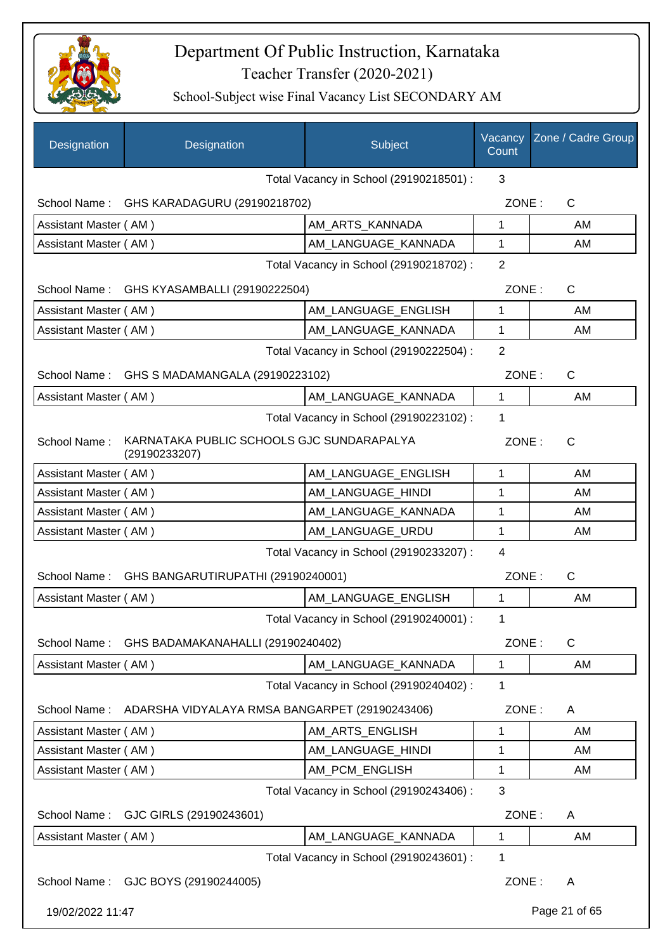

| Designation                                                                | Designation                                     | Subject                                 | Vacancy<br>Count | Zone / Cadre Group |
|----------------------------------------------------------------------------|-------------------------------------------------|-----------------------------------------|------------------|--------------------|
|                                                                            |                                                 | Total Vacancy in School (29190218501) : | 3                |                    |
|                                                                            | School Name: GHS KARADAGURU (29190218702)       |                                         | ZONE:            | C                  |
| Assistant Master (AM)                                                      |                                                 | AM_ARTS_KANNADA                         | 1                | AM                 |
| Assistant Master (AM)                                                      |                                                 | AM_LANGUAGE_KANNADA                     | 1                | AM                 |
|                                                                            |                                                 | Total Vacancy in School (29190218702) : | $\overline{2}$   |                    |
|                                                                            | School Name: GHS KYASAMBALLI (29190222504)      |                                         | ZONE:            | $\mathsf{C}$       |
| Assistant Master (AM)                                                      |                                                 | AM_LANGUAGE_ENGLISH                     | 1                | AM                 |
| Assistant Master (AM)                                                      |                                                 | AM_LANGUAGE_KANNADA                     | 1                | AM                 |
|                                                                            |                                                 | Total Vacancy in School (29190222504) : | $\overline{2}$   |                    |
|                                                                            | School Name: GHS S MADAMANGALA (29190223102)    |                                         | ZONE:            | C                  |
| Assistant Master (AM)                                                      |                                                 | AM LANGUAGE KANNADA                     | 1                | AM                 |
|                                                                            |                                                 | Total Vacancy in School (29190223102) : | 1                |                    |
| KARNATAKA PUBLIC SCHOOLS GJC SUNDARAPALYA<br>School Name:<br>(29190233207) |                                                 |                                         | ZONE:            | $\mathsf{C}$       |
| Assistant Master (AM)                                                      |                                                 | AM_LANGUAGE_ENGLISH                     | $\mathbf{1}$     | AM                 |
| Assistant Master (AM)                                                      |                                                 | AM_LANGUAGE_HINDI                       | 1                | AM                 |
| Assistant Master (AM)                                                      |                                                 | AM_LANGUAGE_KANNADA                     | 1                | AM                 |
| Assistant Master (AM)                                                      |                                                 | AM_LANGUAGE_URDU                        | 1                | AM                 |
|                                                                            |                                                 | Total Vacancy in School (29190233207) : | $\overline{4}$   |                    |
|                                                                            | School Name: GHS BANGARUTIRUPATHI (29190240001) |                                         | ZONE:            | C                  |
| Assistant Master (AM)                                                      |                                                 | AM LANGUAGE ENGLISH                     | 1                | AM                 |
|                                                                            |                                                 | Total Vacancy in School (29190240001) : | 1                |                    |
|                                                                            | School Name: GHS BADAMAKANAHALLI (29190240402)  |                                         | ZONE:            | $\mathsf{C}$       |
| Assistant Master (AM)                                                      |                                                 | AM_LANGUAGE_KANNADA                     | 1                | AM                 |
|                                                                            |                                                 | Total Vacancy in School (29190240402) : | 1                |                    |
| School Name:                                                               | ADARSHA VIDYALAYA RMSA BANGARPET (29190243406)  |                                         | ZONE:            | A                  |
| Assistant Master (AM)                                                      |                                                 | AM ARTS ENGLISH                         | 1                | AM                 |
| Assistant Master (AM)                                                      |                                                 | AM_LANGUAGE_HINDI                       | 1                | AM                 |
| Assistant Master (AM)                                                      |                                                 | AM_PCM_ENGLISH                          | 1                | AM                 |
|                                                                            |                                                 | Total Vacancy in School (29190243406) : | 3                |                    |
| School Name:                                                               | GJC GIRLS (29190243601)                         |                                         | ZONE:            | A                  |
| Assistant Master (AM)                                                      |                                                 | AM_LANGUAGE_KANNADA                     | 1                | AM                 |
|                                                                            |                                                 | Total Vacancy in School (29190243601) : | 1                |                    |
|                                                                            | School Name: GJC BOYS (29190244005)             |                                         | ZONE:            | A                  |
| 19/02/2022 11:47                                                           |                                                 |                                         |                  | Page 21 of 65      |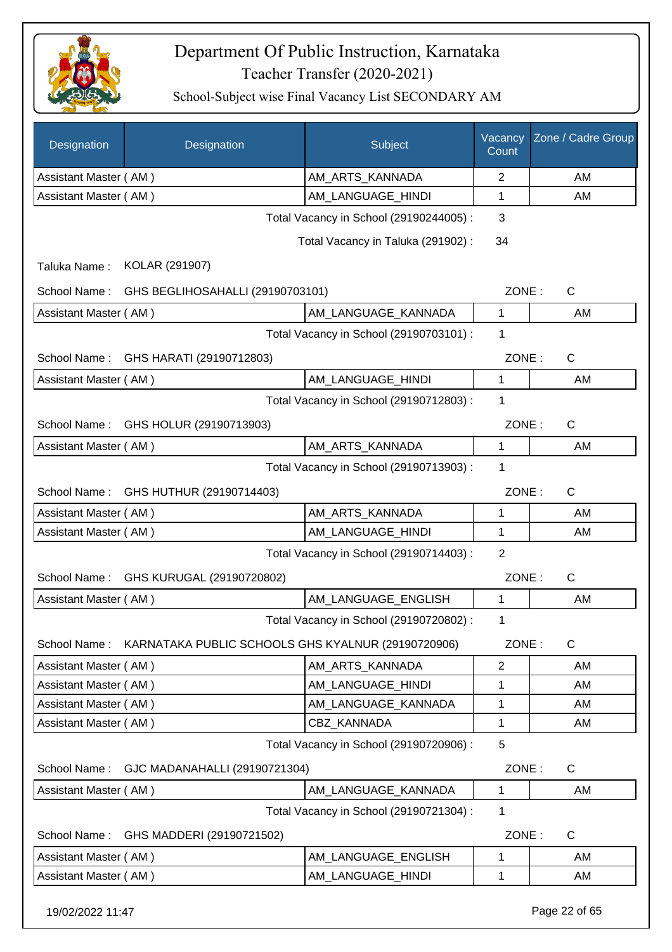

| Designation           | Designation                                        | Subject                                 | Vacancy<br>Count | Zone / Cadre Group |
|-----------------------|----------------------------------------------------|-----------------------------------------|------------------|--------------------|
| Assistant Master (AM) |                                                    | AM_ARTS_KANNADA                         | $\overline{2}$   | AM                 |
| Assistant Master (AM) |                                                    | AM_LANGUAGE_HINDI                       | 1                | AM                 |
|                       |                                                    | Total Vacancy in School (29190244005) : | 3                |                    |
|                       |                                                    | Total Vacancy in Taluka (291902):       | 34               |                    |
| Taluka Name:          | KOLAR (291907)                                     |                                         |                  |                    |
| School Name:          | GHS BEGLIHOSAHALLI (29190703101)                   |                                         | ZONE:            | $\mathsf{C}$       |
| Assistant Master (AM) |                                                    | AM LANGUAGE_KANNADA                     | 1                | AM                 |
|                       |                                                    | Total Vacancy in School (29190703101) : | 1                |                    |
| School Name:          | GHS HARATI (29190712803)                           |                                         | ZONE:            | C                  |
| Assistant Master (AM) |                                                    | AM LANGUAGE_HINDI                       | 1                | AM                 |
|                       |                                                    | Total Vacancy in School (29190712803) : | 1                |                    |
| School Name:          | GHS HOLUR (29190713903)                            |                                         | ZONE:            | C                  |
| Assistant Master (AM) |                                                    | AM ARTS KANNADA                         | 1                | AM                 |
|                       |                                                    | Total Vacancy in School (29190713903) : | 1                |                    |
| School Name:          | GHS HUTHUR (29190714403)                           |                                         | ZONE:            | $\mathsf{C}$       |
| Assistant Master (AM) |                                                    | AM_ARTS_KANNADA                         | 1                | AM                 |
| Assistant Master (AM) |                                                    | AM_LANGUAGE_HINDI                       | 1                | AM                 |
|                       |                                                    | Total Vacancy in School (29190714403) : | $\overline{2}$   |                    |
|                       | School Name: GHS KURUGAL (29190720802)             |                                         | ZONE:            | C                  |
| Assistant Master (AM) |                                                    | AM_LANGUAGE_ENGLISH                     | 1                | AM                 |
|                       |                                                    | Total Vacancy in School (29190720802) : | 1                |                    |
| School Name:          | KARNATAKA PUBLIC SCHOOLS GHS KYALNUR (29190720906) |                                         | ZONE:            | $\mathsf{C}$       |
| Assistant Master (AM) |                                                    | AM ARTS KANNADA                         | 2                | AM                 |
| Assistant Master (AM) |                                                    | AM LANGUAGE HINDI                       | 1                | AM                 |
| Assistant Master (AM) |                                                    | AM_LANGUAGE_KANNADA                     | 1                | AM                 |
| Assistant Master (AM) |                                                    | <b>CBZ KANNADA</b>                      | 1                | AM                 |
|                       |                                                    | Total Vacancy in School (29190720906) : | 5                |                    |
| School Name:          | GJC MADANAHALLI (29190721304)                      |                                         | ZONE:            | C                  |
| Assistant Master (AM) |                                                    | AM_LANGUAGE_KANNADA                     | $\mathbf{1}$     | AM                 |
|                       |                                                    | Total Vacancy in School (29190721304) : | 1                |                    |
| School Name:          | GHS MADDERI (29190721502)                          |                                         | ZONE:            | $\mathsf{C}$       |
| Assistant Master (AM) |                                                    | AM_LANGUAGE_ENGLISH                     | 1                | AM                 |
| Assistant Master (AM) |                                                    | AM_LANGUAGE_HINDI                       | 1                | AM                 |
| 19/02/2022 11:47      |                                                    |                                         |                  | Page 22 of 65      |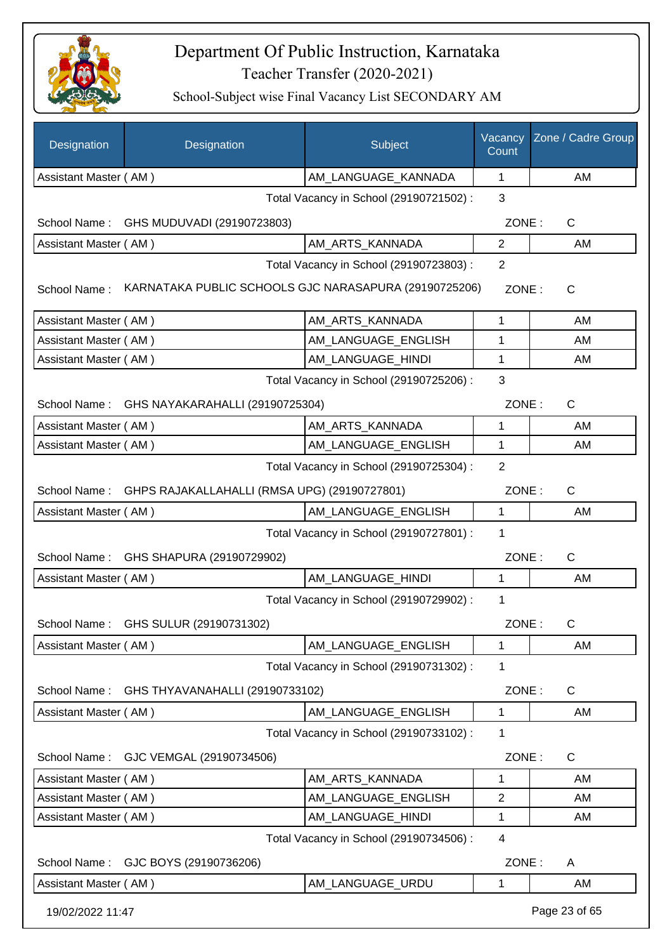

| Designation           | Designation                                           | Subject                                 | Vacancy<br>Count | Zone / Cadre Group |  |  |
|-----------------------|-------------------------------------------------------|-----------------------------------------|------------------|--------------------|--|--|
| Assistant Master (AM) |                                                       | AM_LANGUAGE_KANNADA                     | 1                | AM                 |  |  |
|                       |                                                       | Total Vacancy in School (29190721502) : | 3                |                    |  |  |
|                       | School Name: GHS MUDUVADI (29190723803)               |                                         | ZONE:            | C                  |  |  |
| Assistant Master (AM) |                                                       | AM ARTS KANNADA                         | $\overline{2}$   | AM                 |  |  |
|                       |                                                       | Total Vacancy in School (29190723803) : | $\overline{2}$   |                    |  |  |
| School Name:          | KARNATAKA PUBLIC SCHOOLS GJC NARASAPURA (29190725206) |                                         | ZONE:            | $\mathsf{C}$       |  |  |
| Assistant Master (AM) |                                                       | AM_ARTS_KANNADA                         | 1                | AM                 |  |  |
| Assistant Master (AM) |                                                       | AM_LANGUAGE_ENGLISH                     | 1                | AM                 |  |  |
| Assistant Master (AM) |                                                       | AM LANGUAGE HINDI                       | 1                | AM                 |  |  |
|                       |                                                       | Total Vacancy in School (29190725206) : | 3                |                    |  |  |
| School Name:          | GHS NAYAKARAHALLI (29190725304)                       |                                         | ZONE:            | $\mathsf{C}$       |  |  |
| Assistant Master (AM) |                                                       | AM_ARTS_KANNADA                         | 1                | AM                 |  |  |
| Assistant Master (AM) |                                                       | AM LANGUAGE ENGLISH                     | 1                | AM                 |  |  |
|                       |                                                       | Total Vacancy in School (29190725304) : | $\overline{2}$   |                    |  |  |
| School Name:          | GHPS RAJAKALLAHALLI (RMSA UPG) (29190727801)          |                                         | ZONE:            | $\mathsf{C}$       |  |  |
| Assistant Master (AM) |                                                       | AM_LANGUAGE_ENGLISH                     | $\mathbf{1}$     | AM                 |  |  |
|                       |                                                       | Total Vacancy in School (29190727801) : | 1                |                    |  |  |
|                       | School Name: GHS SHAPURA (29190729902)                |                                         | ZONE:            | C                  |  |  |
| Assistant Master (AM) |                                                       | AM_LANGUAGE_HINDI                       | $\mathbf{1}$     | AM                 |  |  |
|                       |                                                       | Total Vacancy in School (29190729902) : | 1                |                    |  |  |
|                       | School Name: GHS SULUR (29190731302)                  |                                         | ZONE:            | C                  |  |  |
| Assistant Master (AM) |                                                       | AM_LANGUAGE_ENGLISH                     | 1                | AM                 |  |  |
|                       |                                                       | Total Vacancy in School (29190731302) : | 1                |                    |  |  |
| School Name:          | GHS THYAVANAHALLI (29190733102)                       |                                         | ZONE:            | C                  |  |  |
| Assistant Master (AM) |                                                       | AM_LANGUAGE_ENGLISH                     | $\mathbf 1$      | AM                 |  |  |
|                       |                                                       | Total Vacancy in School (29190733102) : | 1                |                    |  |  |
| School Name:          | GJC VEMGAL (29190734506)                              |                                         | ZONE:            | C                  |  |  |
| Assistant Master (AM) |                                                       | AM_ARTS_KANNADA                         | 1                | AM                 |  |  |
| Assistant Master (AM) |                                                       | AM LANGUAGE ENGLISH                     | $\overline{2}$   | AM                 |  |  |
| Assistant Master (AM) |                                                       | AM LANGUAGE HINDI                       | 1                | AM                 |  |  |
|                       | Total Vacancy in School (29190734506) :<br>4          |                                         |                  |                    |  |  |
| School Name:          | GJC BOYS (29190736206)                                |                                         | ZONE:            | A                  |  |  |
| Assistant Master (AM) |                                                       | AM LANGUAGE URDU                        | 1                | AM                 |  |  |
| 19/02/2022 11:47      |                                                       |                                         |                  | Page 23 of 65      |  |  |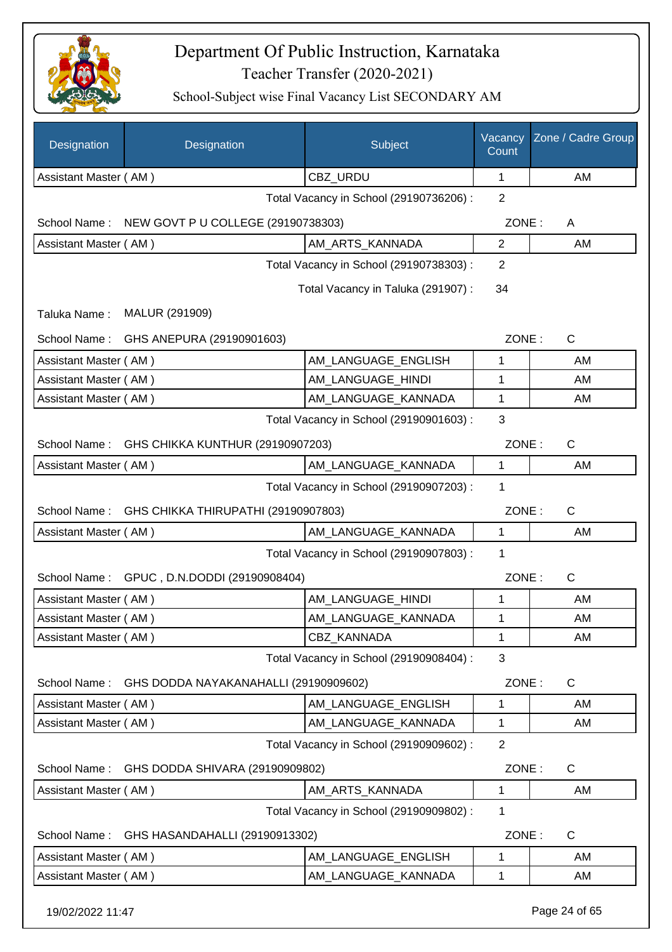

| CBZ_URDU<br>AM<br>Assistant Master (AM)<br>1<br>$\overline{2}$<br>Total Vacancy in School (29190736206) :<br>School Name: NEW GOVT P U COLLEGE (29190738303)<br>ZONE:<br>A<br>Assistant Master (AM)<br>AM_ARTS_KANNADA<br>$\overline{2}$<br>AM<br>Total Vacancy in School (29190738303) :<br>2<br>Total Vacancy in Taluka (291907):<br>34<br>MALUR (291909)<br>Taluka Name:<br>ZONE:<br>C<br>School Name:<br>GHS ANEPURA (29190901603)<br>AM_LANGUAGE_ENGLISH<br>Assistant Master (AM)<br>1<br>AM<br>AM LANGUAGE HINDI<br>1<br>AM<br>Assistant Master (AM)<br>Assistant Master (AM)<br>AM LANGUAGE KANNADA<br>1<br>AM<br>3<br>Total Vacancy in School (29190901603) :<br>$\mathsf{C}$<br>GHS CHIKKA KUNTHUR (29190907203)<br>ZONE:<br>School Name:<br>Assistant Master (AM)<br>AM_LANGUAGE_KANNADA<br>1<br>AM<br>1<br>Total Vacancy in School (29190907203) :<br>ZONE:<br>School Name:<br>GHS CHIKKA THIRUPATHI (29190907803)<br>C<br>Assistant Master (AM)<br>AM_LANGUAGE_KANNADA<br>$\mathbf{1}$<br>AM<br>Total Vacancy in School (29190907803) :<br>1<br>ZONE:<br>School Name: GPUC, D.N.DODDI (29190908404)<br>C<br>AM_LANGUAGE_HINDI<br>AM<br>Assistant Master (AM)<br>1<br>AM_LANGUAGE_KANNADA<br>Assistant Master (AM)<br>1<br>AM<br>CBZ_KANNADA<br>1<br>AM<br>Assistant Master (AM)<br>3<br>Total Vacancy in School (29190908404) :<br>School Name:<br>ZONE:<br>C<br>GHS DODDA NAYAKANAHALLI (29190909602)<br>AM LANGUAGE ENGLISH<br>AM<br>Assistant Master (AM)<br>1<br>Assistant Master (AM)<br>AM_LANGUAGE_KANNADA<br>1<br>AM<br>Total Vacancy in School (29190909602) :<br>$\overline{2}$<br>GHS DODDA SHIVARA (29190909802)<br>ZONE:<br>C<br>School Name:<br>Assistant Master (AM)<br>AM_ARTS_KANNADA<br>1<br>AM<br>Total Vacancy in School (29190909802) :<br>1<br>ZONE:<br>C<br>School Name:<br>GHS HASANDAHALLI (29190913302)<br>AM LANGUAGE ENGLISH<br>Assistant Master (AM)<br>1<br>AM<br>AM_LANGUAGE_KANNADA<br>Assistant Master (AM)<br>1<br>AM | Designation | Designation | Subject | Vacancy<br>Count | Zone / Cadre Group |
|---------------------------------------------------------------------------------------------------------------------------------------------------------------------------------------------------------------------------------------------------------------------------------------------------------------------------------------------------------------------------------------------------------------------------------------------------------------------------------------------------------------------------------------------------------------------------------------------------------------------------------------------------------------------------------------------------------------------------------------------------------------------------------------------------------------------------------------------------------------------------------------------------------------------------------------------------------------------------------------------------------------------------------------------------------------------------------------------------------------------------------------------------------------------------------------------------------------------------------------------------------------------------------------------------------------------------------------------------------------------------------------------------------------------------------------------------------------------------------------------------------------------------------------------------------------------------------------------------------------------------------------------------------------------------------------------------------------------------------------------------------------------------------------------------------------------------------------------------------------------------------------------------------------------------------------------------------------------|-------------|-------------|---------|------------------|--------------------|
|                                                                                                                                                                                                                                                                                                                                                                                                                                                                                                                                                                                                                                                                                                                                                                                                                                                                                                                                                                                                                                                                                                                                                                                                                                                                                                                                                                                                                                                                                                                                                                                                                                                                                                                                                                                                                                                                                                                                                                     |             |             |         |                  |                    |
|                                                                                                                                                                                                                                                                                                                                                                                                                                                                                                                                                                                                                                                                                                                                                                                                                                                                                                                                                                                                                                                                                                                                                                                                                                                                                                                                                                                                                                                                                                                                                                                                                                                                                                                                                                                                                                                                                                                                                                     |             |             |         |                  |                    |
|                                                                                                                                                                                                                                                                                                                                                                                                                                                                                                                                                                                                                                                                                                                                                                                                                                                                                                                                                                                                                                                                                                                                                                                                                                                                                                                                                                                                                                                                                                                                                                                                                                                                                                                                                                                                                                                                                                                                                                     |             |             |         |                  |                    |
|                                                                                                                                                                                                                                                                                                                                                                                                                                                                                                                                                                                                                                                                                                                                                                                                                                                                                                                                                                                                                                                                                                                                                                                                                                                                                                                                                                                                                                                                                                                                                                                                                                                                                                                                                                                                                                                                                                                                                                     |             |             |         |                  |                    |
|                                                                                                                                                                                                                                                                                                                                                                                                                                                                                                                                                                                                                                                                                                                                                                                                                                                                                                                                                                                                                                                                                                                                                                                                                                                                                                                                                                                                                                                                                                                                                                                                                                                                                                                                                                                                                                                                                                                                                                     |             |             |         |                  |                    |
|                                                                                                                                                                                                                                                                                                                                                                                                                                                                                                                                                                                                                                                                                                                                                                                                                                                                                                                                                                                                                                                                                                                                                                                                                                                                                                                                                                                                                                                                                                                                                                                                                                                                                                                                                                                                                                                                                                                                                                     |             |             |         |                  |                    |
|                                                                                                                                                                                                                                                                                                                                                                                                                                                                                                                                                                                                                                                                                                                                                                                                                                                                                                                                                                                                                                                                                                                                                                                                                                                                                                                                                                                                                                                                                                                                                                                                                                                                                                                                                                                                                                                                                                                                                                     |             |             |         |                  |                    |
|                                                                                                                                                                                                                                                                                                                                                                                                                                                                                                                                                                                                                                                                                                                                                                                                                                                                                                                                                                                                                                                                                                                                                                                                                                                                                                                                                                                                                                                                                                                                                                                                                                                                                                                                                                                                                                                                                                                                                                     |             |             |         |                  |                    |
|                                                                                                                                                                                                                                                                                                                                                                                                                                                                                                                                                                                                                                                                                                                                                                                                                                                                                                                                                                                                                                                                                                                                                                                                                                                                                                                                                                                                                                                                                                                                                                                                                                                                                                                                                                                                                                                                                                                                                                     |             |             |         |                  |                    |
|                                                                                                                                                                                                                                                                                                                                                                                                                                                                                                                                                                                                                                                                                                                                                                                                                                                                                                                                                                                                                                                                                                                                                                                                                                                                                                                                                                                                                                                                                                                                                                                                                                                                                                                                                                                                                                                                                                                                                                     |             |             |         |                  |                    |
|                                                                                                                                                                                                                                                                                                                                                                                                                                                                                                                                                                                                                                                                                                                                                                                                                                                                                                                                                                                                                                                                                                                                                                                                                                                                                                                                                                                                                                                                                                                                                                                                                                                                                                                                                                                                                                                                                                                                                                     |             |             |         |                  |                    |
|                                                                                                                                                                                                                                                                                                                                                                                                                                                                                                                                                                                                                                                                                                                                                                                                                                                                                                                                                                                                                                                                                                                                                                                                                                                                                                                                                                                                                                                                                                                                                                                                                                                                                                                                                                                                                                                                                                                                                                     |             |             |         |                  |                    |
|                                                                                                                                                                                                                                                                                                                                                                                                                                                                                                                                                                                                                                                                                                                                                                                                                                                                                                                                                                                                                                                                                                                                                                                                                                                                                                                                                                                                                                                                                                                                                                                                                                                                                                                                                                                                                                                                                                                                                                     |             |             |         |                  |                    |
|                                                                                                                                                                                                                                                                                                                                                                                                                                                                                                                                                                                                                                                                                                                                                                                                                                                                                                                                                                                                                                                                                                                                                                                                                                                                                                                                                                                                                                                                                                                                                                                                                                                                                                                                                                                                                                                                                                                                                                     |             |             |         |                  |                    |
|                                                                                                                                                                                                                                                                                                                                                                                                                                                                                                                                                                                                                                                                                                                                                                                                                                                                                                                                                                                                                                                                                                                                                                                                                                                                                                                                                                                                                                                                                                                                                                                                                                                                                                                                                                                                                                                                                                                                                                     |             |             |         |                  |                    |
|                                                                                                                                                                                                                                                                                                                                                                                                                                                                                                                                                                                                                                                                                                                                                                                                                                                                                                                                                                                                                                                                                                                                                                                                                                                                                                                                                                                                                                                                                                                                                                                                                                                                                                                                                                                                                                                                                                                                                                     |             |             |         |                  |                    |
|                                                                                                                                                                                                                                                                                                                                                                                                                                                                                                                                                                                                                                                                                                                                                                                                                                                                                                                                                                                                                                                                                                                                                                                                                                                                                                                                                                                                                                                                                                                                                                                                                                                                                                                                                                                                                                                                                                                                                                     |             |             |         |                  |                    |
|                                                                                                                                                                                                                                                                                                                                                                                                                                                                                                                                                                                                                                                                                                                                                                                                                                                                                                                                                                                                                                                                                                                                                                                                                                                                                                                                                                                                                                                                                                                                                                                                                                                                                                                                                                                                                                                                                                                                                                     |             |             |         |                  |                    |
|                                                                                                                                                                                                                                                                                                                                                                                                                                                                                                                                                                                                                                                                                                                                                                                                                                                                                                                                                                                                                                                                                                                                                                                                                                                                                                                                                                                                                                                                                                                                                                                                                                                                                                                                                                                                                                                                                                                                                                     |             |             |         |                  |                    |
|                                                                                                                                                                                                                                                                                                                                                                                                                                                                                                                                                                                                                                                                                                                                                                                                                                                                                                                                                                                                                                                                                                                                                                                                                                                                                                                                                                                                                                                                                                                                                                                                                                                                                                                                                                                                                                                                                                                                                                     |             |             |         |                  |                    |
|                                                                                                                                                                                                                                                                                                                                                                                                                                                                                                                                                                                                                                                                                                                                                                                                                                                                                                                                                                                                                                                                                                                                                                                                                                                                                                                                                                                                                                                                                                                                                                                                                                                                                                                                                                                                                                                                                                                                                                     |             |             |         |                  |                    |
|                                                                                                                                                                                                                                                                                                                                                                                                                                                                                                                                                                                                                                                                                                                                                                                                                                                                                                                                                                                                                                                                                                                                                                                                                                                                                                                                                                                                                                                                                                                                                                                                                                                                                                                                                                                                                                                                                                                                                                     |             |             |         |                  |                    |
|                                                                                                                                                                                                                                                                                                                                                                                                                                                                                                                                                                                                                                                                                                                                                                                                                                                                                                                                                                                                                                                                                                                                                                                                                                                                                                                                                                                                                                                                                                                                                                                                                                                                                                                                                                                                                                                                                                                                                                     |             |             |         |                  |                    |
|                                                                                                                                                                                                                                                                                                                                                                                                                                                                                                                                                                                                                                                                                                                                                                                                                                                                                                                                                                                                                                                                                                                                                                                                                                                                                                                                                                                                                                                                                                                                                                                                                                                                                                                                                                                                                                                                                                                                                                     |             |             |         |                  |                    |
|                                                                                                                                                                                                                                                                                                                                                                                                                                                                                                                                                                                                                                                                                                                                                                                                                                                                                                                                                                                                                                                                                                                                                                                                                                                                                                                                                                                                                                                                                                                                                                                                                                                                                                                                                                                                                                                                                                                                                                     |             |             |         |                  |                    |
|                                                                                                                                                                                                                                                                                                                                                                                                                                                                                                                                                                                                                                                                                                                                                                                                                                                                                                                                                                                                                                                                                                                                                                                                                                                                                                                                                                                                                                                                                                                                                                                                                                                                                                                                                                                                                                                                                                                                                                     |             |             |         |                  |                    |
|                                                                                                                                                                                                                                                                                                                                                                                                                                                                                                                                                                                                                                                                                                                                                                                                                                                                                                                                                                                                                                                                                                                                                                                                                                                                                                                                                                                                                                                                                                                                                                                                                                                                                                                                                                                                                                                                                                                                                                     |             |             |         |                  |                    |
|                                                                                                                                                                                                                                                                                                                                                                                                                                                                                                                                                                                                                                                                                                                                                                                                                                                                                                                                                                                                                                                                                                                                                                                                                                                                                                                                                                                                                                                                                                                                                                                                                                                                                                                                                                                                                                                                                                                                                                     |             |             |         |                  |                    |
|                                                                                                                                                                                                                                                                                                                                                                                                                                                                                                                                                                                                                                                                                                                                                                                                                                                                                                                                                                                                                                                                                                                                                                                                                                                                                                                                                                                                                                                                                                                                                                                                                                                                                                                                                                                                                                                                                                                                                                     |             |             |         |                  |                    |
|                                                                                                                                                                                                                                                                                                                                                                                                                                                                                                                                                                                                                                                                                                                                                                                                                                                                                                                                                                                                                                                                                                                                                                                                                                                                                                                                                                                                                                                                                                                                                                                                                                                                                                                                                                                                                                                                                                                                                                     |             |             |         |                  |                    |
|                                                                                                                                                                                                                                                                                                                                                                                                                                                                                                                                                                                                                                                                                                                                                                                                                                                                                                                                                                                                                                                                                                                                                                                                                                                                                                                                                                                                                                                                                                                                                                                                                                                                                                                                                                                                                                                                                                                                                                     |             |             |         |                  |                    |
|                                                                                                                                                                                                                                                                                                                                                                                                                                                                                                                                                                                                                                                                                                                                                                                                                                                                                                                                                                                                                                                                                                                                                                                                                                                                                                                                                                                                                                                                                                                                                                                                                                                                                                                                                                                                                                                                                                                                                                     |             |             |         |                  |                    |
|                                                                                                                                                                                                                                                                                                                                                                                                                                                                                                                                                                                                                                                                                                                                                                                                                                                                                                                                                                                                                                                                                                                                                                                                                                                                                                                                                                                                                                                                                                                                                                                                                                                                                                                                                                                                                                                                                                                                                                     |             |             |         |                  |                    |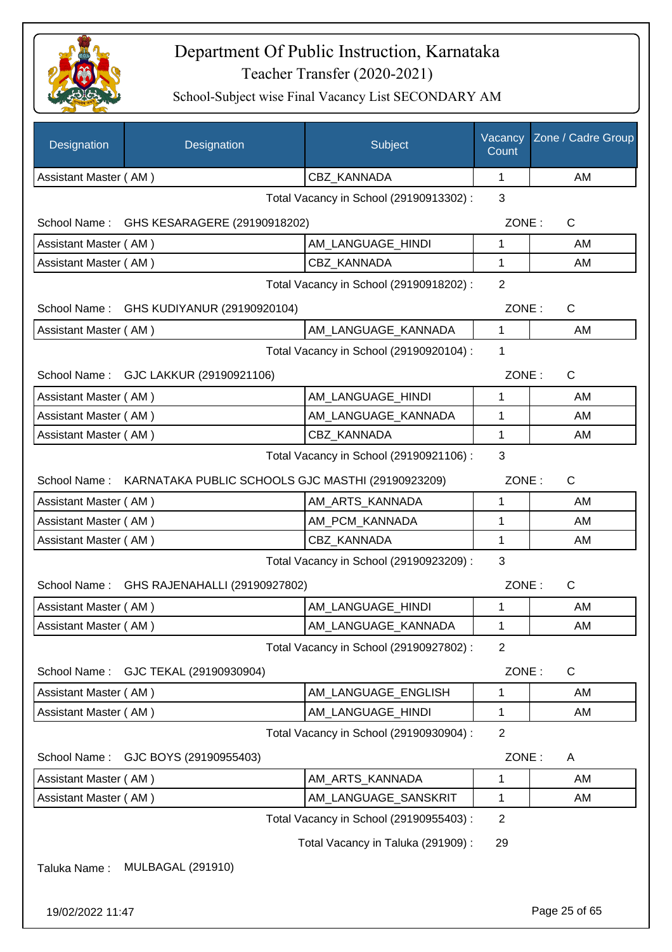

School-Subject wise Final Vacancy List SECONDARY AM

| Designation                             | Designation                                                    | Subject                                 | Vacancy<br>Count | Zone / Cadre Group |
|-----------------------------------------|----------------------------------------------------------------|-----------------------------------------|------------------|--------------------|
| Assistant Master (AM)                   |                                                                | CBZ_KANNADA                             | 1                | AM                 |
|                                         |                                                                | Total Vacancy in School (29190913302) : | 3                |                    |
|                                         | School Name: GHS KESARAGERE (29190918202)                      |                                         | ZONE:            | C                  |
| Assistant Master (AM)                   |                                                                | AM_LANGUAGE_HINDI                       | 1                | AM                 |
| Assistant Master (AM)                   |                                                                | CBZ KANNADA                             | 1                | AM                 |
|                                         |                                                                | Total Vacancy in School (29190918202) : | $\overline{2}$   |                    |
| School Name:                            | GHS KUDIYANUR (29190920104)                                    |                                         | ZONE:            | C                  |
| Assistant Master (AM)                   |                                                                | AM_LANGUAGE_KANNADA                     | 1                | AM                 |
|                                         |                                                                | Total Vacancy in School (29190920104) : | 1                |                    |
|                                         | School Name: GJC LAKKUR (29190921106)                          |                                         | ZONE:            | C                  |
| Assistant Master (AM)                   |                                                                | AM_LANGUAGE_HINDI                       | 1                | AM                 |
| Assistant Master (AM)                   |                                                                | AM_LANGUAGE_KANNADA                     | 1                | AM                 |
| Assistant Master (AM)                   |                                                                | <b>CBZ KANNADA</b>                      | $\mathbf{1}$     | AM                 |
| Total Vacancy in School (29190921106) : |                                                                |                                         |                  |                    |
|                                         | School Name: KARNATAKA PUBLIC SCHOOLS GJC MASTHI (29190923209) |                                         | ZONE:            | C                  |
| Assistant Master (AM)                   |                                                                | AM_ARTS_KANNADA                         | 1                | AM                 |
| Assistant Master (AM)                   |                                                                | AM_PCM_KANNADA                          | 1                | AM                 |
| Assistant Master (AM)                   |                                                                | CBZ KANNADA                             | 1                | AM                 |
|                                         |                                                                | Total Vacancy in School (29190923209) : | 3                |                    |
|                                         | School Name: GHS RAJENAHALLI (29190927802)                     |                                         | ZONE:            | C                  |
| Assistant Master (AM)                   |                                                                | AM_LANGUAGE_HINDI                       | 1                | AM                 |
| Assistant Master (AM)                   |                                                                | AM_LANGUAGE_KANNADA                     | 1                | AM                 |
|                                         |                                                                | Total Vacancy in School (29190927802) : | $\overline{2}$   |                    |
| School Name:                            | GJC TEKAL (29190930904)                                        |                                         | ZONE:            | C                  |
| Assistant Master (AM)                   |                                                                | AM_LANGUAGE_ENGLISH                     | 1                | AM                 |
| Assistant Master (AM)                   |                                                                | AM LANGUAGE HINDI                       | 1                | AM                 |
|                                         |                                                                | Total Vacancy in School (29190930904) : | $\overline{2}$   |                    |
| School Name:                            | GJC BOYS (29190955403)                                         |                                         | ZONE:            | A                  |
| Assistant Master (AM)                   |                                                                | AM_ARTS_KANNADA                         | 1                | AM                 |
| Assistant Master (AM)                   |                                                                | AM_LANGUAGE_SANSKRIT                    | 1                | AM                 |
|                                         |                                                                | Total Vacancy in School (29190955403) : | $\overline{2}$   |                    |
|                                         |                                                                | Total Vacancy in Taluka (291909) :      | 29               |                    |
| Taluka Name:                            | <b>MULBAGAL (291910)</b>                                       |                                         |                  |                    |
|                                         |                                                                |                                         |                  |                    |

19/02/2022 11:47 Page 25 of 65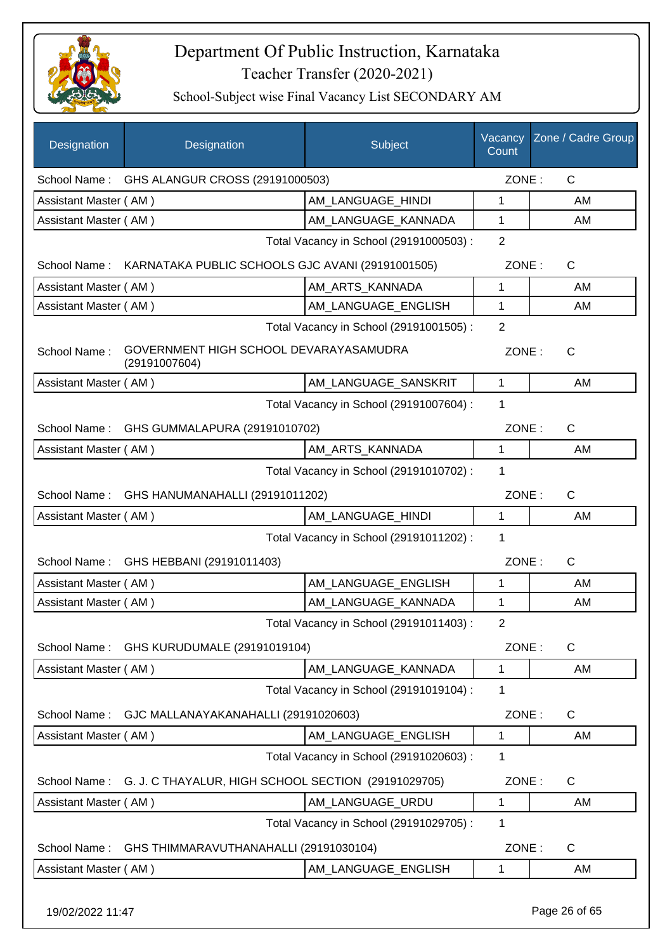

School-Subject wise Final Vacancy List SECONDARY AM

| Designation                                   | Designation                                             | Subject                                 | Vacancy<br>Count | Zone / Cadre Group |
|-----------------------------------------------|---------------------------------------------------------|-----------------------------------------|------------------|--------------------|
|                                               | School Name: GHS ALANGUR CROSS (29191000503)            |                                         | ZONE:            | $\mathsf{C}$       |
| Assistant Master (AM)                         |                                                         | AM LANGUAGE_HINDI                       | 1                | AM                 |
| Assistant Master (AM)                         |                                                         | AM_LANGUAGE_KANNADA                     | 1                | AM                 |
|                                               |                                                         | Total Vacancy in School (29191000503) : | $\overline{2}$   |                    |
| School Name:                                  | KARNATAKA PUBLIC SCHOOLS GJC AVANI (29191001505)        |                                         | ZONE:            | $\mathsf{C}$       |
| Assistant Master (AM)                         |                                                         | AM_ARTS_KANNADA                         | 1                | AM                 |
| Assistant Master (AM)                         |                                                         | AM_LANGUAGE_ENGLISH                     | $\mathbf{1}$     | AM                 |
|                                               |                                                         | Total Vacancy in School (29191001505) : | $\overline{2}$   |                    |
| School Name:                                  | GOVERNMENT HIGH SCHOOL DEVARAYASAMUDRA<br>(29191007604) |                                         | ZONE:            | $\mathsf{C}$       |
| Assistant Master (AM)                         |                                                         | AM LANGUAGE SANSKRIT                    | 1                | AM                 |
|                                               |                                                         | Total Vacancy in School (29191007604) : | 1                |                    |
| GHS GUMMALAPURA (29191010702)<br>School Name: |                                                         |                                         | ZONE:            | $\mathsf{C}$       |
| Assistant Master (AM)                         |                                                         | AM_ARTS_KANNADA                         | 1                | AM                 |
|                                               |                                                         | Total Vacancy in School (29191010702) : | 1                |                    |
|                                               | School Name: GHS HANUMANAHALLI (29191011202)            |                                         | ZONE:            | $\mathsf{C}$       |
| Assistant Master (AM)                         |                                                         | AM_LANGUAGE_HINDI                       | 1                | AM                 |
|                                               |                                                         | Total Vacancy in School (29191011202) : | 1                |                    |
|                                               | School Name: GHS HEBBANI (29191011403)                  |                                         | ZONE:            | $\mathsf{C}$       |
| Assistant Master (AM)                         |                                                         | AM_LANGUAGE_ENGLISH                     | 1                | AM                 |
| Assistant Master (AM)                         |                                                         | AM_LANGUAGE_KANNADA                     | 1                | AM                 |
|                                               |                                                         | Total Vacancy in School (29191011403) : | $\overline{2}$   |                    |
| School Name:                                  | GHS KURUDUMALE (29191019104)                            |                                         | ZONE:            | $\mathsf{C}$       |
| Assistant Master (AM)                         |                                                         | AM LANGUAGE KANNADA                     | 1                | AM                 |
|                                               |                                                         | Total Vacancy in School (29191019104) : | 1                |                    |
| School Name:                                  | GJC MALLANAYAKANAHALLI (29191020603)                    |                                         | ZONE:            | $\mathsf{C}$       |
| Assistant Master (AM)                         |                                                         | AM_LANGUAGE_ENGLISH                     | 1                | AM                 |
|                                               |                                                         | Total Vacancy in School (29191020603) : | 1                |                    |
| School Name:                                  | G. J. C THAYALUR, HIGH SCHOOL SECTION (29191029705)     |                                         | ZONE:            | $\mathsf{C}$       |
| Assistant Master (AM)                         |                                                         | AM LANGUAGE_URDU                        | 1                | AM                 |
|                                               |                                                         | Total Vacancy in School (29191029705) : | 1                |                    |
| School Name:                                  | GHS THIMMARAVUTHANAHALLI (29191030104)                  |                                         | ZONE:            | $\mathsf{C}$       |
| Assistant Master (AM)                         |                                                         | AM_LANGUAGE_ENGLISH                     | 1                | AM                 |
|                                               |                                                         |                                         |                  |                    |

19/02/2022 11:47 Page 26 of 65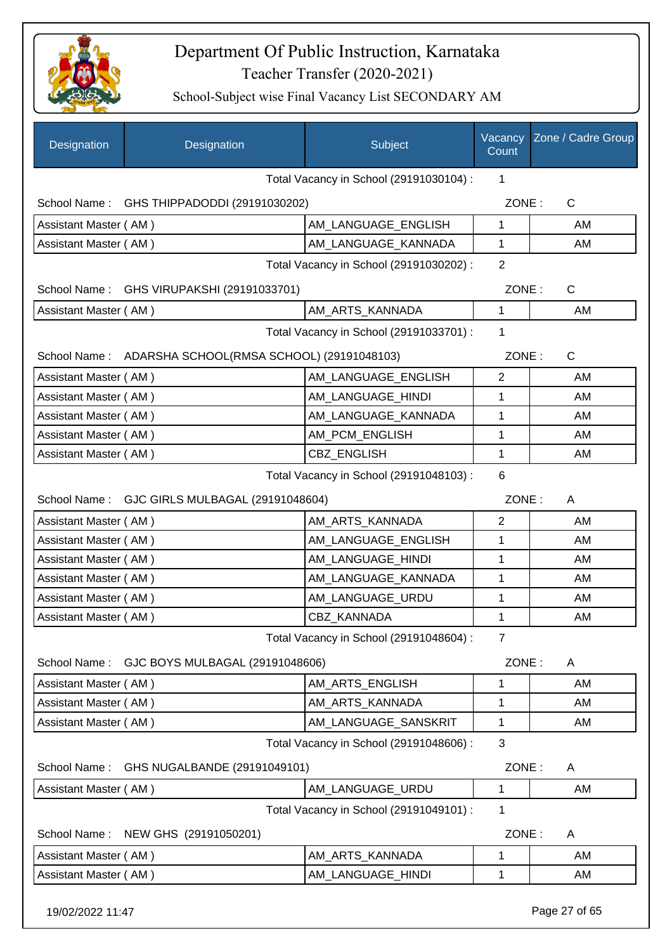

| Designation                             | Designation                                            | Subject                                 | Vacancy<br>Count | Zone / Cadre Group |
|-----------------------------------------|--------------------------------------------------------|-----------------------------------------|------------------|--------------------|
|                                         |                                                        | Total Vacancy in School (29191030104) : | 1                |                    |
|                                         | School Name: GHS THIPPADODDI (29191030202)             |                                         | ZONE:            | $\mathsf{C}$       |
| Assistant Master (AM)                   |                                                        | AM_LANGUAGE_ENGLISH                     | 1                | AM                 |
| Assistant Master (AM)                   |                                                        | AM_LANGUAGE_KANNADA                     | 1                | AM                 |
|                                         |                                                        | Total Vacancy in School (29191030202) : | $\overline{2}$   |                    |
|                                         | School Name: GHS VIRUPAKSHI (29191033701)              |                                         | ZONE:            | C                  |
| Assistant Master (AM)                   |                                                        | AM_ARTS_KANNADA                         | 1                | AM                 |
|                                         |                                                        | Total Vacancy in School (29191033701) : | 1                |                    |
|                                         | School Name: ADARSHA SCHOOL(RMSA SCHOOL) (29191048103) |                                         | ZONE:            | $\mathsf{C}$       |
| Assistant Master (AM)                   |                                                        | AM_LANGUAGE_ENGLISH                     | $\overline{2}$   | AM                 |
| Assistant Master (AM)                   |                                                        | AM_LANGUAGE_HINDI                       | 1                | AM                 |
| Assistant Master (AM)                   |                                                        | AM_LANGUAGE_KANNADA                     | 1                | AM                 |
| Assistant Master (AM)                   |                                                        | AM_PCM_ENGLISH                          | 1                | AM                 |
| Assistant Master (AM)                   |                                                        | CBZ_ENGLISH                             | 1                | AM                 |
| Total Vacancy in School (29191048103) : |                                                        |                                         |                  |                    |
|                                         | School Name: GJC GIRLS MULBAGAL (29191048604)          |                                         | ZONE:            | A                  |
| Assistant Master (AM)                   |                                                        | AM_ARTS_KANNADA                         | $\overline{2}$   | AM                 |
| Assistant Master (AM)                   |                                                        | AM_LANGUAGE_ENGLISH                     | 1                | AM                 |
| Assistant Master (AM)                   |                                                        | AM_LANGUAGE_HINDI                       | 1                | AM                 |
| Assistant Master (AM)                   |                                                        | AM_LANGUAGE_KANNADA                     | 1                | AM                 |
| Assistant Master (AM)                   |                                                        | AM_LANGUAGE_URDU                        | 1                | AM                 |
| Assistant Master (AM)                   |                                                        | CBZ KANNADA                             | 1                | AM                 |
|                                         |                                                        | Total Vacancy in School (29191048604) : | $\overline{7}$   |                    |
| School Name:                            | GJC BOYS MULBAGAL (29191048606)                        |                                         | ZONE:            | A                  |
| Assistant Master (AM)                   |                                                        | AM ARTS ENGLISH                         | 1                | AM                 |
| Assistant Master (AM)                   |                                                        | AM_ARTS_KANNADA                         | 1                | AM                 |
| Assistant Master (AM)                   |                                                        | AM LANGUAGE SANSKRIT                    | 1                | AM                 |
|                                         |                                                        | Total Vacancy in School (29191048606) : | 3                |                    |
| School Name:                            | GHS NUGALBANDE (29191049101)                           |                                         | ZONE:            | A                  |
| Assistant Master (AM)                   |                                                        | AM LANGUAGE URDU                        | 1                | AM                 |
|                                         |                                                        | Total Vacancy in School (29191049101) : | 1                |                    |
| School Name:                            | NEW GHS (29191050201)                                  |                                         | ZONE:            | A                  |
| Assistant Master (AM)                   |                                                        | AM_ARTS_KANNADA                         | 1                | AM                 |
| Assistant Master (AM)                   |                                                        | AM_LANGUAGE_HINDI                       | 1                | AM                 |
|                                         |                                                        |                                         |                  |                    |
| 19/02/2022 11:47                        |                                                        |                                         |                  | Page 27 of 65      |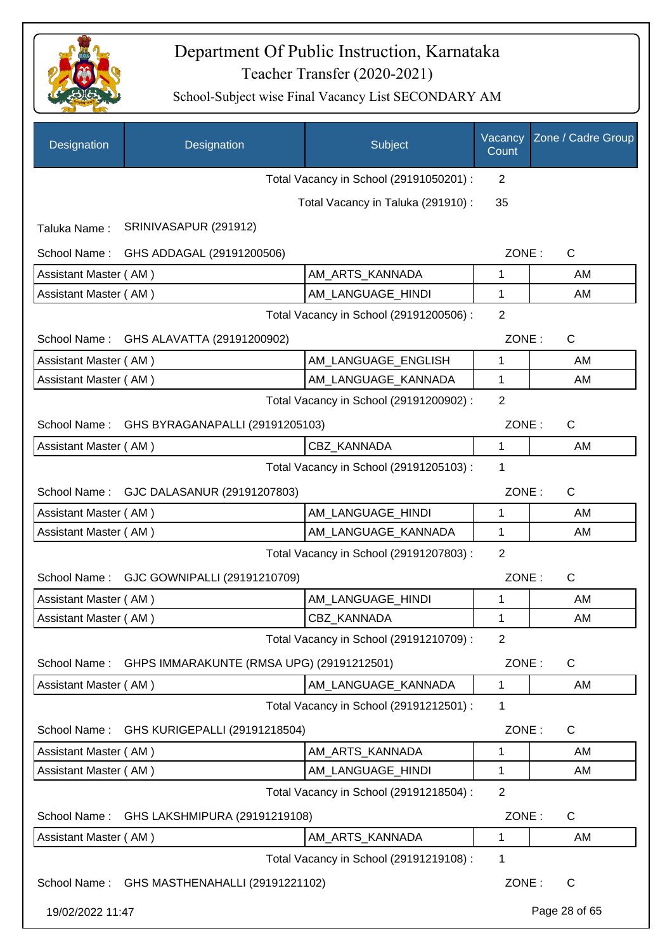

| Designation           | Designation                                  | Subject                                 | Vacancy<br>Count | Zone / Cadre Group |
|-----------------------|----------------------------------------------|-----------------------------------------|------------------|--------------------|
|                       |                                              | Total Vacancy in School (29191050201) : | $\overline{2}$   |                    |
|                       |                                              | Total Vacancy in Taluka (291910) :      | 35               |                    |
| Taluka Name:          | SRINIVASAPUR (291912)                        |                                         |                  |                    |
| School Name:          | GHS ADDAGAL (29191200506)                    |                                         | ZONE:            | $\mathsf{C}$       |
| Assistant Master (AM) |                                              | AM_ARTS_KANNADA                         | 1                | AM                 |
| Assistant Master (AM) |                                              | AM_LANGUAGE_HINDI                       | 1                | AM                 |
|                       |                                              | Total Vacancy in School (29191200506) : | 2                |                    |
| School Name:          | GHS ALAVATTA (29191200902)                   |                                         | ZONE:            | $\mathsf C$        |
| Assistant Master (AM) |                                              | AM_LANGUAGE_ENGLISH                     | $\mathbf{1}$     | AM                 |
| Assistant Master (AM) |                                              | AM_LANGUAGE_KANNADA                     | 1                | AM                 |
|                       |                                              | Total Vacancy in School (29191200902) : | $\overline{2}$   |                    |
| School Name:          | GHS BYRAGANAPALLI (29191205103)              |                                         | ZONE:            | C                  |
| Assistant Master (AM) |                                              | <b>CBZ KANNADA</b>                      | 1                | AM                 |
|                       |                                              | Total Vacancy in School (29191205103) : | 1                |                    |
| School Name:          | GJC DALASANUR (29191207803)                  |                                         | ZONE:            | $\mathsf C$        |
| Assistant Master (AM) |                                              | AM LANGUAGE_HINDI                       | 1                | AM                 |
| Assistant Master (AM) |                                              | AM_LANGUAGE_KANNADA                     | 1                | AM                 |
|                       |                                              | Total Vacancy in School (29191207803) : | $\overline{2}$   |                    |
| School Name:          | GJC GOWNIPALLI (29191210709)                 |                                         | ZONE:            | $\mathsf C$        |
| Assistant Master (AM) |                                              | AM LANGUAGE HINDI                       | 1                | AM                 |
| Assistant Master (AM) |                                              | <b>CBZ KANNADA</b>                      | 1                | AM                 |
|                       |                                              | Total Vacancy in School (29191210709) : | $\overline{2}$   |                    |
| School Name:          | GHPS IMMARAKUNTE (RMSA UPG) (29191212501)    |                                         | ZONE:            | $\mathsf C$        |
| Assistant Master (AM) |                                              | AM_LANGUAGE_KANNADA                     | $\mathbf{1}$     | AM                 |
|                       |                                              | Total Vacancy in School (29191212501) : | 1                |                    |
| School Name:          | GHS KURIGEPALLI (29191218504)                |                                         | ZONE:            | $\mathsf C$        |
| Assistant Master (AM) |                                              | AM_ARTS_KANNADA                         | 1                | AM                 |
| Assistant Master (AM) |                                              | AM_LANGUAGE_HINDI                       | 1                | AM                 |
|                       |                                              | Total Vacancy in School (29191218504) : | 2                |                    |
| School Name:          | GHS LAKSHMIPURA (29191219108)                |                                         | ZONE:            | $\mathsf C$        |
| Assistant Master (AM) |                                              | AM_ARTS_KANNADA                         | 1                | AM                 |
|                       |                                              | Total Vacancy in School (29191219108) : | 1                |                    |
|                       | School Name: GHS MASTHENAHALLI (29191221102) |                                         | ZONE:            | $\mathsf{C}$       |
| 19/02/2022 11:47      |                                              |                                         |                  | Page 28 of 65      |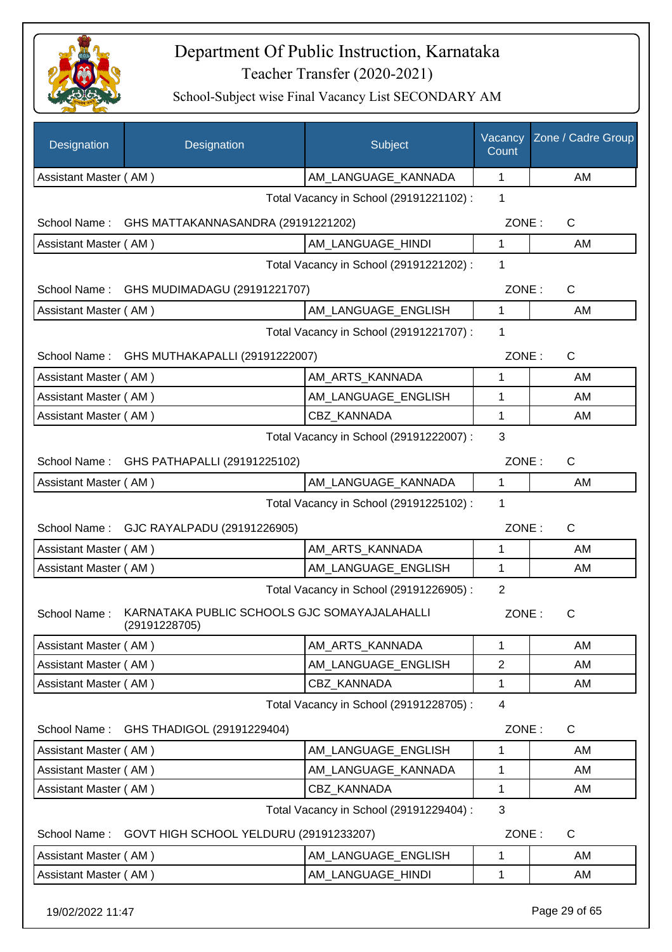

| Designation           | Designation                                                   | Subject                                 | Vacancy<br>Count | Zone / Cadre Group |
|-----------------------|---------------------------------------------------------------|-----------------------------------------|------------------|--------------------|
| Assistant Master (AM) |                                                               | AM_LANGUAGE_KANNADA                     | 1                | AM                 |
|                       |                                                               | Total Vacancy in School (29191221102) : | 1                |                    |
| School Name :         | GHS MATTAKANNASANDRA (29191221202)                            |                                         | ZONE:            | C                  |
| Assistant Master (AM) |                                                               | AM_LANGUAGE_HINDI                       | 1                | AM                 |
|                       |                                                               | Total Vacancy in School (29191221202) : | 1                |                    |
| School Name:          | GHS MUDIMADAGU (29191221707)                                  |                                         | ZONE:            | $\mathsf{C}$       |
| Assistant Master (AM) |                                                               | AM LANGUAGE_ENGLISH                     | 1                | AM                 |
|                       |                                                               | Total Vacancy in School (29191221707) : | 1                |                    |
| School Name:          | GHS MUTHAKAPALLI (29191222007)                                |                                         | ZONE:            | $\mathsf{C}$       |
| Assistant Master (AM) |                                                               | AM ARTS KANNADA                         | 1                | AM                 |
| Assistant Master (AM) |                                                               | AM_LANGUAGE_ENGLISH                     | 1                | AM                 |
| Assistant Master (AM) |                                                               | CBZ_KANNADA                             | 1                | AM                 |
|                       |                                                               | Total Vacancy in School (29191222007) : | 3                |                    |
|                       | School Name: GHS PATHAPALLI (29191225102)                     |                                         | ZONE:            | C                  |
| Assistant Master (AM) |                                                               | AM_LANGUAGE_KANNADA                     | $\mathbf{1}$     | AM                 |
|                       |                                                               | Total Vacancy in School (29191225102) : | 1                |                    |
|                       | School Name: GJC RAYALPADU (29191226905)                      |                                         | ZONE:            | $\mathsf{C}$       |
| Assistant Master (AM) |                                                               | AM_ARTS_KANNADA                         | 1                | AM                 |
| Assistant Master (AM) |                                                               | AM_LANGUAGE_ENGLISH                     | 1                | AM                 |
|                       |                                                               | Total Vacancy in School (29191226905) : | $\overline{2}$   |                    |
| School Name:          | KARNATAKA PUBLIC SCHOOLS GJC SOMAYAJALAHALLI<br>(29191228705) |                                         | ZONE:            | C                  |
| Assistant Master (AM) |                                                               | AM ARTS KANNADA                         | 1                | AM                 |
| Assistant Master (AM) |                                                               | AM LANGUAGE ENGLISH                     | $\overline{2}$   | AM                 |
| Assistant Master (AM) |                                                               | CBZ KANNADA                             | 1                | AM                 |
|                       |                                                               | Total Vacancy in School (29191228705) : | $\overline{4}$   |                    |
| School Name:          | GHS THADIGOL (29191229404)                                    |                                         | ZONE:            | C                  |
| Assistant Master (AM) |                                                               | AM LANGUAGE ENGLISH                     | 1                | AM                 |
| Assistant Master (AM) |                                                               | AM LANGUAGE KANNADA                     | 1                | AM                 |
| Assistant Master (AM) |                                                               | CBZ KANNADA                             | 1                | AM                 |
|                       |                                                               | Total Vacancy in School (29191229404) : | 3                |                    |
|                       | School Name: GOVT HIGH SCHOOL YELDURU (29191233207)           |                                         | ZONE:            | C                  |
| Assistant Master (AM) |                                                               | AM_LANGUAGE_ENGLISH                     | 1                | AM                 |
| Assistant Master (AM) |                                                               | AM_LANGUAGE_HINDI                       | 1                | AM                 |
| 19/02/2022 11:47      |                                                               |                                         |                  | Page 29 of 65      |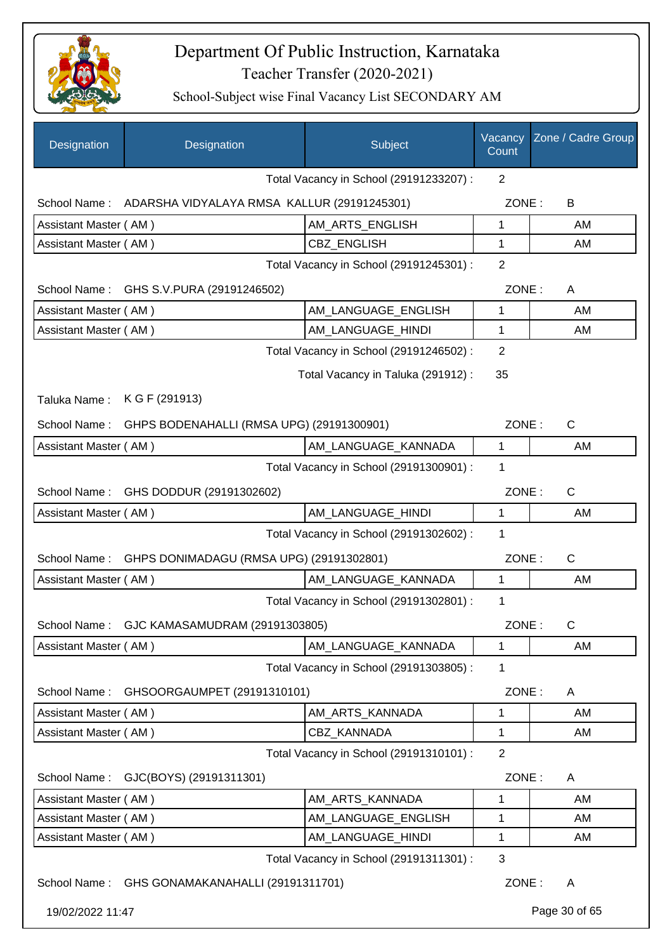

| Designation           | Designation                                              | Subject                                 | Vacancy<br>Count | Zone / Cadre Group |
|-----------------------|----------------------------------------------------------|-----------------------------------------|------------------|--------------------|
|                       |                                                          | Total Vacancy in School (29191233207) : | $\overline{2}$   |                    |
|                       | School Name: ADARSHA VIDYALAYA RMSA KALLUR (29191245301) |                                         | ZONE:            | B                  |
| Assistant Master (AM) |                                                          | AM_ARTS_ENGLISH                         | 1                | AM                 |
| Assistant Master (AM) |                                                          | CBZ_ENGLISH                             | 1                | AM                 |
|                       |                                                          | Total Vacancy in School (29191245301) : | $\overline{2}$   |                    |
|                       | School Name: GHS S.V.PURA (29191246502)                  |                                         | ZONE:            | A                  |
| Assistant Master (AM) |                                                          | AM_LANGUAGE_ENGLISH                     | 1                | AM                 |
| Assistant Master (AM) |                                                          | AM_LANGUAGE_HINDI                       | 1                | AM                 |
|                       |                                                          | Total Vacancy in School (29191246502) : | 2                |                    |
|                       |                                                          | Total Vacancy in Taluka (291912):       | 35               |                    |
| Taluka Name:          | K G F (291913)                                           |                                         |                  |                    |
| School Name:          | GHPS BODENAHALLI (RMSA UPG) (29191300901)                |                                         | ZONE:            | $\mathsf{C}$       |
| Assistant Master (AM) |                                                          | AM_LANGUAGE_KANNADA                     | 1                | AM                 |
|                       |                                                          | Total Vacancy in School (29191300901) : | 1                |                    |
|                       | School Name: GHS DODDUR (29191302602)                    |                                         | ZONE:            | $\mathsf{C}$       |
| Assistant Master (AM) |                                                          | AM_LANGUAGE_HINDI                       | 1                | AM                 |
|                       |                                                          | Total Vacancy in School (29191302602) : | 1                |                    |
| School Name:          | GHPS DONIMADAGU (RMSA UPG) (29191302801)                 |                                         | ZONE:            | $\mathsf{C}$       |
| Assistant Master (AM) |                                                          | AM LANGUAGE KANNADA                     | 1                | AM                 |
|                       |                                                          | Total Vacancy in School (29191302801) : | 1                |                    |
|                       | School Name: GJC KAMASAMUDRAM (29191303805)              |                                         | ZONE:            | С                  |
| Assistant Master (AM) |                                                          | AM LANGUAGE KANNADA                     | 1                | AM                 |
|                       |                                                          | Total Vacancy in School (29191303805) : | 1                |                    |
| School Name:          | GHSOORGAUMPET (29191310101)                              |                                         | ZONE:            | A                  |
| Assistant Master (AM) |                                                          | AM ARTS KANNADA                         | 1                | AM                 |
| Assistant Master (AM) |                                                          | CBZ_KANNADA                             | 1                | AM                 |
|                       |                                                          | Total Vacancy in School (29191310101) : | $\overline{2}$   |                    |
| School Name:          | GJC(BOYS) (29191311301)                                  |                                         | ZONE:            | A                  |
| Assistant Master (AM) |                                                          | AM_ARTS_KANNADA                         | 1                | AM                 |
| Assistant Master (AM) |                                                          | AM_LANGUAGE_ENGLISH                     | 1                | AM                 |
| Assistant Master (AM) |                                                          | AM_LANGUAGE_HINDI                       | 1                | AM                 |
|                       |                                                          | Total Vacancy in School (29191311301) : | 3                |                    |
| School Name:          | GHS GONAMAKANAHALLI (29191311701)                        |                                         | ZONE:            | A                  |
| 19/02/2022 11:47      |                                                          |                                         |                  | Page 30 of 65      |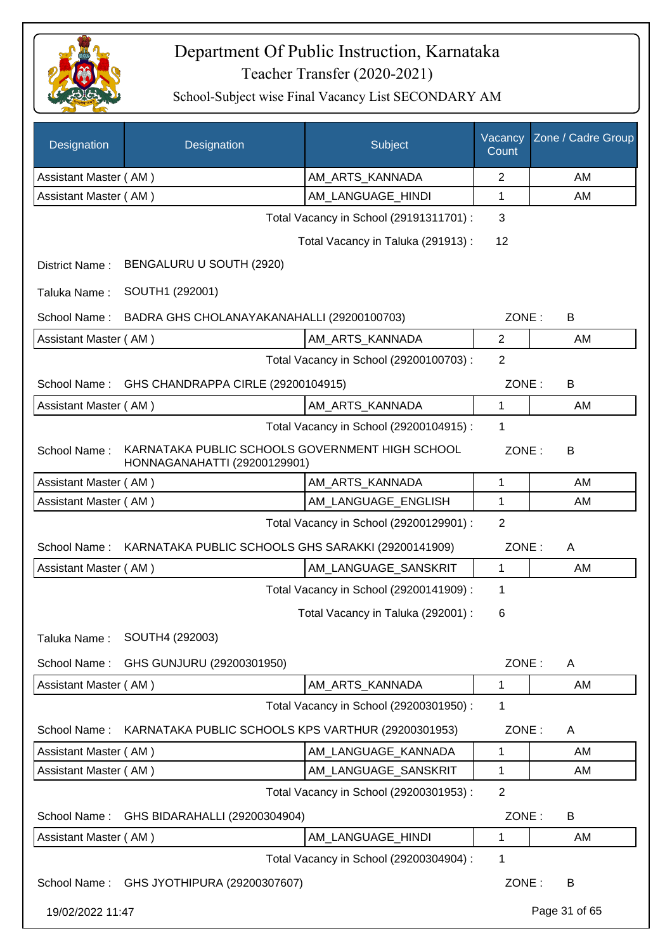

| Designation                             | Designation                                                                     | Subject                                 | Vacancy<br>Count | Zone / Cadre Group |
|-----------------------------------------|---------------------------------------------------------------------------------|-----------------------------------------|------------------|--------------------|
| Assistant Master (AM)                   |                                                                                 | AM_ARTS_KANNADA                         | $\overline{2}$   | AM                 |
| Assistant Master (AM)                   |                                                                                 | AM_LANGUAGE_HINDI                       | 1                | AM                 |
|                                         |                                                                                 | Total Vacancy in School (29191311701) : | 3                |                    |
|                                         |                                                                                 | Total Vacancy in Taluka (291913) :      | 12               |                    |
| District Name:                          | BENGALURU U SOUTH (2920)                                                        |                                         |                  |                    |
| Taluka Name:                            | SOUTH1 (292001)                                                                 |                                         |                  |                    |
| School Name:                            | BADRA GHS CHOLANAYAKANAHALLI (29200100703)                                      |                                         | ZONE:            | В                  |
| Assistant Master (AM)                   |                                                                                 | AM_ARTS_KANNADA                         | $\overline{2}$   | AM                 |
|                                         |                                                                                 | Total Vacancy in School (29200100703) : | $\overline{2}$   |                    |
| School Name:                            | GHS CHANDRAPPA CIRLE (29200104915)                                              |                                         | ZONE:            | B                  |
| Assistant Master (AM)                   |                                                                                 | AM ARTS KANNADA                         | 1                | AM                 |
|                                         |                                                                                 | Total Vacancy in School (29200104915) : | 1                |                    |
| School Name:                            | KARNATAKA PUBLIC SCHOOLS GOVERNMENT HIGH SCHOOL<br>HONNAGANAHATTI (29200129901) |                                         | ZONE:            | B                  |
| Assistant Master (AM)                   |                                                                                 | AM_ARTS_KANNADA                         | 1                | AM                 |
| Assistant Master (AM)                   |                                                                                 | AM_LANGUAGE_ENGLISH                     | 1                | AM                 |
| Total Vacancy in School (29200129901) : |                                                                                 |                                         |                  |                    |
| School Name:                            | KARNATAKA PUBLIC SCHOOLS GHS SARAKKI (29200141909)                              |                                         | ZONE:            | A                  |
| Assistant Master (AM)                   |                                                                                 | AM LANGUAGE SANSKRIT                    | 1                | AM                 |
|                                         |                                                                                 | Total Vacancy in School (29200141909) : | 1                |                    |
|                                         |                                                                                 | Total Vacancy in Taluka (292001) :      | 6                |                    |
| Taluka Name:                            | SOUTH4 (292003)                                                                 |                                         |                  |                    |
| School Name:                            | GHS GUNJURU (29200301950)                                                       |                                         | ZONE:            | A                  |
| Assistant Master (AM)                   |                                                                                 | AM_ARTS_KANNADA                         | 1                | AM                 |
|                                         |                                                                                 | Total Vacancy in School (29200301950) : | 1                |                    |
| School Name:                            | KARNATAKA PUBLIC SCHOOLS KPS VARTHUR (29200301953)                              |                                         | ZONE:            | A                  |
| Assistant Master (AM)                   |                                                                                 | AM LANGUAGE KANNADA                     | 1                | AM                 |
| Assistant Master (AM)                   |                                                                                 | AM_LANGUAGE_SANSKRIT                    | 1                | AM                 |
|                                         |                                                                                 | Total Vacancy in School (29200301953) : | $\overline{2}$   |                    |
| School Name:                            | GHS BIDARAHALLI (29200304904)                                                   |                                         | ZONE:            | B                  |
| Assistant Master (AM)                   |                                                                                 | AM_LANGUAGE_HINDI                       | 1                | AM                 |
|                                         |                                                                                 | Total Vacancy in School (29200304904) : | 1                |                    |
|                                         | School Name: GHS JYOTHIPURA (29200307607)                                       |                                         | ZONE:            | B                  |
| 19/02/2022 11:47                        |                                                                                 |                                         |                  | Page 31 of 65      |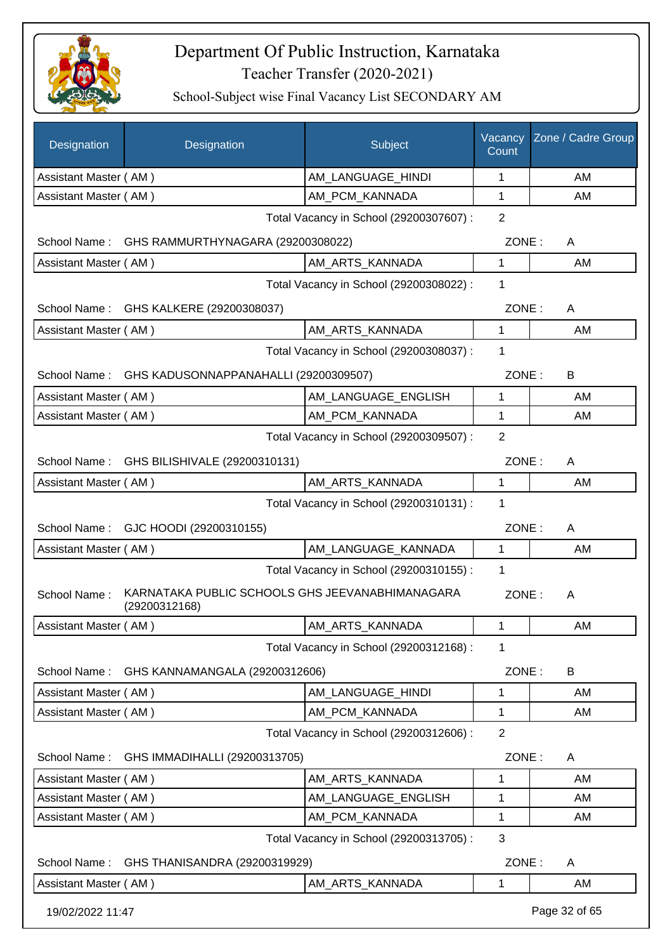

| Designation           | Designation                                                      | Subject                                 | Vacancy<br>Count | Zone / Cadre Group |
|-----------------------|------------------------------------------------------------------|-----------------------------------------|------------------|--------------------|
| Assistant Master (AM) |                                                                  | AM_LANGUAGE_HINDI                       | 1                | AM                 |
| Assistant Master (AM) |                                                                  | AM PCM KANNADA                          | 1                | AM                 |
|                       |                                                                  | Total Vacancy in School (29200307607) : | $\overline{2}$   |                    |
| School Name:          | GHS RAMMURTHYNAGARA (29200308022)                                |                                         | ZONE:            | A                  |
| Assistant Master (AM) |                                                                  | AM_ARTS_KANNADA                         | 1                | AM                 |
|                       |                                                                  | Total Vacancy in School (29200308022) : | 1                |                    |
|                       | School Name: GHS KALKERE (29200308037)                           |                                         | ZONE:            | A                  |
| Assistant Master (AM) |                                                                  | AM_ARTS_KANNADA                         | $\mathbf 1$      | AM                 |
|                       |                                                                  | Total Vacancy in School (29200308037) : | 1                |                    |
| School Name:          | GHS KADUSONNAPPANAHALLI (29200309507)                            |                                         | ZONE:            | B                  |
| Assistant Master (AM) |                                                                  | AM_LANGUAGE_ENGLISH                     | 1                | AM                 |
| Assistant Master (AM) |                                                                  | AM PCM KANNADA                          | 1                | AM                 |
|                       |                                                                  | Total Vacancy in School (29200309507) : | 2                |                    |
|                       | School Name: GHS BILISHIVALE (29200310131)                       |                                         | ZONE:            | A                  |
| Assistant Master (AM) |                                                                  | AM_ARTS_KANNADA                         | $\mathbf{1}$     | AM                 |
|                       |                                                                  | Total Vacancy in School (29200310131) : | 1                |                    |
| School Name:          | GJC HOODI (29200310155)                                          |                                         | ZONE:            | Α                  |
| Assistant Master (AM) |                                                                  | AM_LANGUAGE_KANNADA                     | 1                | AM                 |
|                       |                                                                  | Total Vacancy in School (29200310155) : | 1                |                    |
| School Name:          | KARNATAKA PUBLIC SCHOOLS GHS JEEVANABHIMANAGARA<br>(29200312168) |                                         | ZONE:            | A                  |
| Assistant Master (AM) |                                                                  | AM_ARTS_KANNADA                         | 1                | AM                 |
|                       |                                                                  | Total Vacancy in School (29200312168) : | 1                |                    |
| School Name:          | GHS KANNAMANGALA (29200312606)                                   |                                         | ZONE:            | B                  |
| Assistant Master (AM) |                                                                  | AM LANGUAGE HINDI                       | 1                | AM                 |
| Assistant Master (AM) |                                                                  | AM_PCM_KANNADA                          | 1                | AM                 |
|                       |                                                                  | Total Vacancy in School (29200312606) : | $\overline{2}$   |                    |
| School Name:          | GHS IMMADIHALLI (29200313705)                                    |                                         | ZONE:            | A                  |
| Assistant Master (AM) |                                                                  | AM_ARTS_KANNADA                         | 1                | AM                 |
| Assistant Master (AM) |                                                                  | AM_LANGUAGE_ENGLISH                     | 1                | AM                 |
| Assistant Master (AM) |                                                                  | AM_PCM_KANNADA                          | 1                | AM                 |
|                       |                                                                  | Total Vacancy in School (29200313705) : | 3                |                    |
| School Name:          | GHS THANISANDRA (29200319929)                                    |                                         | ZONE:            | A                  |
| Assistant Master (AM) |                                                                  | AM_ARTS_KANNADA                         | 1                | AM                 |
| 19/02/2022 11:47      |                                                                  |                                         |                  | Page 32 of 65      |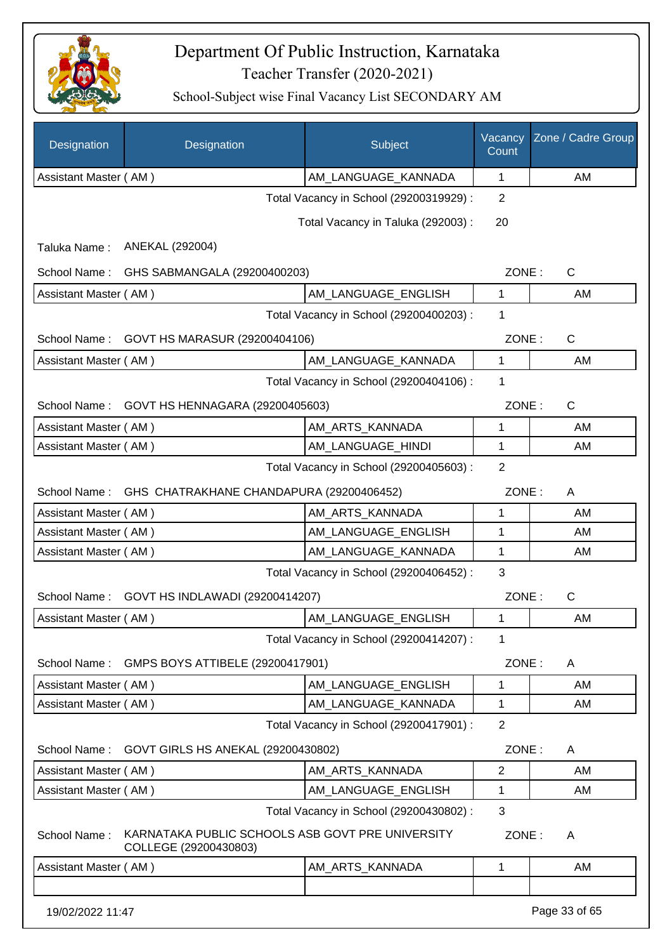

| Designation                             | Designation                                                               | Subject                                 | Vacancy<br>Count | Zone / Cadre Group |
|-----------------------------------------|---------------------------------------------------------------------------|-----------------------------------------|------------------|--------------------|
| Assistant Master (AM)                   |                                                                           | AM_LANGUAGE_KANNADA                     | 1                | AM                 |
|                                         |                                                                           | Total Vacancy in School (29200319929) : | $\overline{2}$   |                    |
|                                         |                                                                           | Total Vacancy in Taluka (292003) :      | 20               |                    |
| Taluka Name:                            | ANEKAL (292004)                                                           |                                         |                  |                    |
| School Name:                            | GHS SABMANGALA (29200400203)                                              |                                         | ZONE:            | $\mathsf{C}$       |
| Assistant Master (AM)                   |                                                                           | AM_LANGUAGE_ENGLISH                     | 1                | AM                 |
|                                         |                                                                           | Total Vacancy in School (29200400203) : | 1                |                    |
| School Name:                            | GOVT HS MARASUR (29200404106)                                             |                                         | ZONE:            | $\mathsf C$        |
| Assistant Master (AM)                   |                                                                           | AM_LANGUAGE_KANNADA                     | 1                | AM                 |
|                                         |                                                                           | Total Vacancy in School (29200404106) : | 1                |                    |
| School Name:                            | GOVT HS HENNAGARA (29200405603)                                           |                                         | ZONE:            | $\mathsf{C}$       |
| Assistant Master (AM)                   |                                                                           | AM_ARTS_KANNADA                         | 1                | AM                 |
| Assistant Master (AM)                   |                                                                           | AM_LANGUAGE_HINDI                       | 1                | AM                 |
| Total Vacancy in School (29200405603) : |                                                                           |                                         |                  |                    |
| School Name:                            | GHS CHATRAKHANE CHANDAPURA (29200406452)                                  |                                         | ZONE:            | A                  |
| Assistant Master (AM)                   |                                                                           | AM_ARTS_KANNADA                         | 1                | AM                 |
| Assistant Master (AM)                   |                                                                           | AM_LANGUAGE_ENGLISH                     | 1                | AM                 |
| Assistant Master (AM)                   |                                                                           | AM_LANGUAGE_KANNADA                     | 1                | AM                 |
|                                         |                                                                           | Total Vacancy in School (29200406452) : | 3                |                    |
| School Name:                            | GOVT HS INDLAWADI (29200414207)                                           |                                         | ZONE:            | $\mathsf{C}$       |
| Assistant Master (AM)                   |                                                                           | AM LANGUAGE ENGLISH                     | 1                | AM                 |
|                                         |                                                                           | Total Vacancy in School (29200414207) : | 1                |                    |
| School Name:                            | GMPS BOYS ATTIBELE (29200417901)                                          |                                         | ZONE:            | A                  |
| Assistant Master (AM)                   |                                                                           | AM LANGUAGE ENGLISH                     | 1                | AM                 |
| Assistant Master (AM)                   |                                                                           | AM_LANGUAGE_KANNADA                     | 1                | AM                 |
|                                         |                                                                           | Total Vacancy in School (29200417901) : | $\overline{2}$   |                    |
| School Name:                            | GOVT GIRLS HS ANEKAL (29200430802)                                        |                                         | ZONE:            | A                  |
| Assistant Master (AM)                   |                                                                           | AM_ARTS_KANNADA                         | $\overline{2}$   | AM                 |
| Assistant Master (AM)                   |                                                                           | AM LANGUAGE ENGLISH                     | 1                | AM                 |
|                                         |                                                                           | Total Vacancy in School (29200430802) : | 3                |                    |
| School Name:                            | KARNATAKA PUBLIC SCHOOLS ASB GOVT PRE UNIVERSITY<br>COLLEGE (29200430803) |                                         | ZONE:            | A                  |
| Assistant Master (AM)                   |                                                                           | AM_ARTS_KANNADA                         | 1                | AM                 |
|                                         |                                                                           |                                         |                  |                    |
| 19/02/2022 11:47                        |                                                                           |                                         |                  | Page 33 of 65      |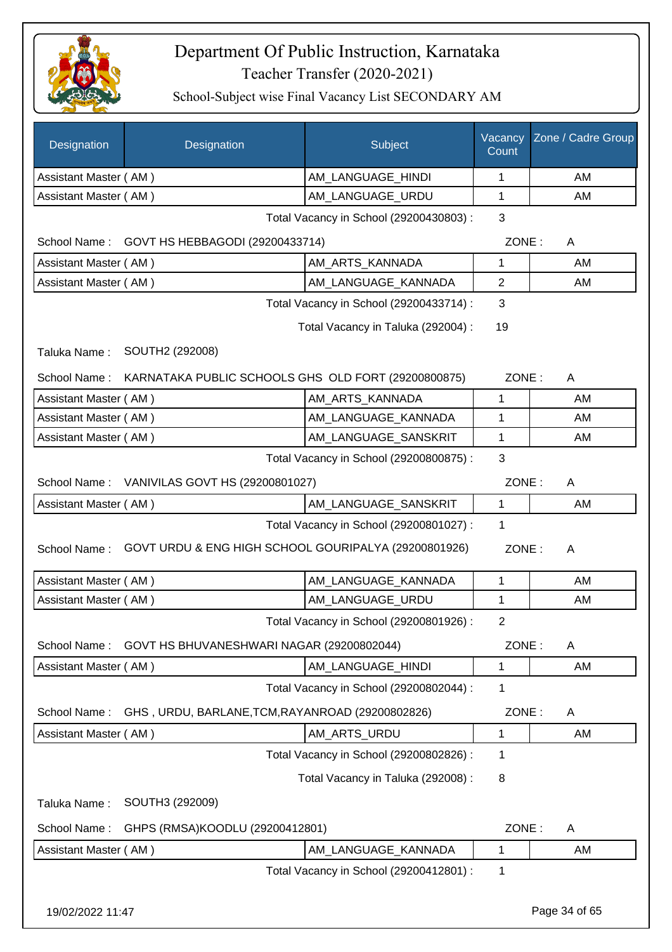

| Designation           | Designation                                          | Subject                                 | Vacancy<br>Count | Zone / Cadre Group |
|-----------------------|------------------------------------------------------|-----------------------------------------|------------------|--------------------|
| Assistant Master (AM) |                                                      | AM_LANGUAGE_HINDI                       | 1                | AM                 |
| Assistant Master (AM) |                                                      | AM LANGUAGE URDU                        | 1                | AM                 |
|                       |                                                      | Total Vacancy in School (29200430803) : | 3                |                    |
|                       | School Name: GOVT HS HEBBAGODI (29200433714)         |                                         | ZONE:            | A                  |
| Assistant Master (AM) |                                                      | AM_ARTS_KANNADA                         | 1                | AM                 |
| Assistant Master (AM) |                                                      | AM_LANGUAGE_KANNADA                     | $\overline{2}$   | AM                 |
|                       |                                                      | Total Vacancy in School (29200433714) : | 3                |                    |
|                       |                                                      | Total Vacancy in Taluka (292004) :      | 19               |                    |
| Taluka Name:          | SOUTH2 (292008)                                      |                                         |                  |                    |
| School Name:          | KARNATAKA PUBLIC SCHOOLS GHS OLD FORT (29200800875)  |                                         | ZONE:            | A                  |
| Assistant Master (AM) |                                                      | AM_ARTS_KANNADA                         | 1                | AM                 |
| Assistant Master (AM) |                                                      | AM_LANGUAGE_KANNADA                     | 1                | AM                 |
| Assistant Master (AM) |                                                      | AM_LANGUAGE_SANSKRIT                    | 1                | AM                 |
|                       |                                                      | Total Vacancy in School (29200800875) : | 3                |                    |
|                       | School Name: VANIVILAS GOVT HS (29200801027)         |                                         | ZONE:            | A                  |
| Assistant Master (AM) |                                                      | AM_LANGUAGE_SANSKRIT                    | 1                | AM                 |
|                       |                                                      | Total Vacancy in School (29200801027) : | 1                |                    |
| School Name:          | GOVT URDU & ENG HIGH SCHOOL GOURIPALYA (29200801926) |                                         | ZONE:            | A                  |
| Assistant Master (AM) |                                                      | AM_LANGUAGE_KANNADA                     | $\mathbf{1}$     | AM                 |
| Assistant Master (AM) |                                                      | AM_LANGUAGE_URDU                        | 1                | AM                 |
|                       |                                                      | Total Vacancy in School (29200801926) : | $\overline{2}$   |                    |
| School Name:          | GOVT HS BHUVANESHWARI NAGAR (29200802044)            |                                         | ZONE:            | A                  |
| Assistant Master (AM) |                                                      | AM_LANGUAGE_HINDI                       | 1                | AM                 |
|                       |                                                      | Total Vacancy in School (29200802044) : | 1                |                    |
| School Name:          | GHS, URDU, BARLANE, TCM, RAYANROAD (29200802826)     |                                         | ZONE:            | A                  |
| Assistant Master (AM) |                                                      | AM_ARTS_URDU                            | 1                | AM                 |
|                       |                                                      | Total Vacancy in School (29200802826) : | 1                |                    |
|                       |                                                      | Total Vacancy in Taluka (292008) :      | 8                |                    |
| Taluka Name:          | SOUTH3 (292009)                                      |                                         |                  |                    |
| School Name:          | GHPS (RMSA)KOODLU (29200412801)                      |                                         | ZONE:            | A                  |
| Assistant Master (AM) |                                                      | AM_LANGUAGE_KANNADA                     | 1                | AM                 |
|                       |                                                      | Total Vacancy in School (29200412801) : | 1                |                    |
| 19/02/2022 11:47      |                                                      |                                         |                  | Page 34 of 65      |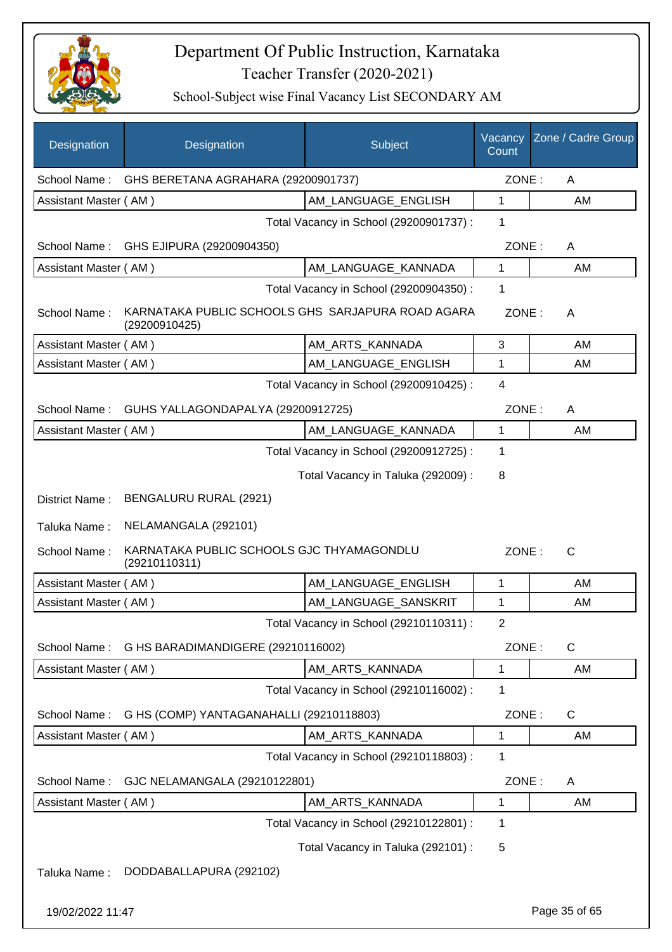

| Designation           | Designation                                                        | Subject                                 | Vacancy<br>Count | Zone / Cadre Group |
|-----------------------|--------------------------------------------------------------------|-----------------------------------------|------------------|--------------------|
| School Name:          | GHS BERETANA AGRAHARA (29200901737)                                |                                         | ZONE:            | A                  |
| Assistant Master (AM) |                                                                    | AM LANGUAGE ENGLISH                     | 1                | AM                 |
|                       |                                                                    | Total Vacancy in School (29200901737) : | 1                |                    |
| School Name:          | GHS EJIPURA (29200904350)                                          |                                         | ZONE:            | A                  |
| Assistant Master (AM) |                                                                    | AM LANGUAGE KANNADA                     | 1                | AM                 |
|                       |                                                                    | Total Vacancy in School (29200904350) : | 1                |                    |
| School Name:          | KARNATAKA PUBLIC SCHOOLS GHS SARJAPURA ROAD AGARA<br>(29200910425) |                                         | ZONE:            | A                  |
| Assistant Master (AM) |                                                                    | AM_ARTS_KANNADA                         | 3                | AM                 |
| Assistant Master (AM) |                                                                    | AM LANGUAGE ENGLISH                     | 1                | AM                 |
|                       |                                                                    | Total Vacancy in School (29200910425) : | $\overline{4}$   |                    |
| School Name:          | GUHS YALLAGONDAPALYA (29200912725)                                 |                                         | ZONE:            | A                  |
| Assistant Master (AM) |                                                                    | AM LANGUAGE KANNADA                     | 1                | AM                 |
|                       |                                                                    | Total Vacancy in School (29200912725) : | 1                |                    |
|                       |                                                                    | Total Vacancy in Taluka (292009) :      | 8                |                    |
| District Name:        | BENGALURU RURAL (2921)                                             |                                         |                  |                    |
| Taluka Name:          | NELAMANGALA (292101)                                               |                                         |                  |                    |
| School Name:          | KARNATAKA PUBLIC SCHOOLS GJC THYAMAGONDLU<br>(29210110311)         |                                         | ZONE:            | $\mathsf{C}$       |
| Assistant Master (AM) |                                                                    | AM_LANGUAGE_ENGLISH                     | 1                | AM                 |
| Assistant Master (AM) |                                                                    | AM LANGUAGE SANSKRIT                    | 1                | AM                 |
|                       |                                                                    | Total Vacancy in School (29210110311) : | $\mathbf{2}$     |                    |
| School Name:          | G HS BARADIMANDIGERE (29210116002)                                 |                                         | ZONE:            | $\mathsf{C}$       |
| Assistant Master (AM) |                                                                    | AM ARTS KANNADA                         | 1                | AM                 |
|                       |                                                                    | Total Vacancy in School (29210116002) : | 1                |                    |
| School Name:          | G HS (COMP) YANTAGANAHALLI (29210118803)                           |                                         | ZONE:            | C                  |
| Assistant Master (AM) |                                                                    | AM_ARTS_KANNADA                         | 1                | AM                 |
|                       |                                                                    | Total Vacancy in School (29210118803) : | 1                |                    |
| School Name:          | GJC NELAMANGALA (29210122801)                                      |                                         | ZONE:            | A                  |
| Assistant Master (AM) |                                                                    | AM ARTS KANNADA                         | 1                | AM                 |
|                       |                                                                    | Total Vacancy in School (29210122801) : | 1                |                    |
|                       |                                                                    | Total Vacancy in Taluka (292101) :      | 5                |                    |
| Taluka Name:          | DODDABALLAPURA (292102)                                            |                                         |                  |                    |
| 19/02/2022 11:47      |                                                                    |                                         |                  | Page 35 of 65      |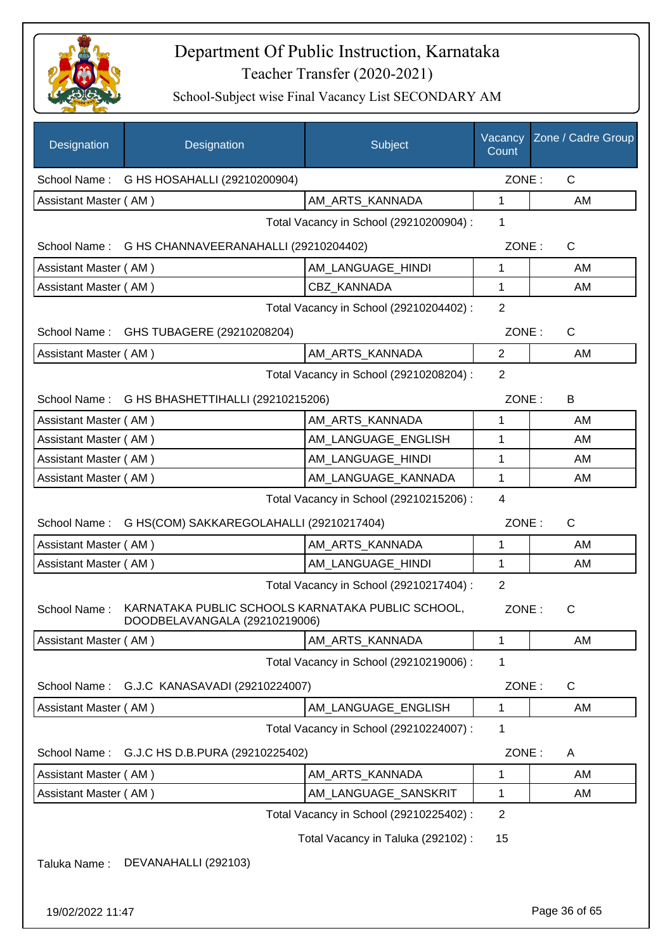

| Designation           | Designation                                                                        | Subject                                 | Vacancy<br>Count | Zone / Cadre Group |
|-----------------------|------------------------------------------------------------------------------------|-----------------------------------------|------------------|--------------------|
| School Name:          | G HS HOSAHALLI (29210200904)                                                       |                                         | ZONE:            | $\mathsf{C}$       |
| Assistant Master (AM) |                                                                                    | AM_ARTS_KANNADA                         | $\mathbf{1}$     | AM                 |
|                       |                                                                                    | Total Vacancy in School (29210200904) : | 1                |                    |
| School Name :         | G HS CHANNAVEERANAHALLI (29210204402)                                              |                                         | ZONE:            | C                  |
| Assistant Master (AM) |                                                                                    | AM_LANGUAGE_HINDI                       | 1                | AM                 |
| Assistant Master (AM) |                                                                                    | CBZ KANNADA                             | 1                | AM                 |
|                       |                                                                                    | Total Vacancy in School (29210204402) : | 2                |                    |
|                       | School Name: GHS TUBAGERE (29210208204)                                            |                                         | ZONE:            | C                  |
| Assistant Master (AM) |                                                                                    | AM_ARTS_KANNADA                         | $\overline{2}$   | AM                 |
|                       |                                                                                    | Total Vacancy in School (29210208204) : | $\overline{2}$   |                    |
|                       | School Name: G HS BHASHETTIHALLI (29210215206)                                     |                                         | ZONE:            | B                  |
| Assistant Master (AM) |                                                                                    | AM_ARTS_KANNADA                         | 1                | AM                 |
| Assistant Master (AM) |                                                                                    | AM LANGUAGE ENGLISH                     | 1                | AM                 |
| Assistant Master (AM) |                                                                                    | AM_LANGUAGE_HINDI                       | 1                | AM                 |
| Assistant Master (AM) |                                                                                    | AM_LANGUAGE_KANNADA                     | 1                | AM                 |
|                       |                                                                                    | Total Vacancy in School (29210215206) : | 4                |                    |
| School Name:          | G HS(COM) SAKKAREGOLAHALLI (29210217404)                                           |                                         | ZONE:            | $\mathsf C$        |
| Assistant Master (AM) |                                                                                    | AM_ARTS_KANNADA                         | 1                | AM                 |
| Assistant Master (AM) |                                                                                    | AM LANGUAGE HINDI                       | 1                | AM                 |
|                       |                                                                                    | Total Vacancy in School (29210217404) : | $\overline{2}$   |                    |
| School Name:          | KARNATAKA PUBLIC SCHOOLS KARNATAKA PUBLIC SCHOOL,<br>DOODBELAVANGALA (29210219006) |                                         | ZONE:            | $\mathsf{C}$       |
| Assistant Master (AM) |                                                                                    | AM ARTS KANNADA                         | 1                | AM                 |
|                       |                                                                                    | Total Vacancy in School (29210219006) : | 1                |                    |
| School Name:          | G.J.C KANASAVADI (29210224007)                                                     |                                         | ZONE:            | C                  |
| Assistant Master (AM) |                                                                                    | AM LANGUAGE_ENGLISH                     | 1                | AM                 |
|                       |                                                                                    | Total Vacancy in School (29210224007) : | 1                |                    |
| School Name:          | G.J.C HS D.B.PURA (29210225402)                                                    |                                         | ZONE:            | Α                  |
| Assistant Master (AM) |                                                                                    | AM ARTS KANNADA                         | 1                | AM                 |
| Assistant Master (AM) |                                                                                    | AM_LANGUAGE_SANSKRIT                    | 1                | AM                 |
|                       |                                                                                    | Total Vacancy in School (29210225402) : | $\overline{c}$   |                    |
|                       |                                                                                    | Total Vacancy in Taluka (292102):       | 15               |                    |
| Taluka Name:          | DEVANAHALLI (292103)                                                               |                                         |                  |                    |
| 19/02/2022 11:47      |                                                                                    |                                         |                  | Page 36 of 65      |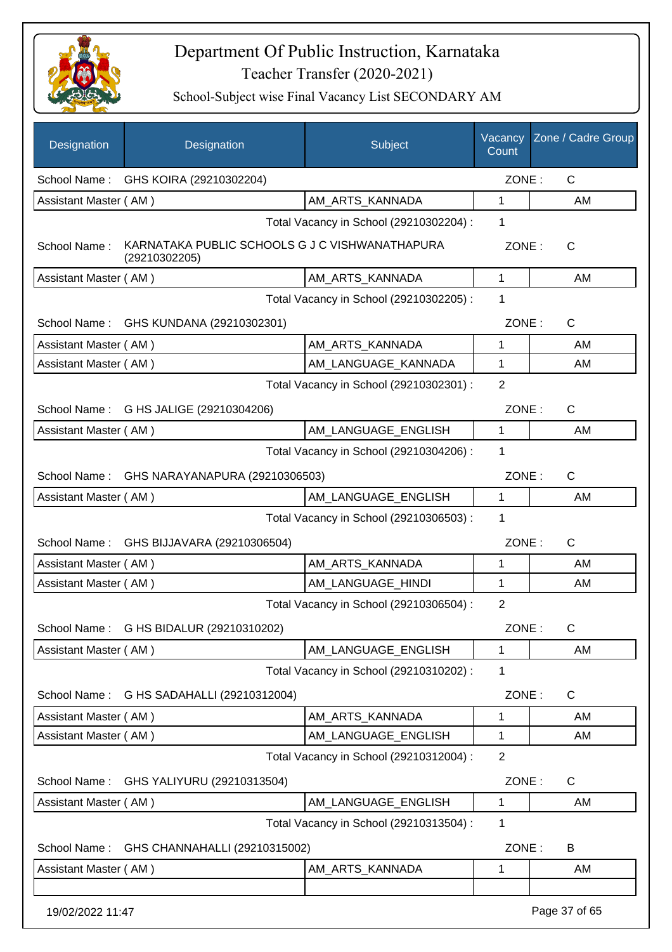

| Designation           | Designation                                                     | Subject                                 | Vacancy<br>Count | Zone / Cadre Group |
|-----------------------|-----------------------------------------------------------------|-----------------------------------------|------------------|--------------------|
|                       | School Name: GHS KOIRA (29210302204)                            |                                         | ZONE:            | C                  |
| Assistant Master (AM) |                                                                 | AM ARTS KANNADA                         | 1                | AM                 |
|                       |                                                                 | Total Vacancy in School (29210302204) : | 1                |                    |
| School Name:          | KARNATAKA PUBLIC SCHOOLS G J C VISHWANATHAPURA<br>(29210302205) |                                         | ZONE:            | $\mathsf{C}$       |
| Assistant Master (AM) |                                                                 | AM_ARTS_KANNADA                         | 1                | AM                 |
|                       |                                                                 | Total Vacancy in School (29210302205) : | 1                |                    |
| School Name:          | GHS KUNDANA (29210302301)                                       |                                         | ZONE:            | C                  |
| Assistant Master (AM) |                                                                 | AM ARTS KANNADA                         | 1                | AM                 |
| Assistant Master (AM) |                                                                 | AM_LANGUAGE_KANNADA                     | 1                | AM                 |
|                       |                                                                 | Total Vacancy in School (29210302301) : | $\overline{2}$   |                    |
|                       | School Name: G HS JALIGE (29210304206)                          |                                         | ZONE:            | $\mathsf{C}$       |
| Assistant Master (AM) |                                                                 | AM LANGUAGE ENGLISH                     | $\mathbf{1}$     | AM                 |
|                       |                                                                 | Total Vacancy in School (29210304206) : | 1                |                    |
|                       | School Name: GHS NARAYANAPURA (29210306503)                     |                                         | ZONE:            | $\mathsf{C}$       |
| Assistant Master (AM) |                                                                 | AM_LANGUAGE_ENGLISH                     | 1                | AM                 |
|                       |                                                                 | Total Vacancy in School (29210306503) : | 1                |                    |
| School Name:          | GHS BIJJAVARA (29210306504)                                     |                                         | ZONE:            | C                  |
| Assistant Master (AM) |                                                                 | AM_ARTS_KANNADA                         | 1                | AM                 |
| Assistant Master (AM) |                                                                 | AM_LANGUAGE_HINDI                       | 1                | AM                 |
|                       |                                                                 | Total Vacancy in School (29210306504) : | $\overline{2}$   |                    |
| School Name :         | G HS BIDALUR (29210310202)                                      |                                         | ZONE:            | С                  |
| Assistant Master (AM) |                                                                 | AM_LANGUAGE_ENGLISH                     | 1                | AM                 |
|                       |                                                                 | Total Vacancy in School (29210310202) : | 1                |                    |
| School Name:          | G HS SADAHALLI (29210312004)                                    |                                         | ZONE:            | C                  |
| Assistant Master (AM) |                                                                 | AM_ARTS_KANNADA                         | 1                | AM                 |
| Assistant Master (AM) |                                                                 | AM_LANGUAGE_ENGLISH                     | 1                | AM                 |
|                       |                                                                 | Total Vacancy in School (29210312004) : | $\overline{2}$   |                    |
| School Name:          | GHS YALIYURU (29210313504)                                      |                                         | ZONE:            | $\mathsf{C}$       |
| Assistant Master (AM) |                                                                 | AM_LANGUAGE_ENGLISH                     | 1                | AM                 |
|                       |                                                                 | Total Vacancy in School (29210313504) : | 1                |                    |
| School Name:          | GHS CHANNAHALLI (29210315002)                                   |                                         | ZONE:            | B                  |
| Assistant Master (AM) |                                                                 | AM_ARTS_KANNADA                         | 1                | AM                 |
| 19/02/2022 11:47      |                                                                 |                                         |                  | Page 37 of 65      |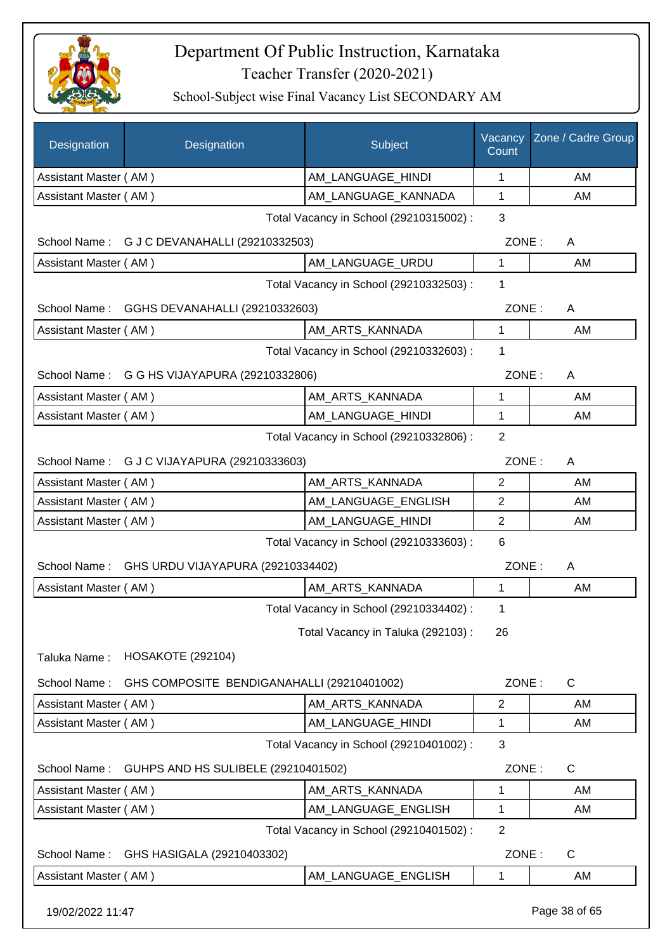

| <b>Designation</b>    | Designation                                  | Subject                                 | Vacancy<br>Count | Zone / Cadre Group |
|-----------------------|----------------------------------------------|-----------------------------------------|------------------|--------------------|
| Assistant Master (AM) |                                              | AM_LANGUAGE_HINDI                       | 1                | AM                 |
| Assistant Master (AM) |                                              | AM_LANGUAGE_KANNADA                     | 1                | AM                 |
|                       |                                              | Total Vacancy in School (29210315002) : | 3                |                    |
|                       | School Name: G J C DEVANAHALLI (29210332503) |                                         | ZONE:            | A                  |
| Assistant Master (AM) |                                              | AM_LANGUAGE_URDU                        | $\mathbf{1}$     | AM                 |
|                       |                                              | Total Vacancy in School (29210332503) : | 1                |                    |
| School Name:          | GGHS DEVANAHALLI (29210332603)               |                                         | ZONE:            | A                  |
| Assistant Master (AM) |                                              | AM_ARTS_KANNADA                         | 1                | AM                 |
|                       |                                              | Total Vacancy in School (29210332603) : | 1                |                    |
|                       | School Name: G G HS VIJAYAPURA (29210332806) |                                         | ZONE:            | A                  |
| Assistant Master (AM) |                                              | AM ARTS KANNADA                         | 1                | AM                 |
| Assistant Master (AM) |                                              | AM LANGUAGE HINDI                       | 1                | AM                 |
|                       |                                              | Total Vacancy in School (29210332806) : | $\overline{2}$   |                    |
|                       | School Name: G J C VIJAYAPURA (29210333603)  |                                         | ZONE:            | A                  |
| Assistant Master (AM) |                                              | AM_ARTS_KANNADA                         | 2                | AM                 |
| Assistant Master (AM) |                                              | AM_LANGUAGE_ENGLISH                     | 2                | AM                 |
| Assistant Master (AM) |                                              | AM_LANGUAGE_HINDI                       | $\overline{2}$   | AM                 |
|                       |                                              | Total Vacancy in School (29210333603) : | 6                |                    |
| School Name:          | GHS URDU VIJAYAPURA (29210334402)            |                                         | ZONE:            | A                  |
| Assistant Master (AM) |                                              | AM ARTS KANNADA                         | 1                | AM                 |
|                       |                                              | Total Vacancy in School (29210334402) : | 1                |                    |
|                       |                                              | Total Vacancy in Taluka (292103) :      | 26               |                    |
| Taluka Name:          | <b>HOSAKOTE (292104)</b>                     |                                         |                  |                    |
| School Name:          | GHS COMPOSITE BENDIGANAHALLI (29210401002)   |                                         | ZONE:            | $\mathsf{C}$       |
| Assistant Master (AM) |                                              | AM_ARTS_KANNADA                         | 2                | AM                 |
| Assistant Master (AM) |                                              | AM_LANGUAGE_HINDI                       | 1                | AM                 |
|                       |                                              | Total Vacancy in School (29210401002) : | 3                |                    |
| School Name:          | GUHPS AND HS SULIBELE (29210401502)          |                                         | ZONE:            | C                  |
| Assistant Master (AM) |                                              | AM_ARTS_KANNADA                         | 1                | AM                 |
| Assistant Master (AM) |                                              | AM_LANGUAGE_ENGLISH                     | 1                | AM                 |
|                       |                                              | Total Vacancy in School (29210401502) : | $\overline{2}$   |                    |
| School Name:          | GHS HASIGALA (29210403302)                   |                                         | ZONE:            | C                  |
| Assistant Master (AM) |                                              | AM_LANGUAGE_ENGLISH                     | 1                | AM                 |
| 19/02/2022 11:47      |                                              |                                         |                  | Page 38 of 65      |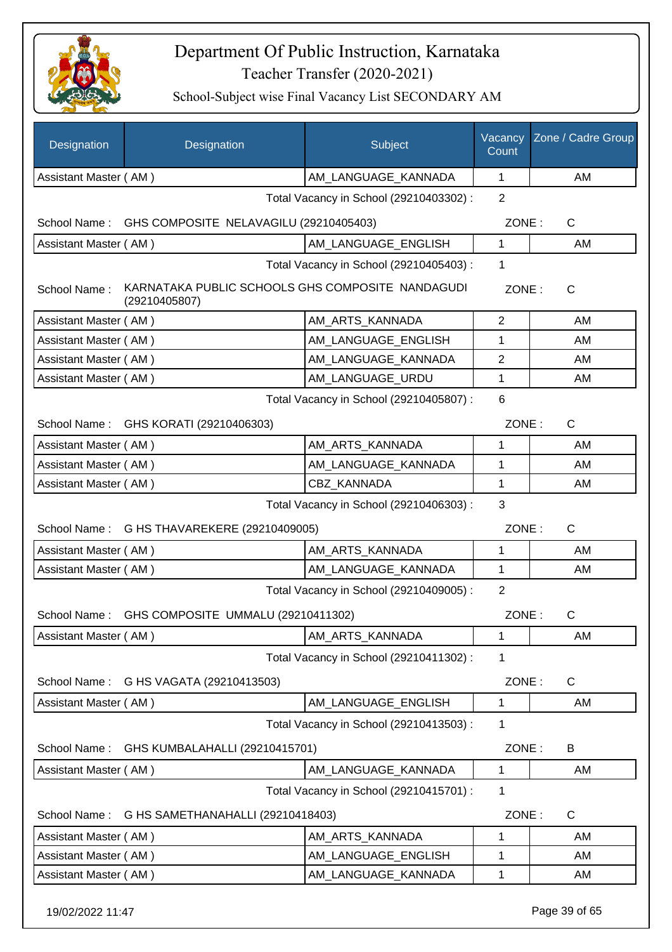

| Designation           | Designation                                                       | Subject                                 | Vacancy<br>Count | Zone / Cadre Group |
|-----------------------|-------------------------------------------------------------------|-----------------------------------------|------------------|--------------------|
| Assistant Master (AM) |                                                                   | AM_LANGUAGE_KANNADA                     | $\mathbf 1$      | AM                 |
|                       |                                                                   | Total Vacancy in School (29210403302) : | $\overline{2}$   |                    |
| School Name:          | GHS COMPOSITE NELAVAGILU (29210405403)                            |                                         | ZONE:            | $\mathsf{C}$       |
| Assistant Master (AM) |                                                                   | AM LANGUAGE_ENGLISH                     | 1                | AM                 |
|                       |                                                                   | Total Vacancy in School (29210405403) : | $\mathbf 1$      |                    |
| School Name:          | KARNATAKA PUBLIC SCHOOLS GHS COMPOSITE NANDAGUDI<br>(29210405807) |                                         | ZONE:            | C                  |
| Assistant Master (AM) |                                                                   | AM_ARTS_KANNADA                         | 2                | AM                 |
| Assistant Master (AM) |                                                                   | AM_LANGUAGE_ENGLISH                     | 1                | AM                 |
| Assistant Master (AM) |                                                                   | AM_LANGUAGE_KANNADA                     | $\overline{2}$   | AM                 |
| Assistant Master (AM) |                                                                   | AM LANGUAGE URDU                        | 1                | AM                 |
|                       |                                                                   | Total Vacancy in School (29210405807) : | 6                |                    |
|                       | School Name: GHS KORATI (29210406303)                             |                                         | ZONE:            | $\mathsf{C}$       |
| Assistant Master (AM) |                                                                   | AM_ARTS_KANNADA                         | 1                | AM                 |
| Assistant Master (AM) |                                                                   | AM_LANGUAGE_KANNADA                     | 1                | AM                 |
| Assistant Master (AM) |                                                                   | CBZ_KANNADA                             | $\mathbf{1}$     | AM                 |
|                       |                                                                   | Total Vacancy in School (29210406303) : | 3                |                    |
| School Name:          | G HS THAVAREKERE (29210409005)                                    |                                         | ZONE:            | $\mathsf{C}$       |
| Assistant Master (AM) |                                                                   | AM_ARTS_KANNADA                         | 1                | AM                 |
| Assistant Master (AM) |                                                                   | AM_LANGUAGE_KANNADA                     | $\mathbf 1$      | AM.                |
|                       |                                                                   | Total Vacancy in School (29210409005) : | $\overline{2}$   |                    |
|                       | School Name: GHS COMPOSITE UMMALU (29210411302)                   |                                         | ZONE:            | C                  |
| Assistant Master (AM) |                                                                   | AM_ARTS_KANNADA                         | 1                | AM                 |
|                       |                                                                   | Total Vacancy in School (29210411302) : | 1                |                    |
| School Name:          | G HS VAGATA (29210413503)                                         |                                         | ZONE:            | C                  |
| Assistant Master (AM) |                                                                   | AM LANGUAGE ENGLISH                     | 1                | AM                 |
|                       |                                                                   | Total Vacancy in School (29210413503) : | 1                |                    |
| School Name:          | GHS KUMBALAHALLI (29210415701)                                    |                                         | ZONE:            | B                  |
| Assistant Master (AM) |                                                                   | AM_LANGUAGE_KANNADA                     | 1                | AM                 |
|                       |                                                                   | Total Vacancy in School (29210415701) : | 1                |                    |
| School Name:          | G HS SAMETHANAHALLI (29210418403)                                 |                                         | ZONE:            | C                  |
| Assistant Master (AM) |                                                                   | AM_ARTS_KANNADA                         | 1                | AM                 |
| Assistant Master (AM) |                                                                   | AM_LANGUAGE_ENGLISH                     | 1                | AM                 |
| Assistant Master (AM) |                                                                   | AM_LANGUAGE_KANNADA                     | $\mathbf 1$      | AM                 |
| 19/02/2022 11:47      |                                                                   |                                         |                  | Page 39 of 65      |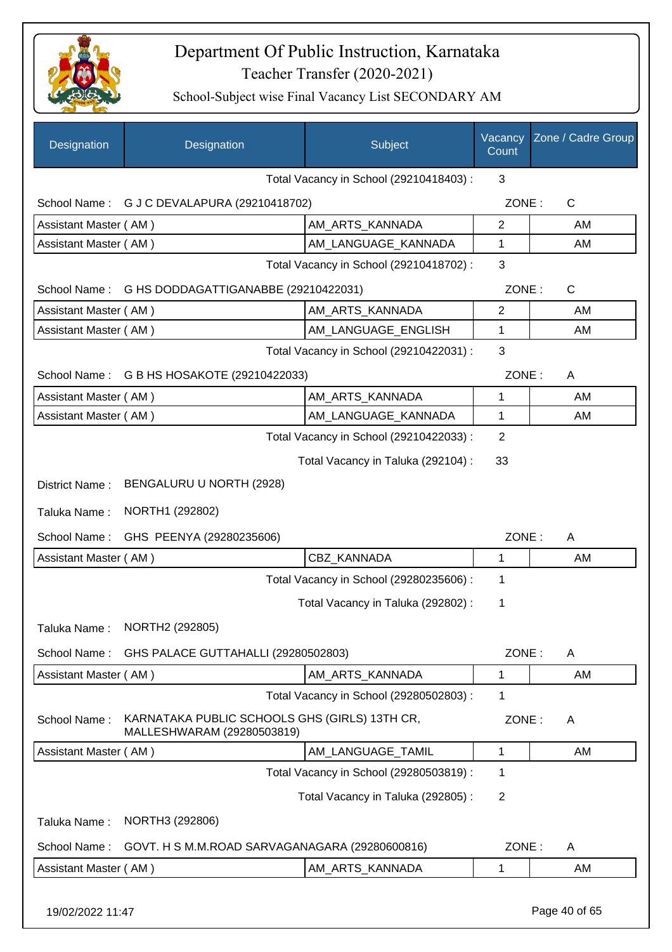

| Designation           | Designation                                                                 | Subject                                 | Vacancy<br>Count | Zone / Cadre Group |
|-----------------------|-----------------------------------------------------------------------------|-----------------------------------------|------------------|--------------------|
|                       |                                                                             | Total Vacancy in School (29210418403) : | 3                |                    |
| School Name:          | G J C DEVALAPURA (29210418702)                                              |                                         | ZONE:            | $\mathsf{C}$       |
| Assistant Master (AM) |                                                                             | AM_ARTS_KANNADA                         | $\overline{2}$   | AM                 |
| Assistant Master (AM) |                                                                             | AM_LANGUAGE_KANNADA                     | 1                | AM                 |
|                       |                                                                             | Total Vacancy in School (29210418702) : | 3                |                    |
| School Name:          | G HS DODDAGATTIGANABBE (29210422031)                                        |                                         | ZONE:            | $\mathsf{C}$       |
| Assistant Master (AM) |                                                                             | AM_ARTS_KANNADA                         | 2                | AM                 |
| Assistant Master (AM) |                                                                             | AM_LANGUAGE_ENGLISH                     | 1                | AM                 |
|                       |                                                                             | Total Vacancy in School (29210422031) : | 3                |                    |
| School Name:          | G B HS HOSAKOTE (29210422033)                                               |                                         | ZONE:            | A                  |
| Assistant Master (AM) |                                                                             | AM ARTS KANNADA                         | 1                | AM                 |
| Assistant Master (AM) |                                                                             | AM LANGUAGE KANNADA                     | 1                | AM                 |
|                       |                                                                             | Total Vacancy in School (29210422033) : | $\overline{2}$   |                    |
|                       |                                                                             | Total Vacancy in Taluka (292104) :      | 33               |                    |
| District Name:        | BENGALURU U NORTH (2928)                                                    |                                         |                  |                    |
| Taluka Name:          | NORTH1 (292802)                                                             |                                         |                  |                    |
| School Name:          | GHS PEENYA (29280235606)                                                    |                                         | ZONE:            | A                  |
| Assistant Master (AM) |                                                                             | CBZ_KANNADA                             | 1                | AM                 |
|                       |                                                                             | Total Vacancy in School (29280235606) : | 1                |                    |
|                       |                                                                             | Total Vacancy in Taluka (292802) :      | 1                |                    |
| Taluka Name:          | NORTH2 (292805)                                                             |                                         |                  |                    |
| School Name:          | GHS PALACE GUTTAHALLI (29280502803)                                         |                                         | ZONE:            | A                  |
| Assistant Master (AM) |                                                                             | AM_ARTS_KANNADA                         | 1                | AM                 |
|                       |                                                                             | Total Vacancy in School (29280502803) : | 1                |                    |
| School Name:          | KARNATAKA PUBLIC SCHOOLS GHS (GIRLS) 13TH CR,<br>MALLESHWARAM (29280503819) |                                         | ZONE:            | A                  |
| Assistant Master (AM) |                                                                             | AM_LANGUAGE_TAMIL                       | 1                | AM                 |
|                       |                                                                             | Total Vacancy in School (29280503819) : | 1                |                    |
|                       |                                                                             | Total Vacancy in Taluka (292805):       | $\overline{2}$   |                    |
| Taluka Name:          | NORTH3 (292806)                                                             |                                         |                  |                    |
| School Name:          | GOVT. H S M.M.ROAD SARVAGANAGARA (29280600816)                              |                                         | ZONE:            | A                  |
| Assistant Master (AM) |                                                                             | AM_ARTS_KANNADA                         | 1                | AM                 |
| 19/02/2022 11:47      |                                                                             |                                         |                  | Page 40 of 65      |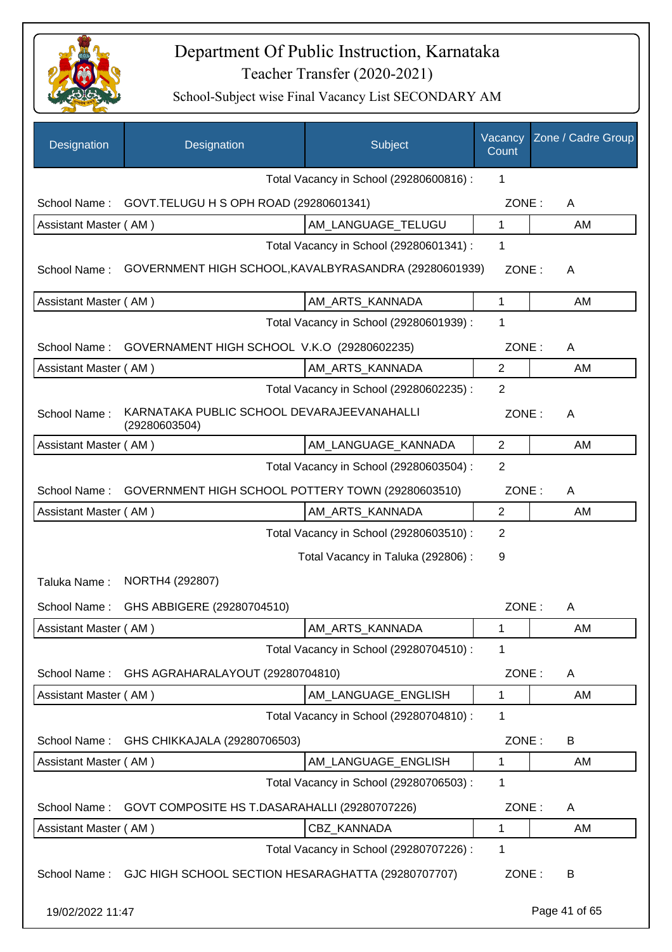

| Designation           | Designation                                                 | Subject                                 | Vacancy<br>Count | Zone / Cadre Group |
|-----------------------|-------------------------------------------------------------|-----------------------------------------|------------------|--------------------|
|                       |                                                             | Total Vacancy in School (29280600816) : | 1                |                    |
| School Name:          | GOVT. TELUGU H S OPH ROAD (29280601341)                     |                                         | ZONE:            | A                  |
| Assistant Master (AM) |                                                             | AM_LANGUAGE_TELUGU                      | 1                | AM                 |
|                       |                                                             | Total Vacancy in School (29280601341) : | 1                |                    |
| School Name:          | GOVERNMENT HIGH SCHOOL, KAVALBYRASANDRA (29280601939)       |                                         | ZONE:            | A                  |
| Assistant Master (AM) |                                                             | AM_ARTS_KANNADA                         | 1                | AM                 |
|                       |                                                             | Total Vacancy in School (29280601939) : | 1                |                    |
| School Name:          | GOVERNAMENT HIGH SCHOOL V.K.O (29280602235)                 |                                         | ZONE:            | A                  |
| Assistant Master (AM) |                                                             | AM ARTS KANNADA                         | $\overline{c}$   | AM                 |
|                       |                                                             | Total Vacancy in School (29280602235) : | $\overline{2}$   |                    |
| School Name:          | KARNATAKA PUBLIC SCHOOL DEVARAJEEVANAHALLI<br>(29280603504) |                                         | ZONE:            | A                  |
| Assistant Master (AM) |                                                             | AM_LANGUAGE_KANNADA                     | $\overline{2}$   | AM                 |
|                       |                                                             | Total Vacancy in School (29280603504) : | $\overline{2}$   |                    |
| School Name:          | GOVERNMENT HIGH SCHOOL POTTERY TOWN (29280603510)           |                                         | ZONE:            | A                  |
| Assistant Master (AM) |                                                             | AM_ARTS_KANNADA                         | $\mathbf{2}$     | AM                 |
|                       |                                                             | Total Vacancy in School (29280603510) : | $\overline{2}$   |                    |
|                       |                                                             | Total Vacancy in Taluka (292806) :      | 9                |                    |
| Taluka Name:          | NORTH4 (292807)                                             |                                         |                  |                    |
| School Name:          | GHS ABBIGERE (29280704510)                                  |                                         | ZONE:            | A                  |
| Assistant Master (AM) |                                                             | AM_ARTS_KANNADA                         | 1                | AM                 |
|                       |                                                             | Total Vacancy in School (29280704510) : | 1                |                    |
| School Name:          | GHS AGRAHARALAYOUT (29280704810)                            |                                         | ZONE:            | A                  |
| Assistant Master (AM) |                                                             | AM LANGUAGE ENGLISH                     | 1                | AM                 |
|                       |                                                             | Total Vacancy in School (29280704810) : | 1                |                    |
| School Name:          | GHS CHIKKAJALA (29280706503)                                |                                         | ZONE:            | B                  |
| Assistant Master (AM) |                                                             | AM LANGUAGE ENGLISH                     | $\mathbf{1}$     | AM                 |
|                       |                                                             | Total Vacancy in School (29280706503) : | 1                |                    |
| School Name:          | GOVT COMPOSITE HS T.DASARAHALLI (29280707226)               |                                         | ZONE:            | A                  |
| Assistant Master (AM) |                                                             | CBZ_KANNADA                             | 1                | AM                 |
|                       |                                                             | Total Vacancy in School (29280707226) : | 1                |                    |
| School Name:          | GJC HIGH SCHOOL SECTION HESARAGHATTA (29280707707)          |                                         | ZONE:            | B                  |
| 19/02/2022 11:47      |                                                             |                                         |                  | Page 41 of 65      |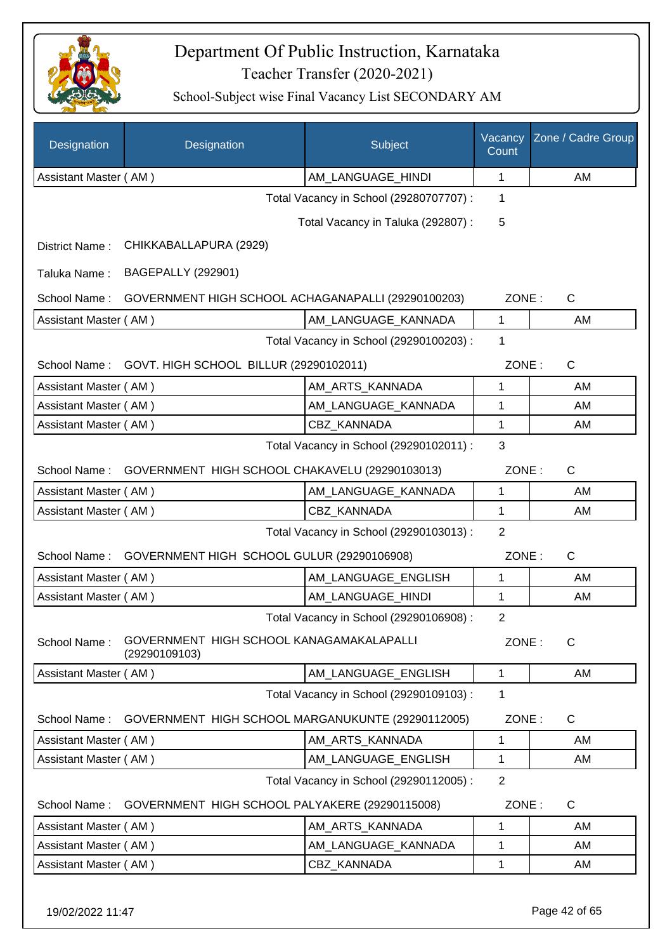

| Designation           | Designation                                               | Subject                                 | Vacancy<br>Count | Zone / Cadre Group |
|-----------------------|-----------------------------------------------------------|-----------------------------------------|------------------|--------------------|
| Assistant Master (AM) |                                                           | AM_LANGUAGE_HINDI                       | 1                | AM                 |
|                       |                                                           | Total Vacancy in School (29280707707) : | 1                |                    |
|                       |                                                           | Total Vacancy in Taluka (292807) :      | 5                |                    |
| District Name:        | CHIKKABALLAPURA (2929)                                    |                                         |                  |                    |
| Taluka Name:          | <b>BAGEPALLY (292901)</b>                                 |                                         |                  |                    |
| School Name:          | GOVERNMENT HIGH SCHOOL ACHAGANAPALLI (29290100203)        |                                         | ZONE:            | C                  |
| Assistant Master (AM) |                                                           | AM_LANGUAGE_KANNADA                     | $\mathbf 1$      | AM                 |
|                       |                                                           | Total Vacancy in School (29290100203) : | 1                |                    |
| School Name:          | GOVT. HIGH SCHOOL BILLUR (29290102011)                    |                                         | ZONE:            | $\mathsf{C}$       |
| Assistant Master (AM) |                                                           | AM_ARTS_KANNADA                         | 1                | AM                 |
| Assistant Master (AM) |                                                           | AM_LANGUAGE_KANNADA                     | 1                | AM                 |
| Assistant Master (AM) |                                                           | CBZ KANNADA                             | 1                | AM                 |
|                       |                                                           | Total Vacancy in School (29290102011) : | 3                |                    |
| School Name:          | GOVERNMENT HIGH SCHOOL CHAKAVELU (29290103013)            |                                         | ZONE:            | $\mathsf{C}$       |
| Assistant Master (AM) |                                                           | AM_LANGUAGE_KANNADA                     | 1                | AM                 |
| Assistant Master (AM) |                                                           | CBZ_KANNADA                             | 1                | AM                 |
|                       |                                                           | Total Vacancy in School (29290103013) : | $\overline{2}$   |                    |
| School Name:          | GOVERNMENT HIGH SCHOOL GULUR (29290106908)                |                                         | ZONE:            | $\mathsf C$        |
| Assistant Master (AM) |                                                           | AM_LANGUAGE_ENGLISH                     | 1                | AM                 |
| Assistant Master (AM) |                                                           | AM LANGUAGE HINDI                       | 1                | AM                 |
|                       |                                                           | Total Vacancy in School (29290106908) : | $\overline{2}$   |                    |
| School Name:          | GOVERNMENT HIGH SCHOOL KANAGAMAKALAPALLI<br>(29290109103) |                                         | ZONE:            | C                  |
| Assistant Master (AM) |                                                           | AM LANGUAGE ENGLISH                     | $\mathbf{1}$     | AM                 |
|                       |                                                           | Total Vacancy in School (29290109103) : | 1                |                    |
| School Name:          | GOVERNMENT HIGH SCHOOL MARGANUKUNTE (29290112005)         |                                         | ZONE:            | $\mathsf{C}$       |
| Assistant Master (AM) |                                                           | AM_ARTS_KANNADA                         | 1                | AM                 |
| Assistant Master (AM) |                                                           | AM_LANGUAGE_ENGLISH                     | 1                | AM                 |
|                       |                                                           | Total Vacancy in School (29290112005) : | $\overline{2}$   |                    |
| School Name:          | GOVERNMENT HIGH SCHOOL PALYAKERE (29290115008)            |                                         | ZONE:            | C                  |
| Assistant Master (AM) |                                                           | AM_ARTS_KANNADA                         | 1                | AM                 |
| Assistant Master (AM) |                                                           | AM_LANGUAGE_KANNADA                     | 1                | AM                 |
| Assistant Master (AM) |                                                           | CBZ KANNADA                             | 1                | AM                 |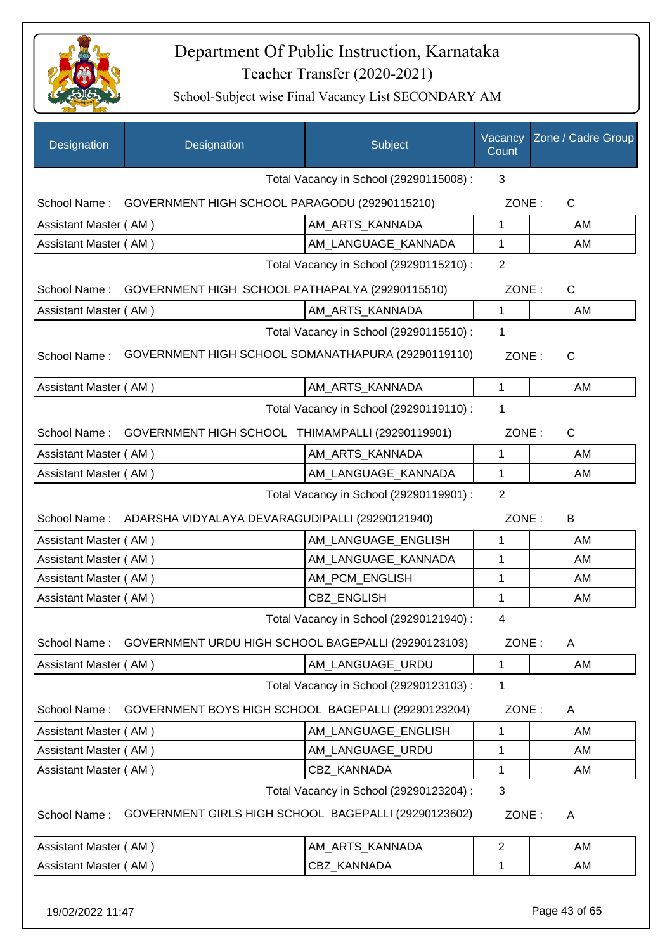

| Designation                             | Designation                                                  | Subject                                 | Vacancy<br>Count | Zone / Cadre Group |
|-----------------------------------------|--------------------------------------------------------------|-----------------------------------------|------------------|--------------------|
|                                         |                                                              | Total Vacancy in School (29290115008) : | 3                |                    |
|                                         | School Name: GOVERNMENT HIGH SCHOOL PARAGODU (29290115210)   |                                         | ZONE:            | C                  |
| Assistant Master (AM)                   |                                                              | AM_ARTS_KANNADA                         | 1                | AM                 |
| Assistant Master (AM)                   |                                                              | AM_LANGUAGE_KANNADA                     | $\mathbf 1$      | AM                 |
|                                         |                                                              | Total Vacancy in School (29290115210) : | $\overline{2}$   |                    |
|                                         | School Name: GOVERNMENT HIGH SCHOOL PATHAPALYA (29290115510) |                                         | ZONE:            | $\mathsf{C}$       |
| Assistant Master (AM)                   |                                                              | AM_ARTS_KANNADA                         | 1                | AM                 |
|                                         |                                                              | Total Vacancy in School (29290115510) : | 1                |                    |
| School Name:                            | GOVERNMENT HIGH SCHOOL SOMANATHAPURA (29290119110)           |                                         | ZONE:            | C                  |
| Assistant Master (AM)                   |                                                              | AM_ARTS_KANNADA                         | 1                | AM                 |
|                                         |                                                              | Total Vacancy in School (29290119110) : | 1                |                    |
| School Name:                            | GOVERNMENT HIGH SCHOOL THIMAMPALLI (29290119901)             |                                         | ZONE:            | C                  |
| Assistant Master (AM)                   |                                                              | AM_ARTS_KANNADA                         | 1                | AM                 |
| Assistant Master (AM)                   |                                                              | AM_LANGUAGE_KANNADA                     | 1                | AM                 |
| Total Vacancy in School (29290119901) : |                                                              |                                         |                  |                    |
|                                         | School Name: ADARSHA VIDYALAYA DEVARAGUDIPALLI (29290121940) |                                         | ZONE:            | B                  |
| Assistant Master (AM)                   |                                                              | AM_LANGUAGE_ENGLISH                     | 1                | AM                 |
| Assistant Master (AM)                   |                                                              | AM LANGUAGE KANNADA                     | 1                | AM                 |
| Assistant Master (AM)                   |                                                              | AM_PCM_ENGLISH                          | 1                | AM                 |
| Assistant Master (AM)                   |                                                              | CBZ_ENGLISH                             | 1                | AM                 |
|                                         |                                                              | Total Vacancy in School (29290121940) : | 4                |                    |
| School Name:                            | GOVERNMENT URDU HIGH SCHOOL BAGEPALLI (29290123103)          |                                         | ZONE:            | A                  |
| Assistant Master (AM)                   |                                                              | AM LANGUAGE URDU                        | $\mathbf 1$      | AM                 |
|                                         |                                                              | Total Vacancy in School (29290123103) : | 1                |                    |
| School Name:                            | GOVERNMENT BOYS HIGH SCHOOL BAGEPALLI (29290123204)          |                                         | ZONE:            | A                  |
| Assistant Master (AM)                   |                                                              | AM_LANGUAGE_ENGLISH                     | 1                | AM                 |
| Assistant Master (AM)                   |                                                              | AM_LANGUAGE_URDU                        | 1                | AM                 |
| Assistant Master (AM)                   |                                                              | CBZ_KANNADA                             | 1                | AM                 |
|                                         |                                                              | Total Vacancy in School (29290123204) : | 3                |                    |
| School Name:                            | GOVERNMENT GIRLS HIGH SCHOOL BAGEPALLI (29290123602)         |                                         | ZONE:            | A                  |
| Assistant Master (AM)                   |                                                              | AM_ARTS_KANNADA                         | $\overline{2}$   | AM                 |
| Assistant Master (AM)                   |                                                              | CBZ_KANNADA                             | 1                | AM                 |
|                                         |                                                              |                                         |                  |                    |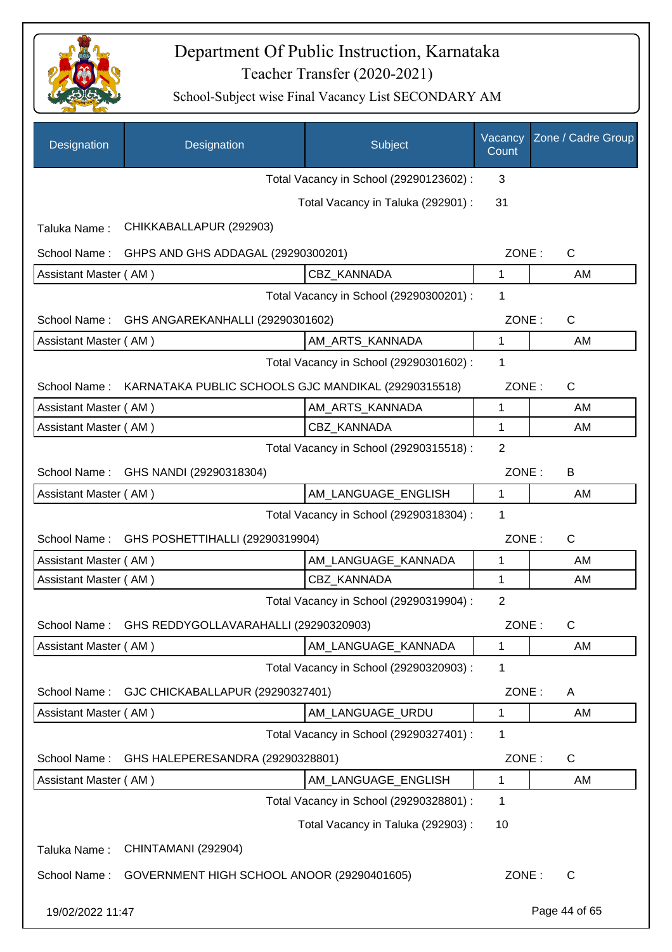

| Designation           | Designation                                         | Subject                                 | Vacancy<br>Count | Zone / Cadre Group    |
|-----------------------|-----------------------------------------------------|-----------------------------------------|------------------|-----------------------|
|                       |                                                     | Total Vacancy in School (29290123602) : | 3                |                       |
|                       |                                                     | Total Vacancy in Taluka (292901) :      | 31               |                       |
| Taluka Name:          | CHIKKABALLAPUR (292903)                             |                                         |                  |                       |
| School Name:          | GHPS AND GHS ADDAGAL (29290300201)                  |                                         | ZONE:            | C                     |
| Assistant Master (AM) |                                                     | CBZ_KANNADA                             | 1                | AM                    |
|                       |                                                     | Total Vacancy in School (29290300201) : | 1                |                       |
|                       | School Name: GHS ANGAREKANHALLI (29290301602)       |                                         |                  | $\mathsf{C}$<br>ZONE: |
| Assistant Master (AM) |                                                     | AM ARTS KANNADA                         | 1                | AM                    |
|                       |                                                     | Total Vacancy in School (29290301602) : | 1                |                       |
| School Name:          | KARNATAKA PUBLIC SCHOOLS GJC MANDIKAL (29290315518) |                                         | ZONE:            | C                     |
| Assistant Master (AM) |                                                     | AM_ARTS_KANNADA                         | 1                | AM                    |
| Assistant Master (AM) |                                                     | CBZ_KANNADA                             | 1                | AM                    |
|                       |                                                     | Total Vacancy in School (29290315518) : | $\overline{2}$   |                       |
| School Name:          | GHS NANDI (29290318304)                             |                                         | ZONE:            | B                     |
| Assistant Master (AM) |                                                     | AM_LANGUAGE_ENGLISH                     | 1                | AM                    |
|                       |                                                     | Total Vacancy in School (29290318304) : | 1                |                       |
| School Name:          | GHS POSHETTIHALLI (29290319904)                     |                                         | ZONE:            | $\mathsf C$           |
| Assistant Master (AM) |                                                     | AM LANGUAGE KANNADA                     | 1                | AM                    |
| Assistant Master (AM) |                                                     | CBZ KANNADA                             | 1                | AM                    |
|                       |                                                     | Total Vacancy in School (29290319904) : | $\overline{2}$   |                       |
|                       | School Name: GHS REDDYGOLLAVARAHALLI (29290320903)  |                                         | ZONE:            | C                     |
| Assistant Master (AM) |                                                     | AM_LANGUAGE_KANNADA                     | 1                | AM                    |
|                       |                                                     | Total Vacancy in School (29290320903) : | 1                |                       |
| School Name:          | GJC CHICKABALLAPUR (29290327401)                    |                                         | ZONE:            | A                     |
| Assistant Master (AM) |                                                     | AM_LANGUAGE_URDU                        | 1                | AM                    |
|                       |                                                     | Total Vacancy in School (29290327401) : | 1                |                       |
| School Name:          | GHS HALEPERESANDRA (29290328801)                    |                                         | ZONE:            | C                     |
| Assistant Master (AM) |                                                     | AM_LANGUAGE_ENGLISH                     | 1                | AM                    |
|                       |                                                     | Total Vacancy in School (29290328801) : | 1                |                       |
|                       |                                                     | Total Vacancy in Taluka (292903) :      | 10               |                       |
| Taluka Name:          | CHINTAMANI (292904)                                 |                                         |                  |                       |
| School Name:          | GOVERNMENT HIGH SCHOOL ANOOR (29290401605)          |                                         | ZONE:            | $\mathsf{C}$          |
| 19/02/2022 11:47      |                                                     |                                         |                  | Page 44 of 65         |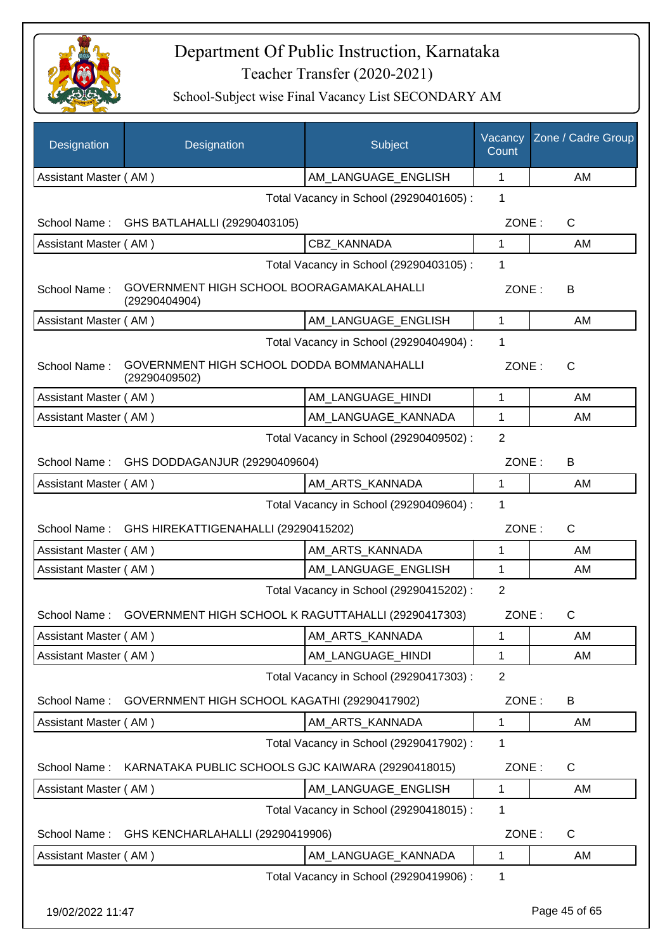

| Designation           | Designation                                                | Subject                                 | Vacancy<br>Count | Zone / Cadre Group |
|-----------------------|------------------------------------------------------------|-----------------------------------------|------------------|--------------------|
| Assistant Master (AM) |                                                            | AM_LANGUAGE_ENGLISH                     | 1                | AM                 |
|                       |                                                            | Total Vacancy in School (29290401605) : | 1                |                    |
|                       | School Name: GHS BATLAHALLI (29290403105)                  |                                         | ZONE:            | C                  |
| Assistant Master (AM) |                                                            | CBZ_KANNADA                             | 1                | AM                 |
|                       |                                                            | Total Vacancy in School (29290403105) : | 1                |                    |
| School Name:          | GOVERNMENT HIGH SCHOOL BOORAGAMAKALAHALLI<br>(29290404904) |                                         | ZONE:            | В                  |
| Assistant Master (AM) |                                                            | AM LANGUAGE ENGLISH                     | 1                | AM                 |
|                       |                                                            | Total Vacancy in School (29290404904) : | 1                |                    |
| School Name:          | GOVERNMENT HIGH SCHOOL DODDA BOMMANAHALLI<br>(29290409502) |                                         | ZONE:            | C                  |
| Assistant Master (AM) |                                                            | AM_LANGUAGE_HINDI                       | 1                | AM                 |
| Assistant Master (AM) |                                                            | AM_LANGUAGE_KANNADA                     | 1                | AM                 |
|                       |                                                            | Total Vacancy in School (29290409502) : | $\overline{2}$   |                    |
| School Name:          | GHS DODDAGANJUR (29290409604)                              |                                         | ZONE:            | B                  |
| Assistant Master (AM) |                                                            | AM_ARTS_KANNADA                         | 1                | AM                 |
|                       |                                                            | Total Vacancy in School (29290409604) : | 1                |                    |
| School Name:          | GHS HIREKATTIGENAHALLI (29290415202)                       |                                         | ZONE:            | $\mathsf{C}$       |
| Assistant Master (AM) |                                                            | AM_ARTS_KANNADA                         | 1                | AM                 |
| Assistant Master (AM) |                                                            | AM_LANGUAGE_ENGLISH                     | 1                | AM                 |
|                       |                                                            | Total Vacancy in School (29290415202) : | $\overline{2}$   |                    |
| School Name:          | GOVERNMENT HIGH SCHOOL K RAGUTTAHALLI (29290417303)        |                                         | ZONE:            | С                  |
| Assistant Master (AM) |                                                            | AM_ARTS_KANNADA                         | 1                | AM                 |
| Assistant Master (AM) |                                                            | AM_LANGUAGE_HINDI                       | 1                | AM                 |
|                       |                                                            | Total Vacancy in School (29290417303) : | $\overline{2}$   |                    |
| School Name:          | GOVERNMENT HIGH SCHOOL KAGATHI (29290417902)               |                                         | ZONE:            | B                  |
| Assistant Master (AM) |                                                            | AM_ARTS_KANNADA                         | 1                | AM                 |
|                       |                                                            | Total Vacancy in School (29290417902) : | 1                |                    |
| School Name:          | KARNATAKA PUBLIC SCHOOLS GJC KAIWARA (29290418015)         |                                         | ZONE:            | $\mathsf{C}$       |
| Assistant Master (AM) |                                                            | AM_LANGUAGE_ENGLISH                     | 1                | AM                 |
|                       |                                                            | Total Vacancy in School (29290418015) : | 1                |                    |
| School Name:          | GHS KENCHARLAHALLI (29290419906)                           |                                         | ZONE:            | $\mathsf C$        |
| Assistant Master (AM) |                                                            | AM_LANGUAGE_KANNADA                     | 1                | AM                 |
|                       |                                                            | Total Vacancy in School (29290419906) : | 1                |                    |
| 19/02/2022 11:47      |                                                            |                                         |                  | Page 45 of 65      |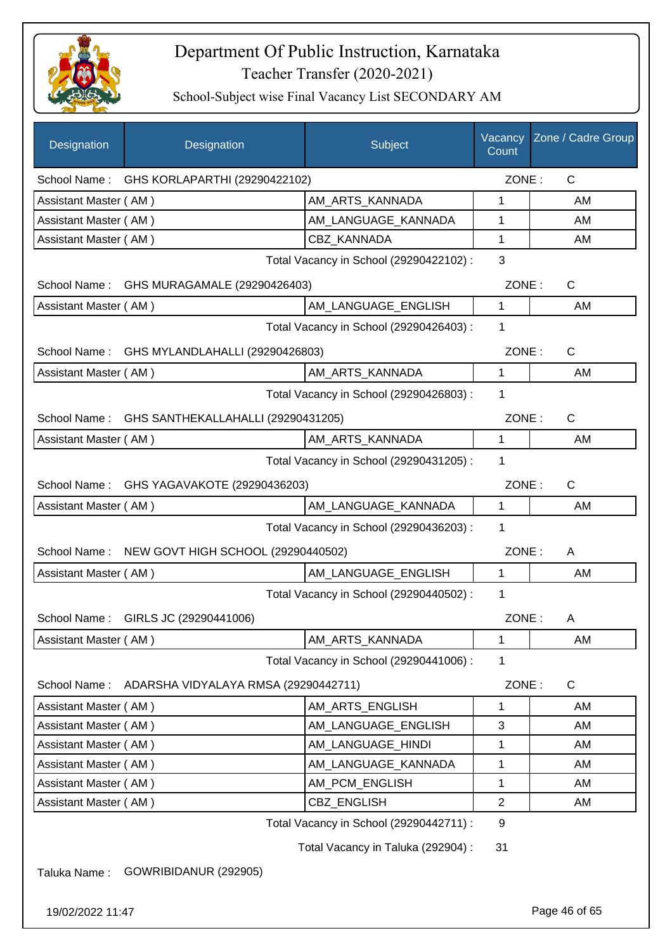

School-Subject wise Final Vacancy List SECONDARY AM

| Designation           | Designation                                     | Subject                                 | Vacancy<br>Count | Zone / Cadre Group |
|-----------------------|-------------------------------------------------|-----------------------------------------|------------------|--------------------|
|                       | School Name: GHS KORLAPARTHI (29290422102)      |                                         | ZONE:            | $\mathsf{C}$       |
| Assistant Master (AM) |                                                 | AM_ARTS_KANNADA                         | 1                | AM                 |
| Assistant Master (AM) |                                                 | AM_LANGUAGE_KANNADA                     | 1                | AM                 |
| Assistant Master (AM) |                                                 | <b>CBZ KANNADA</b>                      | 1                | AM                 |
|                       |                                                 | Total Vacancy in School (29290422102) : | 3                |                    |
|                       | School Name: GHS MURAGAMALE (29290426403)       |                                         | ZONE:            | $\mathsf{C}$       |
| Assistant Master (AM) |                                                 | AM_LANGUAGE_ENGLISH                     | $\mathbf{1}$     | AM                 |
|                       |                                                 | Total Vacancy in School (29290426403) : | 1                |                    |
| School Name:          | GHS MYLANDLAHALLI (29290426803)                 |                                         | ZONE:            | $\mathsf{C}$       |
| Assistant Master (AM) |                                                 | AM_ARTS_KANNADA                         | $\mathbf{1}$     | AM                 |
|                       |                                                 | Total Vacancy in School (29290426803) : | 1                |                    |
|                       | School Name: GHS SANTHEKALLAHALLI (29290431205) |                                         | ZONE:            | $\mathsf{C}$       |
| Assistant Master (AM) |                                                 | AM_ARTS_KANNADA                         | $\mathbf{1}$     | AM                 |
|                       |                                                 | Total Vacancy in School (29290431205) : | 1                |                    |
| School Name:          | GHS YAGAVAKOTE (29290436203)                    |                                         | ZONE:            | $\mathsf{C}$       |
| Assistant Master (AM) |                                                 | AM_LANGUAGE_KANNADA                     | $\mathbf 1$      | AM                 |
|                       |                                                 | Total Vacancy in School (29290436203) : | 1                |                    |
| School Name:          | NEW GOVT HIGH SCHOOL (29290440502)              |                                         | ZONE:            | A                  |
| Assistant Master (AM) |                                                 | AM_LANGUAGE_ENGLISH                     | $\mathbf{1}$     | AM                 |
|                       |                                                 | Total Vacancy in School (29290440502) : | 1                |                    |
| School Name:          | GIRLS JC (29290441006)                          |                                         | ZONE:            | Α                  |
| Assistant Master (AM) |                                                 | AM_ARTS_KANNADA                         | $\mathbf{1}$     | AM                 |
|                       |                                                 | Total Vacancy in School (29290441006) : | 1                |                    |
| School Name:          | ADARSHA VIDYALAYA RMSA (29290442711)            |                                         | ZONE:            | C                  |
| Assistant Master (AM) |                                                 | AM_ARTS_ENGLISH                         | 1                | AM                 |
| Assistant Master (AM) |                                                 | AM_LANGUAGE_ENGLISH                     | 3                | AM                 |
| Assistant Master (AM) |                                                 | AM_LANGUAGE_HINDI                       | 1                | AM                 |
| Assistant Master (AM) |                                                 | AM_LANGUAGE_KANNADA                     | 1                | AM                 |
| Assistant Master (AM) |                                                 | AM_PCM_ENGLISH                          | $\mathbf 1$      | AM                 |
| Assistant Master (AM) |                                                 | CBZ_ENGLISH                             | $\overline{2}$   | AM                 |
|                       |                                                 | Total Vacancy in School (29290442711) : | 9                |                    |
|                       |                                                 | Total Vacancy in Taluka (292904) :      | 31               |                    |
| Taluka Name:          | GOWRIBIDANUR (292905)                           |                                         |                  |                    |

19/02/2022 11:47 Page 46 of 65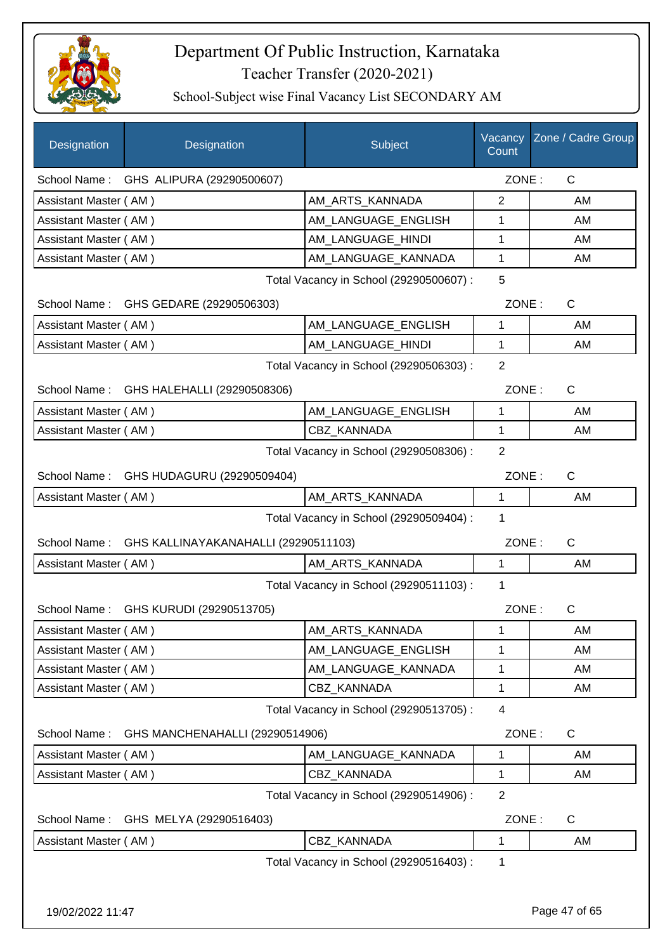

| Designation           | Designation                                       | Subject                                 | Vacancy<br>Count | Zone / Cadre Group |
|-----------------------|---------------------------------------------------|-----------------------------------------|------------------|--------------------|
|                       | School Name: GHS ALIPURA (29290500607)            |                                         | ZONE:            | $\mathsf{C}$       |
| Assistant Master (AM) |                                                   | AM_ARTS_KANNADA                         | 2                | AM                 |
| Assistant Master (AM) |                                                   | AM_LANGUAGE_ENGLISH                     | 1                | AM                 |
| Assistant Master (AM) |                                                   | AM_LANGUAGE_HINDI                       | 1                | AM                 |
| Assistant Master (AM) |                                                   | AM_LANGUAGE_KANNADA                     | 1                | AM                 |
|                       |                                                   | Total Vacancy in School (29290500607) : | 5                |                    |
|                       | School Name: GHS GEDARE (29290506303)             |                                         | ZONE:            | $\mathsf{C}$       |
| Assistant Master (AM) |                                                   | AM_LANGUAGE_ENGLISH                     | 1                | AM                 |
| Assistant Master (AM) |                                                   | AM_LANGUAGE_HINDI                       | 1                | AM                 |
|                       |                                                   | Total Vacancy in School (29290506303) : | 2                |                    |
| School Name:          | GHS HALEHALLI (29290508306)                       |                                         | ZONE:            | $\mathsf{C}$       |
| Assistant Master (AM) |                                                   | AM_LANGUAGE_ENGLISH                     | 1                | AM                 |
| Assistant Master (AM) |                                                   | CBZ KANNADA                             | 1                | AM                 |
|                       |                                                   | Total Vacancy in School (29290508306) : | $\overline{2}$   |                    |
|                       | School Name: GHS HUDAGURU (29290509404)           |                                         | ZONE:            | C                  |
| Assistant Master (AM) |                                                   | AM_ARTS_KANNADA                         | 1                | AM                 |
|                       |                                                   | Total Vacancy in School (29290509404) : | 1                |                    |
|                       | School Name: GHS KALLINAYAKANAHALLI (29290511103) |                                         | ZONE:            | $\mathsf{C}$       |
| Assistant Master (AM) |                                                   | AM_ARTS_KANNADA                         | $\mathbf{1}$     | AM                 |
|                       |                                                   | Total Vacancy in School (29290511103) : | 1                |                    |
|                       | School Name: GHS KURUDI (29290513705)             |                                         | ZONE:            | $\mathsf{C}$       |
| Assistant Master (AM) |                                                   | AM_ARTS_KANNADA                         | 1                | AM                 |
| Assistant Master (AM) |                                                   | AM_LANGUAGE_ENGLISH                     | 1                | AM                 |
| Assistant Master (AM) |                                                   | AM_LANGUAGE_KANNADA                     | 1                | AM                 |
| Assistant Master (AM) |                                                   | CBZ_KANNADA                             | 1                | AM                 |
|                       |                                                   | Total Vacancy in School (29290513705) : | 4                |                    |
| School Name:          | GHS MANCHENAHALLI (29290514906)                   |                                         | ZONE:            | C                  |
| Assistant Master (AM) |                                                   | AM_LANGUAGE_KANNADA                     | 1                | AM                 |
| Assistant Master (AM) |                                                   | CBZ_KANNADA                             | 1                | AM                 |
|                       |                                                   | Total Vacancy in School (29290514906) : | $\overline{2}$   |                    |
| School Name:          | GHS MELYA (29290516403)                           |                                         | ZONE:            | C                  |
| Assistant Master (AM) |                                                   | CBZ_KANNADA                             | 1                | AM                 |
|                       |                                                   | Total Vacancy in School (29290516403) : | 1                |                    |
|                       |                                                   |                                         |                  |                    |
| 19/02/2022 11:47      |                                                   |                                         |                  | Page 47 of 65      |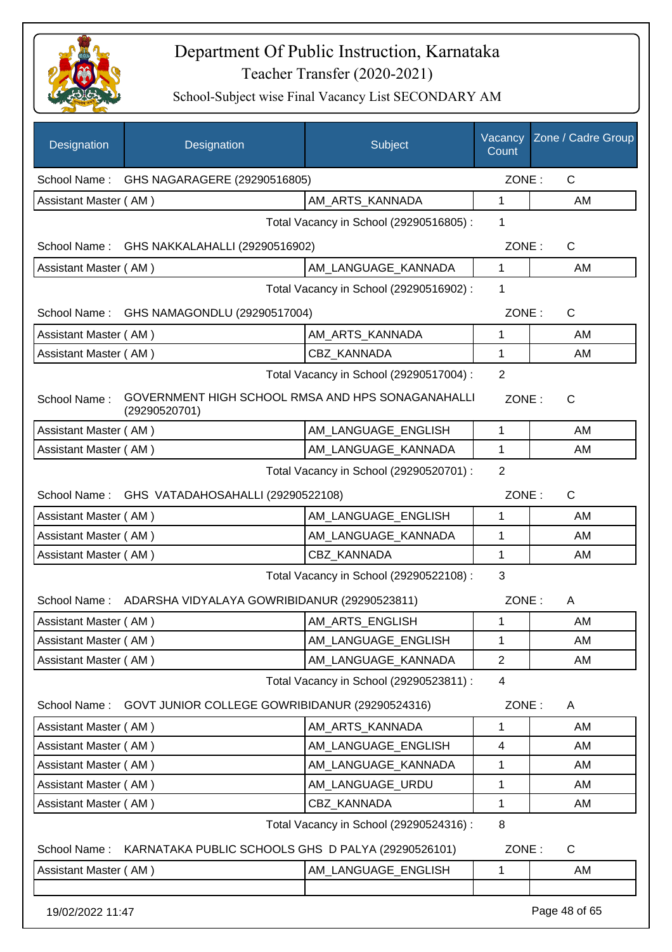

| Designation           | Designation                                                        | Subject                                 | Vacancy<br>Count | Zone / Cadre Group |
|-----------------------|--------------------------------------------------------------------|-----------------------------------------|------------------|--------------------|
| School Name:          | GHS NAGARAGERE (29290516805)                                       |                                         | ZONE:            | $\mathsf{C}$       |
| Assistant Master (AM) |                                                                    | AM_ARTS_KANNADA                         | $\mathbf{1}$     | AM                 |
|                       |                                                                    | Total Vacancy in School (29290516805) : | 1                |                    |
| School Name:          | GHS NAKKALAHALLI (29290516902)                                     |                                         | ZONE:            | C                  |
| Assistant Master (AM) |                                                                    | AM LANGUAGE KANNADA                     | $\mathbf{1}$     | AM                 |
|                       |                                                                    | Total Vacancy in School (29290516902) : | 1                |                    |
|                       | School Name: GHS NAMAGONDLU (29290517004)                          |                                         | ZONE:            | C                  |
| Assistant Master (AM) |                                                                    | AM_ARTS_KANNADA                         | $\mathbf{1}$     | AM                 |
| Assistant Master (AM) |                                                                    | <b>CBZ KANNADA</b>                      | 1                | AM                 |
|                       |                                                                    | Total Vacancy in School (29290517004) : | $\overline{2}$   |                    |
| School Name:          | GOVERNMENT HIGH SCHOOL RMSA AND HPS SONAGANAHALLI<br>(29290520701) |                                         | ZONE:            | C                  |
| Assistant Master (AM) |                                                                    | AM LANGUAGE ENGLISH                     | 1                | AM                 |
| Assistant Master (AM) |                                                                    | AM_LANGUAGE_KANNADA                     | 1                | AM                 |
|                       |                                                                    | Total Vacancy in School (29290520701) : | $\overline{2}$   |                    |
|                       | School Name: GHS VATADAHOSAHALLI (29290522108)                     |                                         | ZONE:            | C                  |
| Assistant Master (AM) |                                                                    | AM_LANGUAGE_ENGLISH                     | 1                | AM                 |
| Assistant Master (AM) |                                                                    | AM_LANGUAGE_KANNADA                     | 1                | AM                 |
| Assistant Master (AM) |                                                                    | CBZ_KANNADA                             | 1                | AM                 |
|                       |                                                                    | Total Vacancy in School (29290522108) : | 3                |                    |
| School Name:          | ADARSHA VIDYALAYA GOWRIBIDANUR (29290523811)                       |                                         | ZONE:            | A                  |
| Assistant Master (AM) |                                                                    | AM_ARTS_ENGLISH                         | 1                | AM                 |
| Assistant Master (AM) |                                                                    | AM LANGUAGE ENGLISH                     | $\mathbf 1$      | AM                 |
| Assistant Master (AM) |                                                                    | AM_LANGUAGE_KANNADA                     | $\mathbf{2}$     | AM                 |
|                       |                                                                    | Total Vacancy in School (29290523811) : | 4                |                    |
|                       | School Name: GOVT JUNIOR COLLEGE GOWRIBIDANUR (29290524316)        |                                         | ZONE:            | A                  |
| Assistant Master (AM) |                                                                    | AM_ARTS_KANNADA                         | 1                | AM                 |
| Assistant Master (AM) |                                                                    | AM LANGUAGE ENGLISH                     | 4                | AM                 |
| Assistant Master (AM) |                                                                    | AM_LANGUAGE_KANNADA                     | 1                | AM                 |
| Assistant Master (AM) |                                                                    | AM_LANGUAGE_URDU                        | 1                | AM                 |
| Assistant Master (AM) |                                                                    | CBZ_KANNADA                             | 1                | AM                 |
|                       |                                                                    | Total Vacancy in School (29290524316) : | 8                |                    |
|                       | School Name: KARNATAKA PUBLIC SCHOOLS GHS D PALYA (29290526101)    |                                         | ZONE:            | $\mathsf{C}$       |
| Assistant Master (AM) |                                                                    | AM_LANGUAGE_ENGLISH                     | $\mathbf{1}$     | AM                 |
| 19/02/2022 11:47      |                                                                    |                                         |                  | Page 48 of 65      |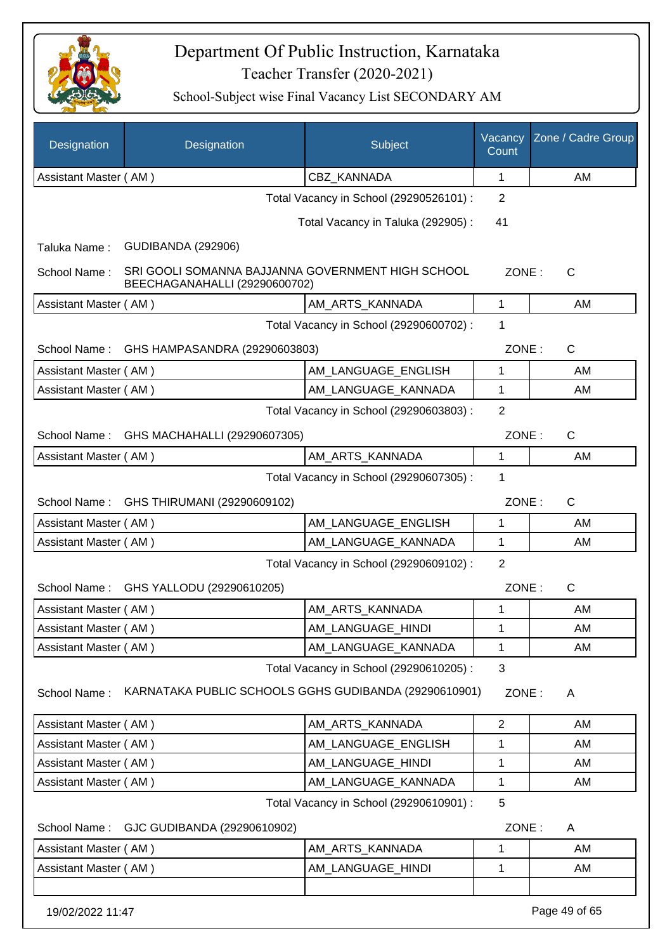

| Designation           | Designation                                                                        | Subject                                 | Vacancy<br>Count | Zone / Cadre Group |
|-----------------------|------------------------------------------------------------------------------------|-----------------------------------------|------------------|--------------------|
| Assistant Master (AM) |                                                                                    | <b>CBZ KANNADA</b>                      | 1                | AM                 |
|                       |                                                                                    | Total Vacancy in School (29290526101) : | $\overline{2}$   |                    |
|                       |                                                                                    | Total Vacancy in Taluka (292905):       | 41               |                    |
| Taluka Name:          | <b>GUDIBANDA (292906)</b>                                                          |                                         |                  |                    |
| School Name:          | SRI GOOLI SOMANNA BAJJANNA GOVERNMENT HIGH SCHOOL<br>BEECHAGANAHALLI (29290600702) |                                         | ZONE:            | C                  |
| Assistant Master (AM) |                                                                                    | AM_ARTS_KANNADA                         | $\mathbf{1}$     | AM                 |
|                       |                                                                                    | Total Vacancy in School (29290600702) : | 1                |                    |
| School Name:          | GHS HAMPASANDRA (29290603803)                                                      |                                         | ZONE:            | $\mathsf{C}$       |
| Assistant Master (AM) |                                                                                    | AM_LANGUAGE_ENGLISH                     | 1                | AM                 |
| Assistant Master (AM) |                                                                                    | AM LANGUAGE_KANNADA                     | 1                | AM                 |
|                       |                                                                                    | Total Vacancy in School (29290603803) : | $\overline{2}$   |                    |
| School Name:          | GHS MACHAHALLI (29290607305)                                                       |                                         | ZONE:            | C                  |
| Assistant Master (AM) |                                                                                    | AM ARTS KANNADA                         | 1                | AM                 |
|                       |                                                                                    | Total Vacancy in School (29290607305) : | 1                |                    |
| School Name:          | GHS THIRUMANI (29290609102)                                                        |                                         | ZONE:            | $\mathsf{C}$       |
| Assistant Master (AM) |                                                                                    | AM LANGUAGE ENGLISH                     | 1                | AM                 |
| Assistant Master (AM) |                                                                                    | AM_LANGUAGE_KANNADA                     | 1                | AM                 |
|                       |                                                                                    | Total Vacancy in School (29290609102) : | $\overline{2}$   |                    |
|                       | School Name: GHS YALLODU (29290610205)                                             |                                         | ZONE:            | C                  |
| Assistant Master (AM) |                                                                                    | AM_ARTS_KANNADA                         | 1                | AM                 |
| Assistant Master (AM) |                                                                                    | AM_LANGUAGE_HINDI                       | 1                | AM                 |
| Assistant Master (AM) |                                                                                    | AM_LANGUAGE_KANNADA                     | 1                | AM                 |
| School Name:          | KARNATAKA PUBLIC SCHOOLS GGHS GUDIBANDA (29290610901)                              | Total Vacancy in School (29290610205) : | 3<br>ZONE:       | A                  |
| Assistant Master (AM) |                                                                                    | AM_ARTS_KANNADA                         | $\overline{2}$   | AM                 |
| Assistant Master (AM) |                                                                                    | AM LANGUAGE ENGLISH                     | 1                | AM                 |
| Assistant Master (AM) |                                                                                    | AM_LANGUAGE_HINDI                       | 1                | AM                 |
| Assistant Master (AM) |                                                                                    | AM_LANGUAGE_KANNADA                     | 1                | AM                 |
|                       |                                                                                    | Total Vacancy in School (29290610901) : | 5                |                    |
| School Name:          | GJC GUDIBANDA (29290610902)                                                        |                                         | ZONE:            | A                  |
| Assistant Master (AM) |                                                                                    | AM_ARTS_KANNADA                         | 1                | AM                 |
| Assistant Master (AM) |                                                                                    | AM_LANGUAGE_HINDI                       | 1                | AM                 |
| 19/02/2022 11:47      |                                                                                    |                                         |                  | Page 49 of 65      |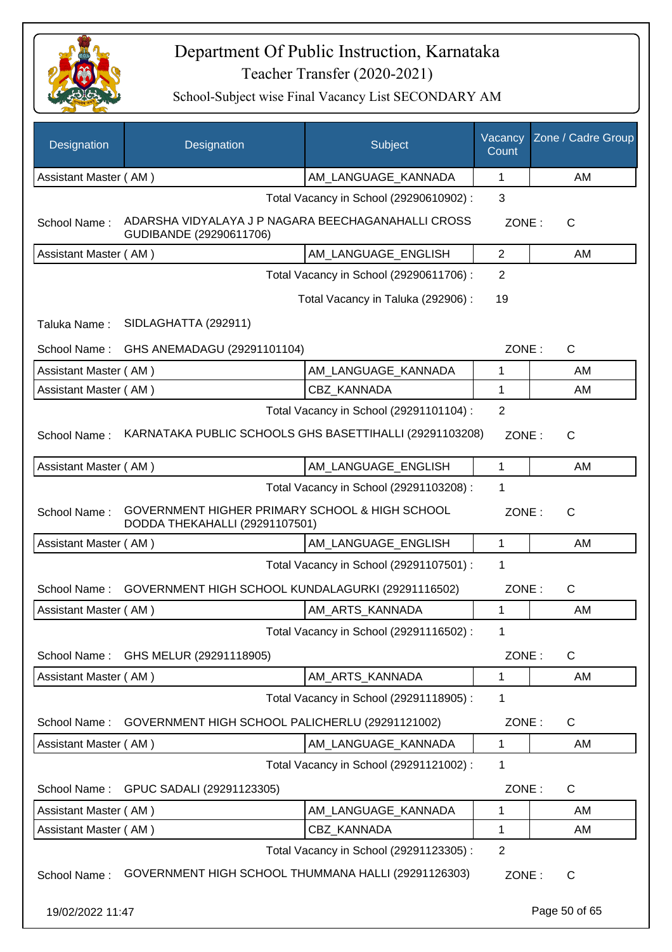

| <b>Designation</b>    | Designation                                                                      | Subject                                 | Vacancy<br>Count | Zone / Cadre Group |
|-----------------------|----------------------------------------------------------------------------------|-----------------------------------------|------------------|--------------------|
| Assistant Master (AM) |                                                                                  | AM_LANGUAGE_KANNADA                     | 1                | AM                 |
|                       |                                                                                  | Total Vacancy in School (29290610902) : | 3                |                    |
| School Name:          | ADARSHA VIDYALAYA J P NAGARA BEECHAGANAHALLI CROSS<br>GUDIBANDE (29290611706)    |                                         | ZONE:            | C                  |
| Assistant Master (AM) |                                                                                  | AM LANGUAGE_ENGLISH                     | $\overline{2}$   | AM                 |
|                       |                                                                                  | Total Vacancy in School (29290611706) : | 2                |                    |
|                       |                                                                                  | Total Vacancy in Taluka (292906):       | 19               |                    |
| Taluka Name:          | SIDLAGHATTA (292911)                                                             |                                         |                  |                    |
| School Name:          | GHS ANEMADAGU (29291101104)                                                      |                                         | ZONE:            | $\mathsf{C}$       |
| Assistant Master (AM) |                                                                                  | AM_LANGUAGE_KANNADA                     | 1                | AM                 |
| Assistant Master (AM) |                                                                                  | <b>CBZ KANNADA</b>                      | 1                | AM                 |
|                       |                                                                                  | Total Vacancy in School (29291101104) : | 2                |                    |
| School Name:          | KARNATAKA PUBLIC SCHOOLS GHS BASETTIHALLI (29291103208)                          |                                         | ZONE:            | $\mathsf{C}$       |
| Assistant Master (AM) |                                                                                  | AM_LANGUAGE_ENGLISH                     | 1                | AM                 |
|                       |                                                                                  | Total Vacancy in School (29291103208) : | 1                |                    |
| School Name:          | GOVERNMENT HIGHER PRIMARY SCHOOL & HIGH SCHOOL<br>DODDA THEKAHALLI (29291107501) |                                         | ZONE:            | $\mathsf{C}$       |
| Assistant Master (AM) |                                                                                  | AM_LANGUAGE_ENGLISH                     | $\mathbf{1}$     | AM                 |
|                       |                                                                                  | Total Vacancy in School (29291107501) : | 1                |                    |
| School Name:          | GOVERNMENT HIGH SCHOOL KUNDALAGURKI (29291116502)                                |                                         | ZONE:            | $\mathsf{C}$       |
| Assistant Master (AM) |                                                                                  | AM_ARTS_KANNADA                         | 1                | AM                 |
|                       |                                                                                  | Total Vacancy in School (29291116502) : | 1                |                    |
| School Name:          | GHS MELUR (29291118905)                                                          |                                         | ZONE:            | C                  |
| Assistant Master (AM) |                                                                                  | AM ARTS KANNADA                         | 1                | AM                 |
|                       |                                                                                  | Total Vacancy in School (29291118905) : | 1                |                    |
| School Name:          | GOVERNMENT HIGH SCHOOL PALICHERLU (29291121002)                                  |                                         | ZONE:            | C                  |
| Assistant Master (AM) |                                                                                  | AM_LANGUAGE_KANNADA                     | 1                | AM                 |
|                       |                                                                                  | Total Vacancy in School (29291121002) : | 1                |                    |
| School Name:          | GPUC SADALI (29291123305)                                                        |                                         | ZONE:            | $\mathsf{C}$       |
| Assistant Master (AM) |                                                                                  | AM_LANGUAGE_KANNADA                     | 1                | AM                 |
| Assistant Master (AM) |                                                                                  | CBZ_KANNADA                             | 1                | AM                 |
|                       |                                                                                  | Total Vacancy in School (29291123305) : | $\overline{2}$   |                    |
| School Name:          | GOVERNMENT HIGH SCHOOL THUMMANA HALLI (29291126303)                              |                                         | ZONE:            | C                  |
| 19/02/2022 11:47      |                                                                                  |                                         |                  | Page 50 of 65      |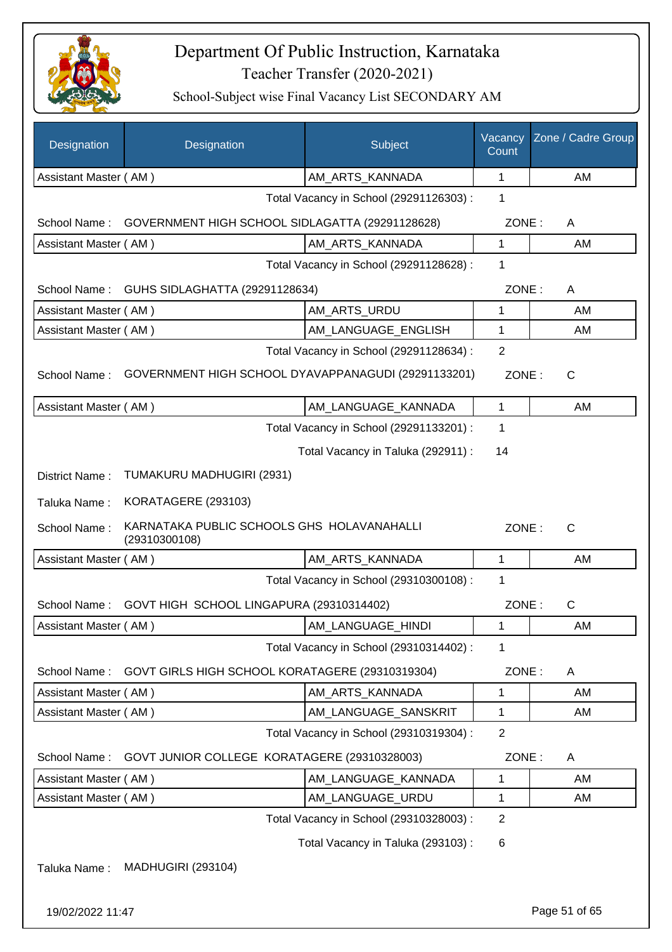

| Designation           | Designation                                                 | Subject                                 | Vacancy<br>Count | Zone / Cadre Group |
|-----------------------|-------------------------------------------------------------|-----------------------------------------|------------------|--------------------|
| Assistant Master (AM) |                                                             | AM_ARTS_KANNADA                         | $\mathbf{1}$     | AM                 |
|                       |                                                             | Total Vacancy in School (29291126303) : | 1                |                    |
| School Name:          | GOVERNMENT HIGH SCHOOL SIDLAGATTA (29291128628)             |                                         | ZONE:            | A                  |
| Assistant Master (AM) |                                                             | AM_ARTS_KANNADA                         | 1                | AM                 |
|                       |                                                             | Total Vacancy in School (29291128628) : | 1                |                    |
| School Name:          | GUHS SIDLAGHATTA (29291128634)                              |                                         | ZONE:            | A                  |
| Assistant Master (AM) |                                                             | AM_ARTS_URDU                            | 1                | AM                 |
| Assistant Master (AM) |                                                             | AM_LANGUAGE_ENGLISH                     | 1                | AM                 |
|                       |                                                             | Total Vacancy in School (29291128634) : | $\overline{2}$   |                    |
| School Name:          | GOVERNMENT HIGH SCHOOL DYAVAPPANAGUDI (29291133201)         |                                         | ZONE:            | C                  |
| Assistant Master (AM) |                                                             | AM_LANGUAGE_KANNADA                     | $\mathbf{1}$     | AM                 |
|                       |                                                             | Total Vacancy in School (29291133201) : | 1                |                    |
|                       |                                                             | Total Vacancy in Taluka (292911) :      | 14               |                    |
| District Name:        | TUMAKURU MADHUGIRI (2931)                                   |                                         |                  |                    |
| Taluka Name:          | KORATAGERE (293103)                                         |                                         |                  |                    |
| School Name:          | KARNATAKA PUBLIC SCHOOLS GHS HOLAVANAHALLI<br>(29310300108) |                                         | ZONE:            | $\mathsf{C}$       |
| Assistant Master (AM) |                                                             | AM_ARTS_KANNADA                         | $\mathbf{1}$     | AM                 |
|                       |                                                             | Total Vacancy in School (29310300108) : | 1                |                    |
| School Name:          | GOVT HIGH SCHOOL LINGAPURA (29310314402)                    |                                         | ZONE:            | $\mathsf{C}$       |
| Assistant Master (AM) |                                                             | AM_LANGUAGE_HINDI                       | 1                | AM                 |
|                       |                                                             | Total Vacancy in School (29310314402) : | 1                |                    |
| School Name:          | GOVT GIRLS HIGH SCHOOL KORATAGERE (29310319304)             |                                         | ZONE:            | A                  |
| Assistant Master (AM) |                                                             | AM_ARTS_KANNADA                         | 1                | AM                 |
| Assistant Master (AM) |                                                             | AM_LANGUAGE_SANSKRIT                    | 1                | AM                 |
|                       |                                                             | Total Vacancy in School (29310319304) : | $\overline{2}$   |                    |
| School Name:          | GOVT JUNIOR COLLEGE KORATAGERE (29310328003)                |                                         | ZONE:            | A                  |
| Assistant Master (AM) |                                                             | AM_LANGUAGE_KANNADA                     | 1                | AM                 |
| Assistant Master (AM) |                                                             | AM_LANGUAGE_URDU                        | 1                | AM                 |
|                       |                                                             | Total Vacancy in School (29310328003) : | $\overline{2}$   |                    |
|                       |                                                             | Total Vacancy in Taluka (293103):       | 6                |                    |
| Taluka Name:          | <b>MADHUGIRI (293104)</b>                                   |                                         |                  |                    |
| 19/02/2022 11:47      |                                                             |                                         |                  | Page 51 of 65      |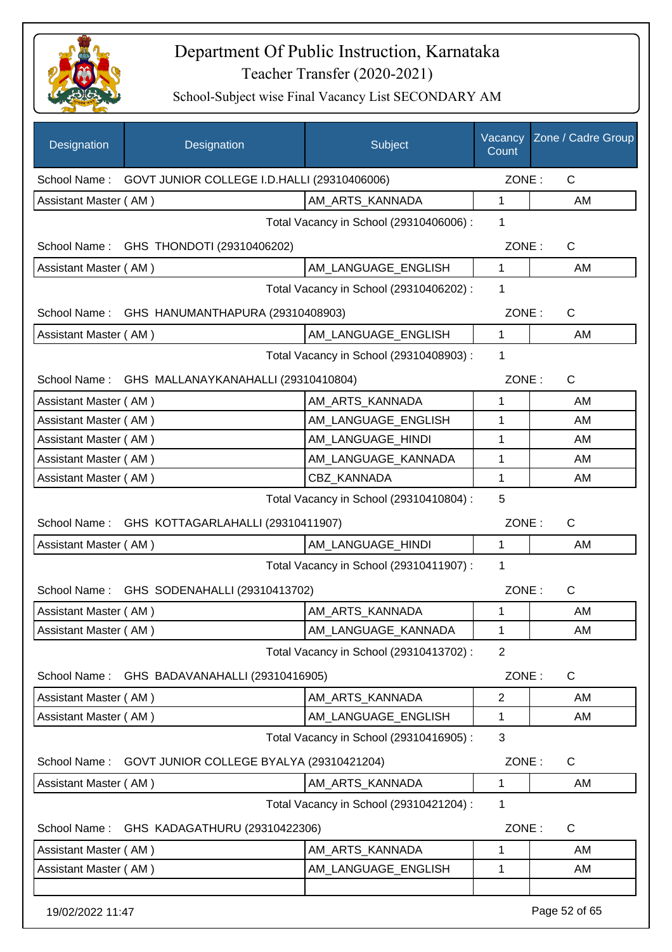

| Designation           | Designation                                      | Subject                                 | Vacancy<br>Count | Zone / Cadre Group |
|-----------------------|--------------------------------------------------|-----------------------------------------|------------------|--------------------|
| School Name:          | GOVT JUNIOR COLLEGE I.D.HALLI (29310406006)      |                                         | ZONE:            | C                  |
| Assistant Master (AM) |                                                  | AM_ARTS_KANNADA                         | 1                | AM                 |
|                       |                                                  | Total Vacancy in School (29310406006) : | 1                |                    |
|                       | School Name: GHS THONDOTI (29310406202)          |                                         | ZONE:            | $\mathsf{C}$       |
| Assistant Master (AM) |                                                  | AM_LANGUAGE_ENGLISH                     | 1                | AM                 |
|                       |                                                  | Total Vacancy in School (29310406202) : | 1                |                    |
| School Name:          | GHS HANUMANTHAPURA (29310408903)                 |                                         | ZONE:            | C                  |
| Assistant Master (AM) |                                                  | AM LANGUAGE ENGLISH                     | $\mathbf{1}$     | AM                 |
|                       |                                                  | Total Vacancy in School (29310408903) : | $\mathbf 1$      |                    |
|                       | School Name: GHS MALLANAYKANAHALLI (29310410804) |                                         | ZONE:            | $\mathsf{C}$       |
| Assistant Master (AM) |                                                  | AM_ARTS_KANNADA                         | $\mathbf{1}$     | AM                 |
| Assistant Master (AM) |                                                  | AM_LANGUAGE_ENGLISH                     | 1                | AM                 |
| Assistant Master (AM) |                                                  | AM_LANGUAGE_HINDI                       | 1                | AM                 |
| Assistant Master (AM) |                                                  | AM_LANGUAGE_KANNADA                     | 1                | AM                 |
| Assistant Master (AM) |                                                  | CBZ KANNADA                             | 1                | AM                 |
|                       |                                                  | Total Vacancy in School (29310410804) : | 5                |                    |
| School Name:          | GHS KOTTAGARLAHALLI (29310411907)                |                                         | ZONE:            | $\mathsf{C}$       |
| Assistant Master (AM) |                                                  | AM_LANGUAGE_HINDI                       | $\mathbf{1}$     | AM                 |
|                       |                                                  | Total Vacancy in School (29310411907) : | 1                |                    |
| School Name:          | GHS SODENAHALLI (29310413702)                    |                                         | ZONE:            | $\mathsf{C}$       |
| Assistant Master (AM) |                                                  | AM_ARTS_KANNADA                         | 1                | AM                 |
| Assistant Master (AM) |                                                  | AM_LANGUAGE_KANNADA                     | 1                | AM                 |
|                       |                                                  | Total Vacancy in School (29310413702) : | $\overline{2}$   |                    |
| School Name:          | GHS BADAVANAHALLI (29310416905)                  |                                         | ZONE:            | C                  |
| Assistant Master (AM) |                                                  | AM_ARTS_KANNADA                         | 2                | AM                 |
| Assistant Master (AM) |                                                  | AM_LANGUAGE_ENGLISH                     | 1                | AM                 |
|                       |                                                  | Total Vacancy in School (29310416905) : | 3                |                    |
| School Name:          | GOVT JUNIOR COLLEGE BYALYA (29310421204)         |                                         | ZONE:            | $\mathsf{C}$       |
| Assistant Master (AM) |                                                  | AM_ARTS_KANNADA                         | 1                | AM                 |
|                       |                                                  | Total Vacancy in School (29310421204) : | 1                |                    |
| School Name:          | GHS KADAGATHURU (29310422306)                    |                                         | ZONE:            | C                  |
| Assistant Master (AM) |                                                  | AM_ARTS_KANNADA                         | 1                | AM                 |
| Assistant Master (AM) |                                                  | AM_LANGUAGE_ENGLISH                     | 1                | AM                 |
| 19/02/2022 11:47      |                                                  |                                         |                  | Page 52 of 65      |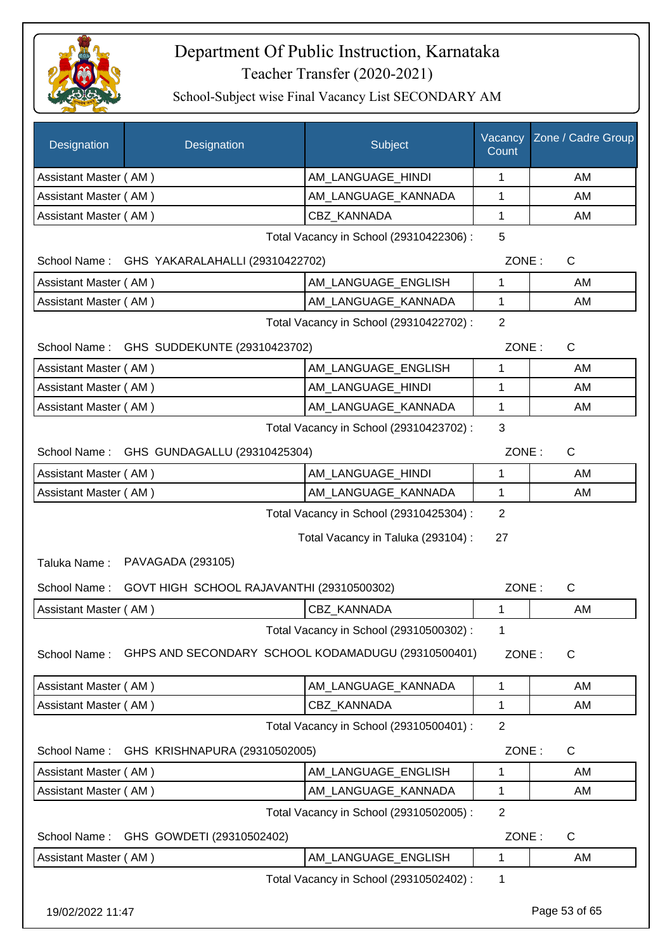

| <b>Designation</b>           | Designation                                                    | Subject                                 | Vacancy<br>Count | Zone / Cadre Group |
|------------------------------|----------------------------------------------------------------|-----------------------------------------|------------------|--------------------|
| Assistant Master (AM)        |                                                                | AM_LANGUAGE_HINDI                       | 1                | AM                 |
| Assistant Master (AM)        |                                                                | AM_LANGUAGE_KANNADA                     | 1                | AM                 |
| Assistant Master (AM)        |                                                                | <b>CBZ KANNADA</b>                      | 1                | AM                 |
|                              |                                                                | Total Vacancy in School (29310422306) : | 5                |                    |
|                              | School Name: GHS YAKARALAHALLI (29310422702)                   |                                         | ZONE:            | $\mathsf{C}$       |
| Assistant Master (AM)        |                                                                | AM LANGUAGE_ENGLISH                     | 1                | AM                 |
| Assistant Master (AM)        |                                                                | AM_LANGUAGE_KANNADA                     | $\mathbf{1}$     | AM                 |
|                              | Total Vacancy in School (29310422702) :                        | $\overline{2}$                          |                  |                    |
|                              | School Name: GHS SUDDEKUNTE (29310423702)                      |                                         | ZONE:            | C                  |
| Assistant Master (AM)        |                                                                | AM LANGUAGE ENGLISH                     | 1                | AM                 |
| Assistant Master (AM)        |                                                                | AM LANGUAGE HINDI                       | 1                | AM                 |
| Assistant Master (AM)        |                                                                | AM LANGUAGE_KANNADA                     | 1                | AM                 |
|                              |                                                                | Total Vacancy in School (29310423702) : | 3                |                    |
|                              | School Name: GHS GUNDAGALLU (29310425304)                      |                                         | ZONE:            | $\mathsf{C}$       |
| Assistant Master (AM)        |                                                                | AM LANGUAGE_HINDI                       | $\mathbf{1}$     | AM                 |
| Assistant Master (AM)        |                                                                | AM_LANGUAGE_KANNADA                     | 1                | AM                 |
|                              |                                                                | Total Vacancy in School (29310425304) : | 2                |                    |
| Taluka Name:<br>School Name: | PAVAGADA (293105)<br>GOVT HIGH SCHOOL RAJAVANTHI (29310500302) | Total Vacancy in Taluka (293104) :      | 27<br>ZONE:      | $\mathsf{C}$       |
| Assistant Master (AM)        |                                                                | <b>CBZ KANNADA</b>                      | 1                | AM                 |
|                              |                                                                | Total Vacancy in School (29310500302) : | 1                |                    |
| School Name:                 | GHPS AND SECONDARY SCHOOL KODAMADUGU (29310500401)             |                                         | ZONE:            | $\mathsf{C}$       |
| Assistant Master (AM)        |                                                                | AM_LANGUAGE_KANNADA                     | 1                | AM                 |
| Assistant Master (AM)        |                                                                | <b>CBZ KANNADA</b>                      | 1                | AM                 |
|                              |                                                                | Total Vacancy in School (29310500401) : | $\overline{2}$   |                    |
| School Name:                 | GHS KRISHNAPURA (29310502005)                                  |                                         | ZONE:            | C                  |
| Assistant Master (AM)        |                                                                | AM LANGUAGE ENGLISH                     | 1                | AM                 |
| Assistant Master (AM)        |                                                                | AM_LANGUAGE_KANNADA                     | 1                | AM                 |
|                              |                                                                | Total Vacancy in School (29310502005) : | $\overline{2}$   |                    |
| School Name:                 | GHS GOWDETI (29310502402)                                      |                                         | ZONE:            | C                  |
| Assistant Master (AM)        |                                                                | AM_LANGUAGE_ENGLISH                     | $\mathbf{1}$     | AM                 |
|                              |                                                                | Total Vacancy in School (29310502402) : | 1                |                    |
| 19/02/2022 11:47             |                                                                |                                         |                  | Page 53 of 65      |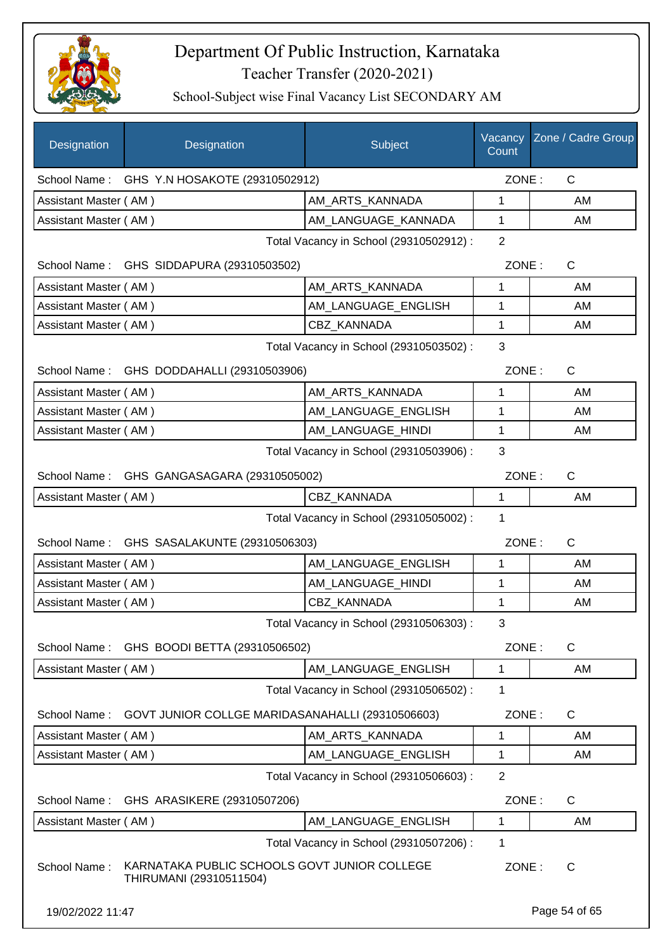

| Designation           | Designation                                                             | Subject                                 | Vacancy<br>Count | Zone / Cadre Group |
|-----------------------|-------------------------------------------------------------------------|-----------------------------------------|------------------|--------------------|
|                       | School Name: GHS Y.N HOSAKOTE (29310502912)                             |                                         | ZONE:            | $\mathsf{C}$       |
| Assistant Master (AM) |                                                                         | AM_ARTS_KANNADA                         | 1                | AM                 |
| Assistant Master (AM) |                                                                         | AM_LANGUAGE_KANNADA                     | 1                | AM                 |
|                       |                                                                         | Total Vacancy in School (29310502912) : | $\overline{2}$   |                    |
|                       | School Name: GHS SIDDAPURA (29310503502)                                |                                         | ZONE:            | $\mathsf{C}$       |
| Assistant Master (AM) |                                                                         | AM_ARTS_KANNADA                         | 1                | AM                 |
| Assistant Master (AM) |                                                                         | AM LANGUAGE ENGLISH                     | 1                | AM                 |
| Assistant Master (AM) |                                                                         | CBZ_KANNADA                             | 1                | AM                 |
|                       |                                                                         | Total Vacancy in School (29310503502) : | 3                |                    |
|                       | School Name: GHS DODDAHALLI (29310503906)                               |                                         | ZONE:            | $\mathsf{C}$       |
| Assistant Master (AM) |                                                                         | AM_ARTS_KANNADA                         | 1                | AM                 |
| Assistant Master (AM) |                                                                         | AM_LANGUAGE_ENGLISH                     | 1                | AM                 |
| Assistant Master (AM) |                                                                         | AM_LANGUAGE_HINDI                       | 1                | AM                 |
|                       |                                                                         | Total Vacancy in School (29310503906) : | 3                |                    |
|                       | School Name: GHS GANGASAGARA (29310505002)                              |                                         | ZONE:            | C                  |
| Assistant Master (AM) |                                                                         | <b>CBZ KANNADA</b>                      | $\mathbf{1}$     | AM                 |
|                       |                                                                         | Total Vacancy in School (29310505002) : | 1                |                    |
|                       | School Name: GHS SASALAKUNTE (29310506303)                              |                                         | ZONE:            | $\mathsf{C}$       |
| Assistant Master (AM) |                                                                         | AM LANGUAGE ENGLISH                     | $\mathbf{1}$     | AM                 |
| Assistant Master (AM) |                                                                         | AM_LANGUAGE_HINDI                       | 1                | AM                 |
| Assistant Master (AM) |                                                                         | CBZ_KANNADA                             | 1                | AM                 |
|                       |                                                                         | Total Vacancy in School (29310506303) : | 3                |                    |
| School Name:          | GHS BOODI BETTA (29310506502)                                           |                                         | ZONE:            | C                  |
| Assistant Master (AM) |                                                                         | AM LANGUAGE ENGLISH                     | 1                | AM                 |
|                       |                                                                         | Total Vacancy in School (29310506502) : | 1                |                    |
| School Name:          | GOVT JUNIOR COLLGE MARIDASANAHALLI (29310506603)                        |                                         | ZONE:            | C                  |
| Assistant Master (AM) |                                                                         | AM_ARTS_KANNADA                         | 1                | AM                 |
| Assistant Master (AM) |                                                                         | AM_LANGUAGE_ENGLISH                     | 1                | AM                 |
|                       |                                                                         | Total Vacancy in School (29310506603) : | $\overline{2}$   |                    |
| School Name:          | GHS ARASIKERE (29310507206)                                             |                                         | ZONE:            | C                  |
| Assistant Master (AM) |                                                                         | AM_LANGUAGE_ENGLISH                     | 1                | AM                 |
|                       |                                                                         | Total Vacancy in School (29310507206) : | 1                |                    |
| School Name:          | KARNATAKA PUBLIC SCHOOLS GOVT JUNIOR COLLEGE<br>THIRUMANI (29310511504) |                                         | ZONE:            | C                  |
| 19/02/2022 11:47      |                                                                         |                                         |                  | Page 54 of 65      |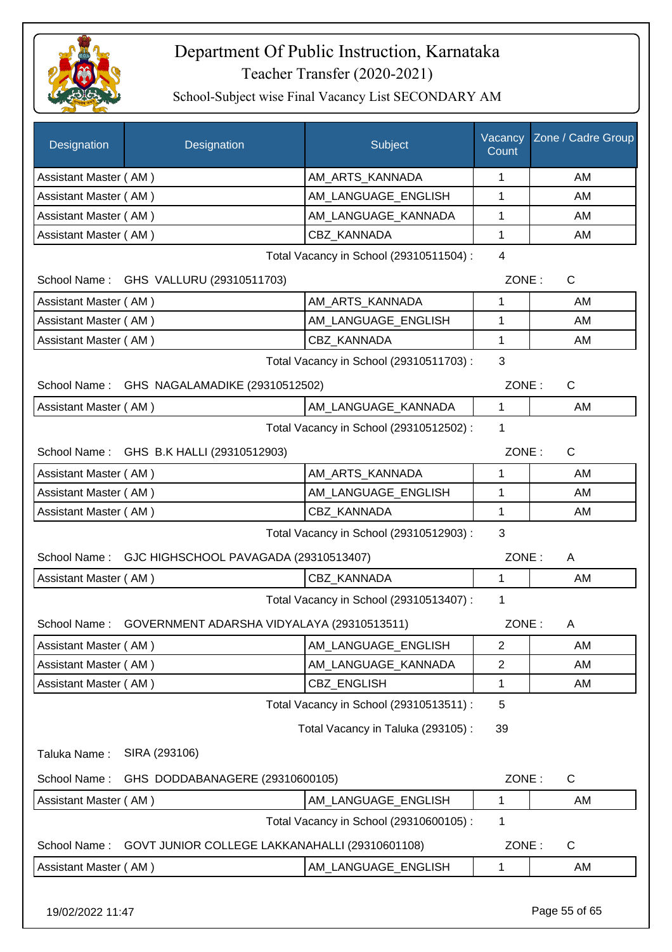

School-Subject wise Final Vacancy List SECONDARY AM

| Designation           | Designation                                             | Subject                                 | Vacancy<br>Count | Zone / Cadre Group |
|-----------------------|---------------------------------------------------------|-----------------------------------------|------------------|--------------------|
| Assistant Master (AM) |                                                         | AM ARTS KANNADA                         | 1                | AM                 |
| Assistant Master (AM) |                                                         | AM LANGUAGE ENGLISH                     | 1                | AM                 |
| Assistant Master (AM) |                                                         | AM_LANGUAGE_KANNADA                     | 1                | AM                 |
| Assistant Master (AM) |                                                         | <b>CBZ KANNADA</b>                      | 1                | AM                 |
|                       |                                                         | Total Vacancy in School (29310511504) : | 4                |                    |
|                       | School Name: GHS VALLURU (29310511703)                  |                                         | ZONE:            | $\mathsf{C}$       |
| Assistant Master (AM) |                                                         | AM_ARTS_KANNADA                         | 1                | AM                 |
| Assistant Master (AM) |                                                         | AM_LANGUAGE_ENGLISH                     | $\mathbf{1}$     | AM                 |
| Assistant Master (AM) |                                                         | CBZ KANNADA                             | 1                | AM                 |
|                       |                                                         | Total Vacancy in School (29310511703) : | 3                |                    |
|                       | School Name: GHS NAGALAMADIKE (29310512502)             |                                         | ZONE:            | $\mathsf{C}$       |
| Assistant Master (AM) |                                                         | AM_LANGUAGE_KANNADA                     | 1                | AM                 |
|                       |                                                         | Total Vacancy in School (29310512502) : | 1                |                    |
|                       | School Name: GHS B.K HALLI (29310512903)                |                                         | ZONE:            | C                  |
| Assistant Master (AM) |                                                         | AM_ARTS_KANNADA                         | 1                | AM                 |
| Assistant Master (AM) |                                                         | AM_LANGUAGE_ENGLISH                     | 1                | AM                 |
| Assistant Master (AM) |                                                         | CBZ_KANNADA                             | 1                | AM                 |
|                       |                                                         | Total Vacancy in School (29310512903) : | 3                |                    |
|                       | School Name: GJC HIGHSCHOOL PAVAGADA (29310513407)      |                                         | ZONE:            | A                  |
| Assistant Master (AM) |                                                         | CBZ_KANNADA                             | $\mathbf{1}$     | AM                 |
|                       |                                                         | Total Vacancy in School (29310513407) : | $\mathbf 1$      |                    |
|                       | School Name: GOVERNMENT ADARSHA VIDYALAYA (29310513511) |                                         | ZONE:            | A                  |
| Assistant Master (AM) |                                                         | AM LANGUAGE ENGLISH                     | $\overline{2}$   | AM                 |
| Assistant Master (AM) |                                                         | AM_LANGUAGE_KANNADA                     | $\overline{2}$   | AM                 |
| Assistant Master (AM) |                                                         | <b>CBZ ENGLISH</b>                      | $\mathbf 1$      | AM                 |
|                       |                                                         | Total Vacancy in School (29310513511) : | 5                |                    |
|                       |                                                         | Total Vacancy in Taluka (293105):       | 39               |                    |
| Taluka Name:          | SIRA (293106)                                           |                                         |                  |                    |
| School Name:          | GHS DODDABANAGERE (29310600105)                         |                                         | ZONE:            | $\mathsf{C}$       |
| Assistant Master (AM) |                                                         | AM_LANGUAGE_ENGLISH                     | $\mathbf 1$      | AM                 |
|                       |                                                         | Total Vacancy in School (29310600105) : | 1                |                    |
| School Name:          | GOVT JUNIOR COLLEGE LAKKANAHALLI (29310601108)          |                                         | ZONE:            | C                  |
| Assistant Master (AM) |                                                         | AM_LANGUAGE_ENGLISH                     | 1                | AM                 |
|                       |                                                         |                                         |                  |                    |

19/02/2022 11:47 Page 55 of 65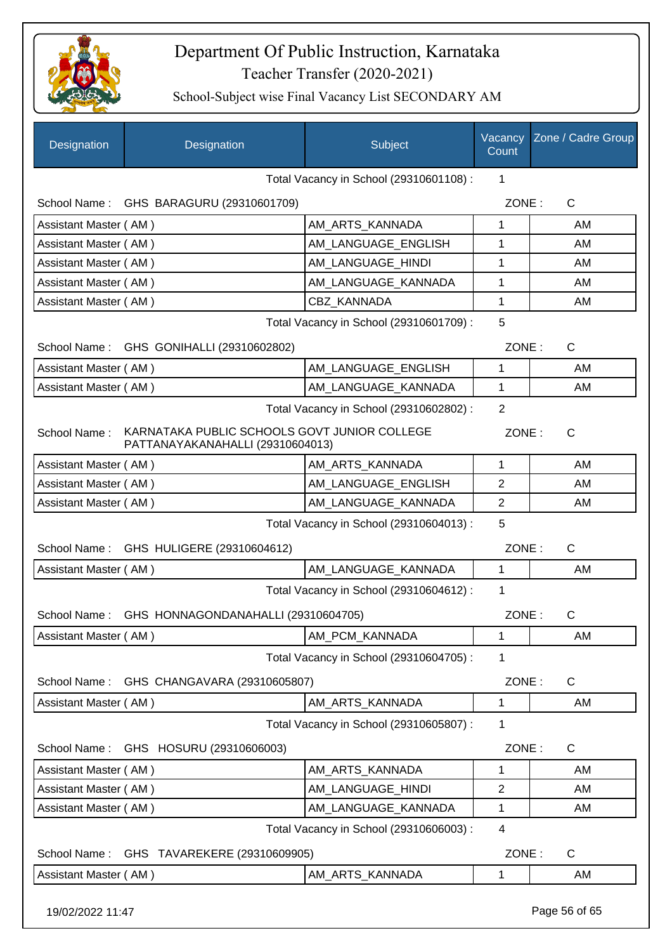

| Designation           | Designation                                                                      | Subject                                 | Vacancy<br>Count | Zone / Cadre Group |
|-----------------------|----------------------------------------------------------------------------------|-----------------------------------------|------------------|--------------------|
|                       |                                                                                  | Total Vacancy in School (29310601108) : | 1                |                    |
|                       | School Name: GHS BARAGURU (29310601709)                                          |                                         | ZONE:            | $\mathsf{C}$       |
| Assistant Master (AM) |                                                                                  | AM_ARTS_KANNADA                         | 1                | AM                 |
| Assistant Master (AM) |                                                                                  | AM LANGUAGE ENGLISH                     | 1                | AM                 |
| Assistant Master (AM) |                                                                                  | AM_LANGUAGE_HINDI                       | 1                | AM                 |
|                       | Assistant Master (AM)<br>AM_LANGUAGE_KANNADA                                     |                                         |                  | AM                 |
| Assistant Master (AM) |                                                                                  | <b>CBZ KANNADA</b>                      | 1                | AM                 |
|                       |                                                                                  | Total Vacancy in School (29310601709) : | 5                |                    |
|                       | School Name: GHS GONIHALLI (29310602802)                                         |                                         | ZONE:            | $\mathsf{C}$       |
| Assistant Master (AM) |                                                                                  | AM LANGUAGE ENGLISH                     | 1                | AM                 |
| Assistant Master (AM) |                                                                                  | AM_LANGUAGE_KANNADA                     | $\mathbf{1}$     | AM                 |
|                       |                                                                                  | Total Vacancy in School (29310602802) : | $\overline{2}$   |                    |
| School Name:          | KARNATAKA PUBLIC SCHOOLS GOVT JUNIOR COLLEGE<br>PATTANAYAKANAHALLI (29310604013) |                                         | ZONE:            | $\mathsf{C}$       |
| Assistant Master (AM) |                                                                                  | AM_ARTS_KANNADA                         | 1                | AM                 |
| Assistant Master (AM) |                                                                                  | AM_LANGUAGE_ENGLISH                     | $\overline{2}$   | AM                 |
| Assistant Master (AM) |                                                                                  | AM_LANGUAGE_KANNADA                     | 2                | AM                 |
|                       |                                                                                  | Total Vacancy in School (29310604013) : | 5                |                    |
|                       | School Name: GHS HULIGERE (29310604612)                                          |                                         | ZONE:            | C                  |
| Assistant Master (AM) |                                                                                  | AM_LANGUAGE_KANNADA                     | $\mathbf{1}$     | AM                 |
|                       |                                                                                  | Total Vacancy in School (29310604612) : | 1                |                    |
|                       | School Name: GHS HONNAGONDANAHALLI (29310604705)                                 |                                         | ZONE:            | $\mathsf{C}$       |
| Assistant Master (AM) |                                                                                  | AM_PCM_KANNADA                          | 1                | AM                 |
|                       |                                                                                  | Total Vacancy in School (29310604705) : | 1                |                    |
| School Name:          | GHS CHANGAVARA (29310605807)                                                     |                                         | ZONE:            | $\mathsf C$        |
| Assistant Master (AM) |                                                                                  | AM_ARTS_KANNADA                         | 1                | AM                 |
|                       |                                                                                  | Total Vacancy in School (29310605807) : | 1                |                    |
| School Name:          | GHS HOSURU (29310606003)                                                         |                                         | ZONE:            | $\mathsf{C}$       |
| Assistant Master (AM) |                                                                                  | AM_ARTS_KANNADA                         | 1                | AM                 |
| Assistant Master (AM) |                                                                                  | AM LANGUAGE HINDI                       | $\mathbf{2}$     | AM                 |
| Assistant Master (AM) |                                                                                  | AM_LANGUAGE_KANNADA                     | 1                | AM                 |
|                       |                                                                                  | Total Vacancy in School (29310606003) : | 4                |                    |
| School Name:          | GHS TAVAREKERE (29310609905)                                                     |                                         | ZONE:            | C                  |
| Assistant Master (AM) |                                                                                  | AM_ARTS_KANNADA                         | 1                | AM                 |
| 19/02/2022 11:47      |                                                                                  |                                         |                  | Page 56 of 65      |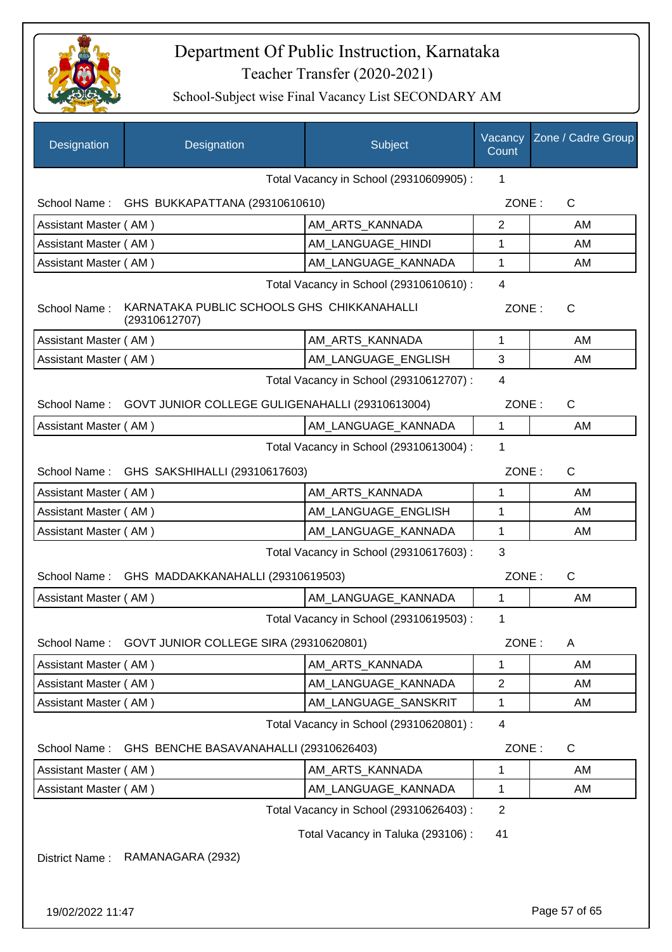

| Designation           | Designation                                                  | Subject                                 | Vacancy<br>Count | Zone / Cadre Group    |
|-----------------------|--------------------------------------------------------------|-----------------------------------------|------------------|-----------------------|
|                       |                                                              | Total Vacancy in School (29310609905) : | 1                |                       |
|                       | School Name: GHS BUKKAPATTANA (29310610610)                  |                                         |                  | ZONE:<br>$\mathsf{C}$ |
| Assistant Master (AM) |                                                              | AM_ARTS_KANNADA                         | $\overline{2}$   | AM                    |
| Assistant Master (AM) |                                                              | AM LANGUAGE HINDI                       | 1                | AM                    |
|                       | Assistant Master (AM)<br>AM_LANGUAGE_KANNADA                 |                                         |                  | AM                    |
|                       |                                                              | Total Vacancy in School (29310610610) : | $\overline{4}$   |                       |
| School Name:          | KARNATAKA PUBLIC SCHOOLS GHS CHIKKANAHALLI<br>(29310612707)  |                                         | ZONE:            | $\mathsf{C}$          |
| Assistant Master (AM) |                                                              | AM_ARTS_KANNADA                         | 1                | AM                    |
| Assistant Master (AM) |                                                              | AM_LANGUAGE_ENGLISH                     | 3                | AM                    |
|                       |                                                              | Total Vacancy in School (29310612707) : | $\overline{4}$   |                       |
|                       | School Name: GOVT JUNIOR COLLEGE GULIGENAHALLI (29310613004) |                                         | ZONE:            | $\mathsf{C}$          |
| Assistant Master (AM) |                                                              | AM_LANGUAGE_KANNADA                     | 1                | AM                    |
|                       |                                                              | Total Vacancy in School (29310613004) : | 1                |                       |
| School Name:          | GHS SAKSHIHALLI (29310617603)                                |                                         | ZONE:            | $\mathsf{C}$          |
| Assistant Master (AM) |                                                              | AM_ARTS_KANNADA                         | 1                | AM                    |
| Assistant Master (AM) |                                                              | AM LANGUAGE ENGLISH                     | 1                | AM                    |
| Assistant Master (AM) |                                                              | AM_LANGUAGE_KANNADA                     | 1                | AM                    |
|                       |                                                              | Total Vacancy in School (29310617603) : | 3                |                       |
| School Name:          | GHS MADDAKKANAHALLI (29310619503)                            |                                         | ZONE:            | C                     |
| Assistant Master (AM) |                                                              | AM_LANGUAGE_KANNADA                     | 1                | AM                    |
|                       |                                                              | Total Vacancy in School (29310619503) : | 1                |                       |
| School Name:          | GOVT JUNIOR COLLEGE SIRA (29310620801)                       |                                         | ZONE:            | A                     |
| Assistant Master (AM) |                                                              | AM_ARTS_KANNADA                         | 1                | AM                    |
| Assistant Master (AM) |                                                              | AM LANGUAGE KANNADA                     | 2                | AM                    |
| Assistant Master (AM) |                                                              | AM_LANGUAGE_SANSKRIT                    | 1                | AM                    |
|                       |                                                              | Total Vacancy in School (29310620801) : | 4                |                       |
| School Name:          | GHS BENCHE BASAVANAHALLI (29310626403)                       |                                         | ZONE:            | C                     |
| Assistant Master (AM) |                                                              | AM ARTS KANNADA                         | 1                | AM                    |
| Assistant Master (AM) |                                                              | AM_LANGUAGE_KANNADA                     | 1                | AM                    |
|                       |                                                              | Total Vacancy in School (29310626403) : | $\overline{2}$   |                       |
|                       |                                                              | Total Vacancy in Taluka (293106) :      | 41               |                       |
| District Name:        | RAMANAGARA (2932)                                            |                                         |                  |                       |
| 19/02/2022 11:47      |                                                              |                                         |                  | Page 57 of 65         |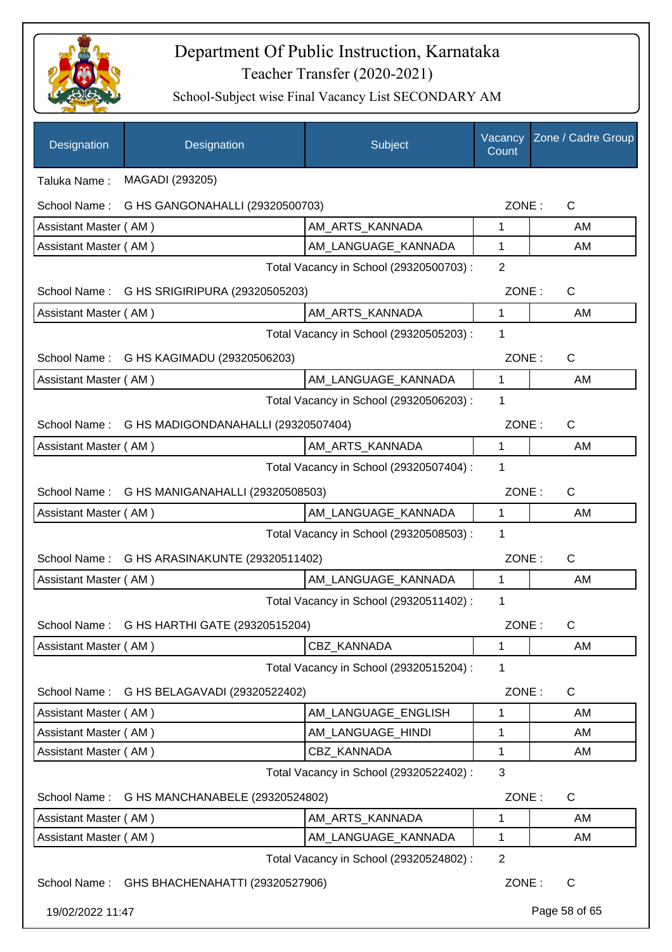

| Designation           | Designation                                      | Subject                                 | Vacancy<br>Count | Zone / Cadre Group |
|-----------------------|--------------------------------------------------|-----------------------------------------|------------------|--------------------|
| Taluka Name:          | MAGADI (293205)                                  |                                         |                  |                    |
| School Name:          | G HS GANGONAHALLI (29320500703)                  |                                         | ZONE:            | $\mathsf{C}$       |
| Assistant Master (AM) |                                                  | AM_ARTS_KANNADA                         | 1                | AM                 |
| Assistant Master (AM) |                                                  | AM_LANGUAGE_KANNADA                     | 1                | AM                 |
|                       |                                                  | Total Vacancy in School (29320500703) : | $\overline{2}$   |                    |
|                       | School Name: G HS SRIGIRIPURA (29320505203)      |                                         | ZONE:            | $\mathsf{C}$       |
| Assistant Master (AM) |                                                  | AM_ARTS_KANNADA                         | 1                | AM                 |
|                       |                                                  | Total Vacancy in School (29320505203) : | 1                |                    |
|                       | School Name: G HS KAGIMADU (29320506203)         |                                         | ZONE:            | $\mathsf{C}$       |
| Assistant Master (AM) |                                                  | AM_LANGUAGE_KANNADA                     | 1                | AM                 |
|                       |                                                  | Total Vacancy in School (29320506203) : | 1                |                    |
|                       | School Name: G HS MADIGONDANAHALLI (29320507404) |                                         | ZONE:            | C                  |
| Assistant Master (AM) |                                                  | AM_ARTS_KANNADA                         | 1                | AM                 |
|                       |                                                  | Total Vacancy in School (29320507404) : | $\mathbf{1}$     |                    |
|                       | School Name: G HS MANIGANAHALLI (29320508503)    |                                         | ZONE:            | C                  |
| Assistant Master (AM) |                                                  | AM_LANGUAGE_KANNADA                     | 1                | AM                 |
|                       |                                                  | Total Vacancy in School (29320508503) : | 1                |                    |
| School Name:          | G HS ARASINAKUNTE (29320511402)                  |                                         | ZONE:            | C                  |
| Assistant Master (AM) |                                                  | AM LANGUAGE KANNADA                     | 1                | AM                 |
|                       |                                                  | Total Vacancy in School (29320511402) : | 1                |                    |
|                       | School Name: G HS HARTHI GATE (29320515204)      |                                         | ZONE:            | C                  |
| Assistant Master (AM) |                                                  | CBZ_KANNADA                             | 1                | AM                 |
|                       |                                                  | Total Vacancy in School (29320515204) : | 1                |                    |
| School Name:          | G HS BELAGAVADI (29320522402)                    |                                         | ZONE:            | $\mathsf{C}$       |
| Assistant Master (AM) |                                                  | AM_LANGUAGE_ENGLISH                     | 1                | AM                 |
| Assistant Master (AM) |                                                  | AM_LANGUAGE_HINDI                       | 1                | AM                 |
| Assistant Master (AM) |                                                  | CBZ_KANNADA                             | 1                | AM                 |
|                       |                                                  | Total Vacancy in School (29320522402) : | 3                |                    |
| School Name:          | G HS MANCHANABELE (29320524802)                  |                                         | ZONE:            | $\mathsf{C}$       |
| Assistant Master (AM) |                                                  | AM_ARTS_KANNADA                         | 1                | AM                 |
| Assistant Master (AM) |                                                  | AM_LANGUAGE_KANNADA                     | 1                | AM                 |
|                       |                                                  | Total Vacancy in School (29320524802) : | $\overline{2}$   |                    |
|                       | School Name: GHS BHACHENAHATTI (29320527906)     |                                         | ZONE:            | $\mathsf{C}$       |
| 19/02/2022 11:47      |                                                  |                                         |                  | Page 58 of 65      |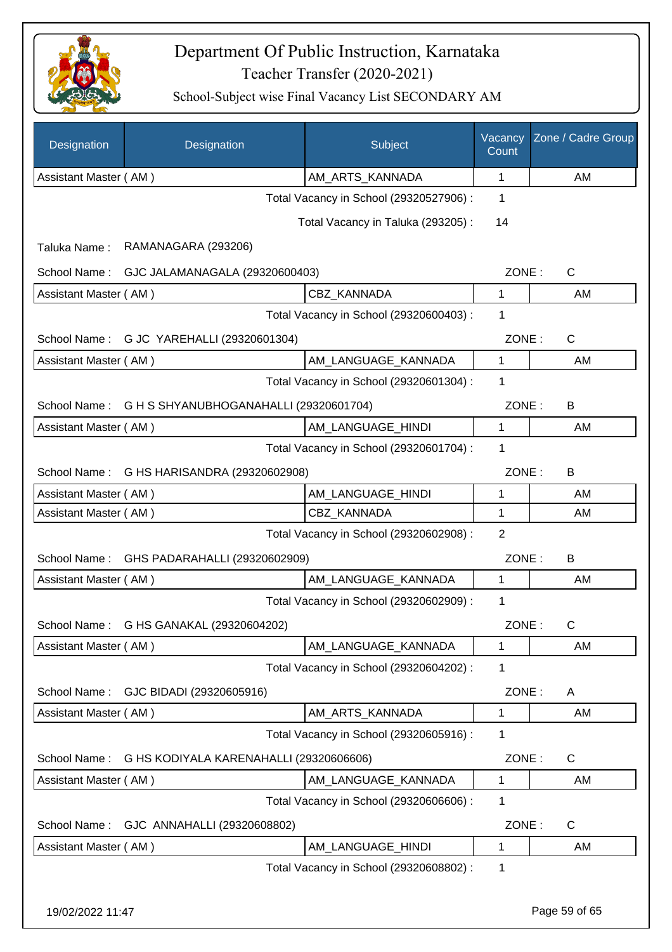

| <b>Designation</b>    | Designation                                | Subject                                 | Vacancy<br>Count | Zone / Cadre Group |
|-----------------------|--------------------------------------------|-----------------------------------------|------------------|--------------------|
| Assistant Master (AM) |                                            | AM_ARTS_KANNADA                         | 1                | AM                 |
|                       |                                            | Total Vacancy in School (29320527906) : | 1                |                    |
|                       |                                            | Total Vacancy in Taluka (293205):       | 14               |                    |
| Taluka Name:          | RAMANAGARA (293206)                        |                                         |                  |                    |
| School Name:          | GJC JALAMANAGALA (29320600403)             |                                         | ZONE:            | $\mathsf{C}$       |
| Assistant Master (AM) |                                            | CBZ_KANNADA                             | 1                | AM                 |
|                       |                                            | Total Vacancy in School (29320600403) : | 1                |                    |
|                       | School Name: G JC YAREHALLI (29320601304)  |                                         | ZONE:            | C                  |
| Assistant Master (AM) |                                            | AM LANGUAGE KANNADA                     | $\mathbf 1$      | AM                 |
|                       |                                            | Total Vacancy in School (29320601304) : | 1                |                    |
| School Name:          | G H S SHYANUBHOGANAHALLI (29320601704)     |                                         | ZONE:            | B                  |
| Assistant Master (AM) |                                            | AM_LANGUAGE_HINDI                       | 1                | AM                 |
|                       |                                            | Total Vacancy in School (29320601704) : | 1                |                    |
|                       | School Name: G HS HARISANDRA (29320602908) |                                         | ZONE:            | B                  |
| Assistant Master (AM) |                                            | AM_LANGUAGE_HINDI                       | 1                | AM                 |
| Assistant Master (AM) |                                            | CBZ_KANNADA                             | $\mathbf{1}$     | AM                 |
|                       |                                            | Total Vacancy in School (29320602908) : | $\overline{2}$   |                    |
| School Name:          | GHS PADARAHALLI (29320602909)              |                                         | ZONE:            | B                  |
| Assistant Master (AM) |                                            | AM_LANGUAGE_KANNADA                     | 1                | AM                 |
|                       |                                            | Total Vacancy in School (29320602909) : | 1                |                    |
|                       | School Name: G HS GANAKAL (29320604202)    |                                         | ZONE:            | C.                 |
| Assistant Master (AM) |                                            | AM_LANGUAGE_KANNADA                     | 1                | AM                 |
|                       |                                            | Total Vacancy in School (29320604202) : | 1                |                    |
| School Name:          | GJC BIDADI (29320605916)                   |                                         | ZONE:            | A                  |
| Assistant Master (AM) |                                            | AM_ARTS_KANNADA                         | 1                | AM                 |
|                       |                                            | Total Vacancy in School (29320605916) : | 1                |                    |
| School Name:          | G HS KODIYALA KARENAHALLI (29320606606)    |                                         | ZONE:            | C                  |
| Assistant Master (AM) |                                            | AM LANGUAGE KANNADA                     | $\mathbf 1$      | AM                 |
|                       |                                            | Total Vacancy in School (29320606606) : | 1                |                    |
| School Name:          | GJC ANNAHALLI (29320608802)                |                                         | ZONE:            | $\mathsf{C}$       |
| Assistant Master (AM) |                                            | AM LANGUAGE HINDI                       | $\mathbf{1}$     | AM                 |
|                       |                                            | Total Vacancy in School (29320608802) : | 1                |                    |
| 19/02/2022 11:47      |                                            |                                         |                  | Page 59 of 65      |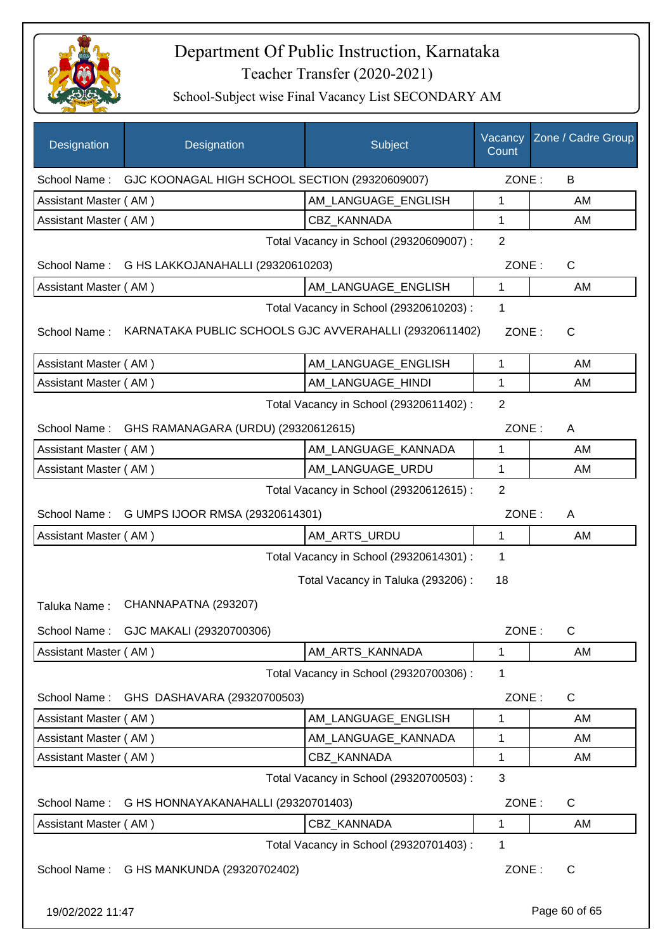

| Designation           | Designation                                                 | Subject                                 | Vacancy<br>Count | Zone / Cadre Group |
|-----------------------|-------------------------------------------------------------|-----------------------------------------|------------------|--------------------|
|                       | School Name: GJC KOONAGAL HIGH SCHOOL SECTION (29320609007) |                                         | ZONE:            | B                  |
| Assistant Master (AM) |                                                             | AM_LANGUAGE_ENGLISH                     | $\mathbf{1}$     | AM                 |
| Assistant Master (AM) |                                                             | CBZ KANNADA                             | 1                | AM                 |
|                       |                                                             | Total Vacancy in School (29320609007) : | $\overline{2}$   |                    |
| School Name:          | G HS LAKKOJANAHALLI (29320610203)                           |                                         | ZONE:            | C                  |
| Assistant Master (AM) |                                                             | AM_LANGUAGE_ENGLISH                     | 1                | AM                 |
|                       |                                                             | Total Vacancy in School (29320610203) : | 1                |                    |
| School Name:          | KARNATAKA PUBLIC SCHOOLS GJC AVVERAHALLI (29320611402)      |                                         | ZONE:            | $\mathsf{C}$       |
| Assistant Master (AM) |                                                             | AM_LANGUAGE_ENGLISH                     | $\mathbf{1}$     | AM                 |
| Assistant Master (AM) |                                                             | AM LANGUAGE HINDI                       | 1                | AM                 |
|                       |                                                             | Total Vacancy in School (29320611402) : | 2                |                    |
| School Name:          | GHS RAMANAGARA (URDU) (29320612615)                         |                                         | ZONE:            | A                  |
| Assistant Master (AM) |                                                             | AM_LANGUAGE_KANNADA                     | 1                | AM                 |
| Assistant Master (AM) |                                                             | AM_LANGUAGE_URDU                        | 1                | AM                 |
|                       |                                                             | Total Vacancy in School (29320612615) : | $\overline{2}$   |                    |
| School Name:          | G UMPS IJOOR RMSA (29320614301)                             |                                         | ZONE:            | A                  |
| Assistant Master (AM) |                                                             | AM_ARTS_URDU                            | 1                | AM                 |
|                       |                                                             | Total Vacancy in School (29320614301) : | 1                |                    |
|                       |                                                             | Total Vacancy in Taluka (293206):       | 18               |                    |
| Taluka Name:          | CHANNAPATNA (293207)                                        |                                         |                  |                    |
| School Name:          | GJC MAKALI (29320700306)                                    |                                         | ZONE:            | C                  |
| Assistant Master (AM) |                                                             | AM_ARTS_KANNADA                         | 1                | AM                 |
|                       |                                                             | Total Vacancy in School (29320700306) : | 1                |                    |
| School Name:          | GHS DASHAVARA (29320700503)                                 |                                         | ZONE:            | $\mathsf{C}$       |
| Assistant Master (AM) |                                                             | AM_LANGUAGE_ENGLISH                     | 1                | AM                 |
| Assistant Master (AM) |                                                             | AM LANGUAGE KANNADA                     | 1                | AM                 |
| Assistant Master (AM) |                                                             | <b>CBZ KANNADA</b>                      | 1                | AM                 |
|                       |                                                             | Total Vacancy in School (29320700503) : | $\mathbf{3}$     |                    |
| School Name:          | G HS HONNAYAKANAHALLI (29320701403)                         |                                         | ZONE:            | C                  |
| Assistant Master (AM) |                                                             | CBZ_KANNADA                             | 1                | AM                 |
|                       |                                                             | Total Vacancy in School (29320701403) : | 1                |                    |
|                       | School Name: G HS MANKUNDA (29320702402)                    |                                         | ZONE:            | $\mathsf C$        |
| 19/02/2022 11:47      |                                                             |                                         |                  | Page 60 of 65      |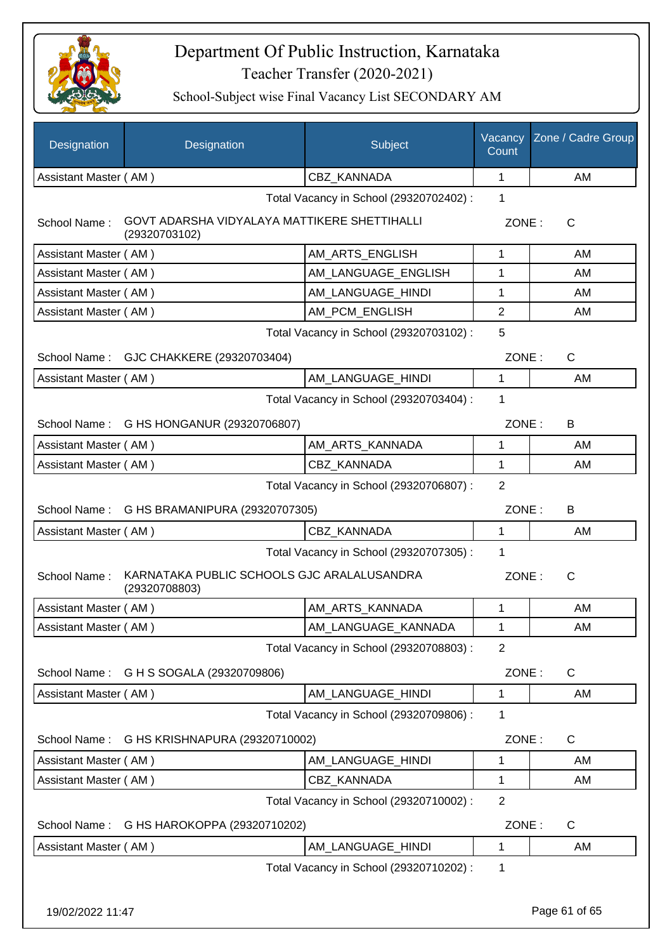

| Designation                                                                   | Designation                             | Subject                                 | Vacancy<br>Count | Zone / Cadre Group |
|-------------------------------------------------------------------------------|-----------------------------------------|-----------------------------------------|------------------|--------------------|
| Assistant Master (AM)                                                         |                                         | <b>CBZ KANNADA</b>                      | 1                | AM                 |
| Total Vacancy in School (29320702402) :                                       |                                         |                                         |                  |                    |
| GOVT ADARSHA VIDYALAYA MATTIKERE SHETTIHALLI<br>School Name:<br>(29320703102) |                                         |                                         | ZONE:            | $\mathsf{C}$       |
| Assistant Master (AM)                                                         |                                         | AM_ARTS_ENGLISH                         | 1                | AM                 |
| Assistant Master (AM)                                                         |                                         | AM_LANGUAGE_ENGLISH                     | 1                | AM                 |
| Assistant Master (AM)                                                         |                                         | AM_LANGUAGE_HINDI                       | 1                | AM                 |
| Assistant Master (AM)                                                         |                                         | AM_PCM_ENGLISH                          | $\overline{2}$   | AM                 |
|                                                                               |                                         | Total Vacancy in School (29320703102) : | 5                |                    |
|                                                                               | School Name: GJC CHAKKERE (29320703404) |                                         | ZONE:            | $\mathsf{C}$       |
| Assistant Master (AM)                                                         |                                         | AM LANGUAGE_HINDI                       | $\mathbf{1}$     | AM                 |
|                                                                               |                                         | Total Vacancy in School (29320703404) : | 1                |                    |
| School Name: G HS HONGANUR (29320706807)                                      |                                         |                                         | ZONE:            | B                  |
| Assistant Master (AM)                                                         |                                         | AM ARTS KANNADA                         | 1                | AM                 |
| Assistant Master (AM)                                                         |                                         | <b>CBZ KANNADA</b>                      | 1                | AM                 |
|                                                                               |                                         | Total Vacancy in School (29320706807) : | 2                |                    |
| School Name: G HS BRAMANIPURA (29320707305)                                   |                                         |                                         | ZONE:            | B                  |
| Assistant Master (AM)                                                         |                                         | CBZ KANNADA                             | 1                | AM                 |
|                                                                               |                                         | Total Vacancy in School (29320707305) : | 1                |                    |
| KARNATAKA PUBLIC SCHOOLS GJC ARALALUSANDRA<br>School Name:<br>(29320708803)   |                                         |                                         | ZONE:            | C                  |
| Assistant Master (AM)                                                         |                                         | AM ARTS KANNADA                         | 1                | AM                 |
| Assistant Master (AM)                                                         |                                         | AM_LANGUAGE_KANNADA                     | 1                | AM                 |
|                                                                               |                                         | Total Vacancy in School (29320708803) : | $\overline{2}$   |                    |
| G H S SOGALA (29320709806)<br>School Name:                                    |                                         |                                         | ZONE:            | $\mathsf{C}$       |
| Assistant Master (AM)                                                         |                                         | AM_LANGUAGE_HINDI                       | 1                | AM                 |
|                                                                               |                                         | Total Vacancy in School (29320709806) : | 1                |                    |
| School Name:<br>G HS KRISHNAPURA (29320710002)                                |                                         |                                         | ZONE:            | $\mathsf{C}$       |
| Assistant Master (AM)                                                         |                                         | AM_LANGUAGE_HINDI                       | 1                | AM                 |
| Assistant Master (AM)                                                         |                                         | CBZ_KANNADA                             | 1                | AM                 |
| Total Vacancy in School (29320710002) :                                       |                                         |                                         |                  |                    |
| School Name:<br>G HS HAROKOPPA (29320710202)                                  |                                         |                                         | ZONE:            | $\mathsf{C}$       |
| Assistant Master (AM)                                                         |                                         | AM_LANGUAGE_HINDI                       | 1                | AM                 |
|                                                                               |                                         | Total Vacancy in School (29320710202) : | 1                |                    |
| 19/02/2022 11:47                                                              |                                         |                                         |                  | Page 61 of 65      |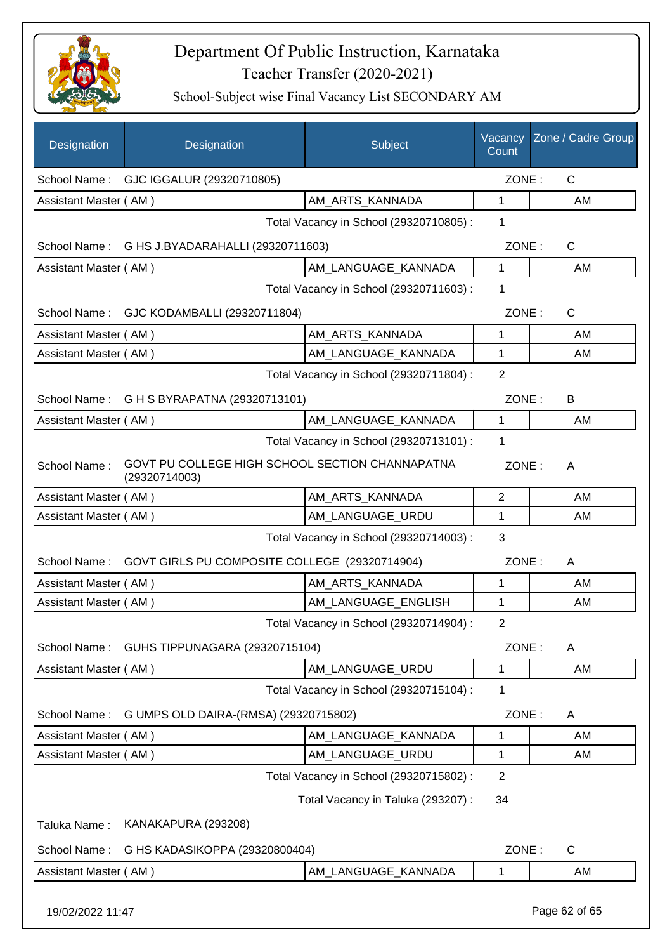

| Designation           | Designation                                                      | Subject                                 | Vacancy<br>Count | Zone / Cadre Group |
|-----------------------|------------------------------------------------------------------|-----------------------------------------|------------------|--------------------|
|                       | School Name: GJC IGGALUR (29320710805)                           |                                         | ZONE:            | $\mathsf{C}$       |
| Assistant Master (AM) |                                                                  | AM_ARTS_KANNADA                         | $\mathbf{1}$     | AM                 |
|                       |                                                                  | Total Vacancy in School (29320710805) : | 1                |                    |
| School Name:          | G HS J.BYADARAHALLI (29320711603)                                |                                         | ZONE:            | C                  |
| Assistant Master (AM) |                                                                  | AM LANGUAGE KANNADA                     | $\mathbf{1}$     | AM                 |
|                       |                                                                  | Total Vacancy in School (29320711603) : | 1                |                    |
| School Name:          | GJC KODAMBALLI (29320711804)                                     |                                         | ZONE:            | $\mathsf{C}$       |
| Assistant Master (AM) |                                                                  | AM_ARTS_KANNADA                         | 1                | AM                 |
| Assistant Master (AM) |                                                                  | AM_LANGUAGE_KANNADA                     | $\mathbf{1}$     | AM                 |
|                       |                                                                  | Total Vacancy in School (29320711804) : | $\overline{2}$   |                    |
|                       | School Name: G H S BYRAPATNA (29320713101)                       |                                         | ZONE:            | B                  |
| Assistant Master (AM) |                                                                  | AM_LANGUAGE_KANNADA                     | $\mathbf{1}$     | AM                 |
|                       |                                                                  | Total Vacancy in School (29320713101) : | 1                |                    |
| School Name:          | GOVT PU COLLEGE HIGH SCHOOL SECTION CHANNAPATNA<br>(29320714003) |                                         | ZONE:            | A                  |
| Assistant Master (AM) |                                                                  | AM_ARTS_KANNADA                         | $\overline{c}$   | AM                 |
| Assistant Master (AM) |                                                                  | AM LANGUAGE_URDU                        | $\mathbf 1$      | AM                 |
|                       |                                                                  | Total Vacancy in School (29320714003) : | 3                |                    |
| School Name:          | GOVT GIRLS PU COMPOSITE COLLEGE (29320714904)                    |                                         | ZONE:            | A                  |
| Assistant Master (AM) |                                                                  | AM_ARTS_KANNADA                         | 1                | AM                 |
| Assistant Master (AM) |                                                                  | AM LANGUAGE ENGLISH                     | 1                | AM                 |
|                       |                                                                  | Total Vacancy in School (29320714904) : | $\overline{c}$   |                    |
| School Name:          | GUHS TIPPUNAGARA (29320715104)                                   |                                         | ZONE:            | A                  |
| Assistant Master (AM) |                                                                  | AM_LANGUAGE_URDU                        | $\mathbf{1}$     | AM                 |
|                       |                                                                  | Total Vacancy in School (29320715104) : | 1                |                    |
| School Name:          | G UMPS OLD DAIRA-(RMSA) (29320715802)                            |                                         | ZONE:            | A                  |
| Assistant Master (AM) |                                                                  | AM LANGUAGE KANNADA                     | 1                | AM                 |
| Assistant Master (AM) |                                                                  | AM LANGUAGE URDU                        | 1                | AM                 |
|                       |                                                                  | Total Vacancy in School (29320715802) : | $\overline{2}$   |                    |
|                       |                                                                  | Total Vacancy in Taluka (293207) :      | 34               |                    |
| Taluka Name:          | KANAKAPURA (293208)                                              |                                         |                  |                    |
| School Name:          | G HS KADASIKOPPA (29320800404)                                   |                                         | ZONE:            | C                  |
| Assistant Master (AM) |                                                                  | AM_LANGUAGE_KANNADA                     | 1                | AM                 |
| 19/02/2022 11:47      |                                                                  |                                         |                  | Page 62 of 65      |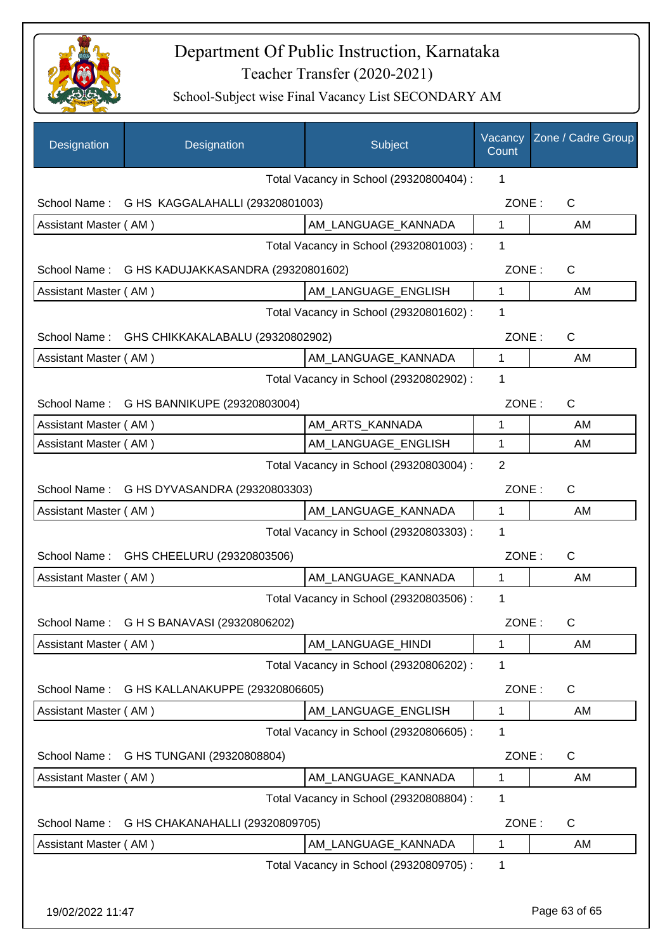

| Designation                                        | Designation                      | Subject                                 | Vacancy<br>Count | Zone / Cadre Group |
|----------------------------------------------------|----------------------------------|-----------------------------------------|------------------|--------------------|
| Total Vacancy in School (29320800404) :<br>1       |                                  |                                         |                  |                    |
| School Name: G HS KAGGALAHALLI (29320801003)       |                                  |                                         | ZONE:            | $\mathsf{C}$       |
| Assistant Master (AM)                              |                                  | AM_LANGUAGE_KANNADA                     | $\mathbf{1}$     | AM                 |
|                                                    |                                  | Total Vacancy in School (29320801003) : | 1                |                    |
| School Name:<br>G HS KADUJAKKASANDRA (29320801602) |                                  |                                         | ZONE:            | C                  |
| Assistant Master (AM)                              |                                  | AM_LANGUAGE_ENGLISH                     | 1                | AM                 |
|                                                    |                                  | Total Vacancy in School (29320801602) : | 1                |                    |
| School Name:                                       | GHS CHIKKAKALABALU (29320802902) |                                         | ZONE:            | C                  |
| Assistant Master (AM)                              |                                  | AM_LANGUAGE_KANNADA                     | 1                | AM                 |
|                                                    |                                  | Total Vacancy in School (29320802902) : | 1                |                    |
| School Name:                                       | G HS BANNIKUPE (29320803004)     |                                         | ZONE:            | C                  |
| Assistant Master (AM)                              |                                  | AM_ARTS_KANNADA                         | 1                | AM                 |
| Assistant Master (AM)                              |                                  | AM_LANGUAGE_ENGLISH                     | 1                | AM                 |
|                                                    |                                  | Total Vacancy in School (29320803004) : | $\overline{2}$   |                    |
| School Name:<br>G HS DYVASANDRA (29320803303)      |                                  |                                         | ZONE:            | C                  |
| Assistant Master (AM)                              |                                  | AM LANGUAGE_KANNADA                     | 1                | AM                 |
|                                                    |                                  | Total Vacancy in School (29320803303) : | 1                |                    |
| School Name:                                       | GHS CHEELURU (29320803506)       |                                         | ZONE:            | $\mathsf{C}$       |
| Assistant Master (AM)                              |                                  | AM_LANGUAGE_KANNADA                     | $\mathbf{1}$     | AM                 |
|                                                    |                                  | Total Vacancy in School (29320803506) : | 1                |                    |
| School Name: G H S BANAVASI (29320806202)          |                                  |                                         | ZONE:            | C                  |
| Assistant Master (AM)                              |                                  | AM LANGUAGE HINDI                       | 1                | AM                 |
|                                                    |                                  | Total Vacancy in School (29320806202) : | 1                |                    |
| School Name:                                       | G HS KALLANAKUPPE (29320806605)  |                                         | ZONE:            | C                  |
| Assistant Master (AM)                              |                                  | AM_LANGUAGE_ENGLISH                     | 1                | AM                 |
|                                                    |                                  | Total Vacancy in School (29320806605) : | 1                |                    |
| G HS TUNGANI (29320808804)<br>School Name:         |                                  |                                         | ZONE:            | C                  |
| Assistant Master (AM)                              |                                  | AM_LANGUAGE_KANNADA                     | 1                | AM                 |
|                                                    |                                  | Total Vacancy in School (29320808804) : | 1                |                    |
| G HS CHAKANAHALLI (29320809705)<br>School Name:    |                                  |                                         | ZONE:            | C                  |
| Assistant Master (AM)                              |                                  | AM_LANGUAGE_KANNADA                     | 1                | AM                 |
|                                                    |                                  | Total Vacancy in School (29320809705) : | 1                |                    |
|                                                    |                                  |                                         |                  |                    |
| 19/02/2022 11:47                                   |                                  |                                         |                  | Page 63 of 65      |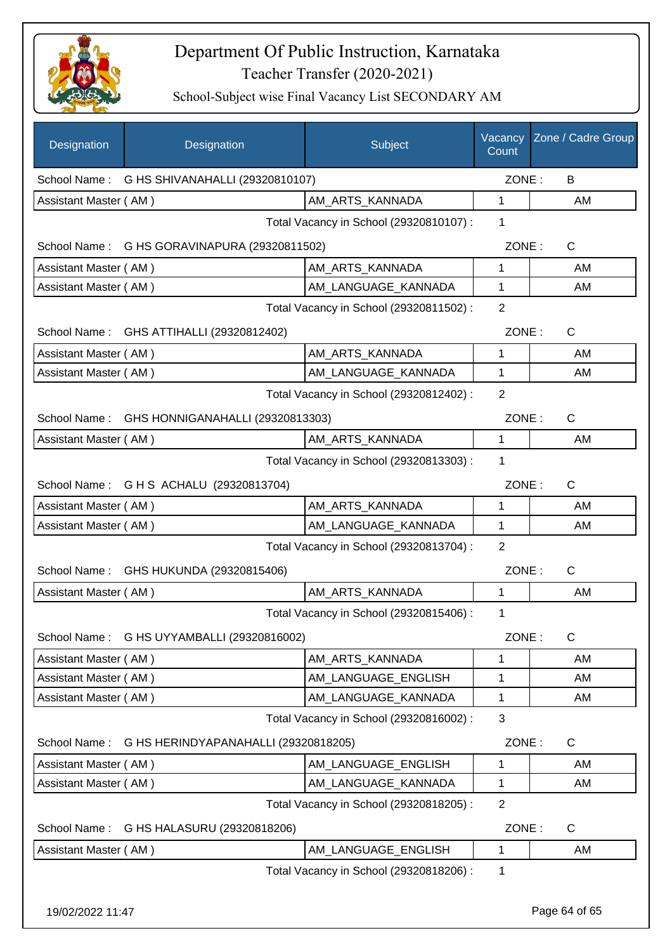

| Designation                                          | Designation                                   | Subject                                 | Vacancy<br>Count | Zone / Cadre Group |  |
|------------------------------------------------------|-----------------------------------------------|-----------------------------------------|------------------|--------------------|--|
|                                                      | School Name: G HS SHIVANAHALLI (29320810107)  |                                         |                  | ZONE:<br>B         |  |
| Assistant Master (AM)                                |                                               | AM_ARTS_KANNADA                         | 1                | AM                 |  |
|                                                      |                                               | Total Vacancy in School (29320810107) : | 1                |                    |  |
|                                                      | School Name: G HS GORAVINAPURA (29320811502)  |                                         | ZONE:            | $\mathsf{C}$       |  |
| Assistant Master (AM)                                |                                               | AM_ARTS_KANNADA                         | 1                | AM                 |  |
| Assistant Master (AM)                                |                                               | AM_LANGUAGE_KANNADA                     | 1                | AM                 |  |
|                                                      |                                               | Total Vacancy in School (29320811502) : | $\overline{2}$   |                    |  |
|                                                      | School Name: GHS ATTIHALLI (29320812402)      |                                         | ZONE:            | $\mathsf{C}$       |  |
| Assistant Master (AM)                                |                                               | AM_ARTS_KANNADA                         | 1                | AM                 |  |
| Assistant Master (AM)                                |                                               | AM_LANGUAGE_KANNADA                     | 1                | AM                 |  |
|                                                      |                                               | Total Vacancy in School (29320812402) : | 2                |                    |  |
|                                                      | School Name: GHS HONNIGANAHALLI (29320813303) |                                         | ZONE:            | $\mathsf{C}$       |  |
| Assistant Master (AM)                                |                                               | AM_ARTS_KANNADA                         | $\mathbf{1}$     | AM                 |  |
|                                                      |                                               | Total Vacancy in School (29320813303) : | 1                |                    |  |
|                                                      | School Name: G H S ACHALU (29320813704)       |                                         | ZONE:            | $\mathsf{C}$       |  |
| Assistant Master (AM)                                |                                               | AM_ARTS_KANNADA                         | 1                | AM                 |  |
| Assistant Master (AM)                                |                                               | AM_LANGUAGE_KANNADA                     | 1                | AM                 |  |
|                                                      |                                               | Total Vacancy in School (29320813704) : | 2                |                    |  |
| School Name:                                         | GHS HUKUNDA (29320815406)                     |                                         | ZONE:            | $\mathsf{C}$       |  |
| Assistant Master (AM)                                |                                               | AM_ARTS_KANNADA                         | $\mathbf{1}$     | AM                 |  |
|                                                      |                                               | Total Vacancy in School (29320815406) : | 1                |                    |  |
| School Name:                                         | G HS UYYAMBALLI (29320816002)                 |                                         | ZONE:            | C                  |  |
| Assistant Master (AM)                                |                                               | AM_ARTS_KANNADA                         | 1                | AM                 |  |
| Assistant Master (AM)                                |                                               | AM_LANGUAGE_ENGLISH                     | 1                | AM                 |  |
| Assistant Master (AM)                                |                                               | AM_LANGUAGE_KANNADA                     | 1                | AM                 |  |
|                                                      |                                               | Total Vacancy in School (29320816002) : | $\mathbf{3}$     |                    |  |
| G HS HERINDYAPANAHALLI (29320818205)<br>School Name: |                                               |                                         | ZONE:            | C                  |  |
| Assistant Master (AM)                                |                                               | AM LANGUAGE ENGLISH                     | 1                | AM                 |  |
| Assistant Master (AM)                                |                                               | AM_LANGUAGE_KANNADA                     | 1                | AM                 |  |
|                                                      |                                               | Total Vacancy in School (29320818205) : | $\overline{2}$   |                    |  |
| School Name: G HS HALASURU (29320818206)             |                                               |                                         | ZONE:            | C                  |  |
| Assistant Master (AM)                                |                                               | AM_LANGUAGE_ENGLISH                     | 1                | AM                 |  |
|                                                      |                                               | Total Vacancy in School (29320818206) : | 1                |                    |  |
| 19/02/2022 11:47                                     |                                               |                                         |                  | Page 64 of 65      |  |